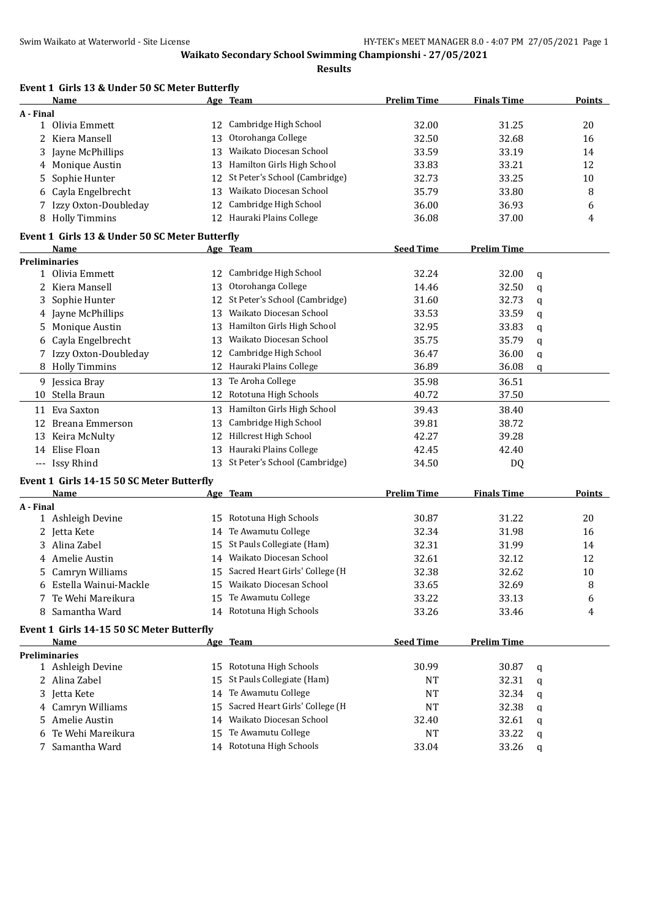**Results**

| Event 1 Girls 13 & Under 50 SC Meter Butterfly |    |                                  |                    | <b>Finals Time</b> |   |               |
|------------------------------------------------|----|----------------------------------|--------------------|--------------------|---|---------------|
| Name<br>A - Final                              |    | Age Team                         | <b>Prelim Time</b> |                    |   | <b>Points</b> |
| 1 Olivia Emmett                                | 12 | Cambridge High School            | 32.00              | 31.25              |   | 20            |
| Kiera Mansell<br>2                             | 13 | Otorohanga College               | 32.50              | 32.68              |   | 16            |
| Jayne McPhillips<br>3                          | 13 | Waikato Diocesan School          | 33.59              | 33.19              |   | 14            |
| Monique Austin                                 | 13 | Hamilton Girls High School       | 33.83              | 33.21              |   | 12            |
| 4<br>Sophie Hunter                             |    | 12 St Peter's School (Cambridge) | 32.73              | 33.25              |   | 10            |
| 5                                              | 13 | Waikato Diocesan School          | 35.79              | 33.80              |   |               |
| Cayla Engelbrecht<br>6                         |    | Cambridge High School            |                    |                    |   | 8             |
| Izzy Oxton-Doubleday                           | 12 | 12 Hauraki Plains College        | 36.00              | 36.93              |   | 6             |
| <b>Holly Timmins</b><br>8                      |    |                                  | 36.08              | 37.00              |   | 4             |
| Event 1 Girls 13 & Under 50 SC Meter Butterfly |    |                                  |                    |                    |   |               |
| Name                                           |    | Age Team                         | <b>Seed Time</b>   | <b>Prelim Time</b> |   |               |
| <b>Preliminaries</b><br>1 Olivia Emmett        |    | 12 Cambridge High School         | 32.24              | 32.00              |   |               |
| 2 Kiera Mansell                                | 13 | Otorohanga College               | 14.46              | 32.50              | q |               |
| Sophie Hunter<br>3                             |    | 12 St Peter's School (Cambridge) | 31.60              | 32.73              | q |               |
| Jayne McPhillips                               | 13 | Waikato Diocesan School          | 33.53              | 33.59              | q |               |
| 4<br>Monique Austin<br>5.                      |    | 13 Hamilton Girls High School    | 32.95              | 33.83              | q |               |
| Cayla Engelbrecht                              | 13 | Waikato Diocesan School          | 35.75              | 35.79              | q |               |
| 6<br>7 Izzy Oxton-Doubleday                    | 12 | Cambridge High School            | 36.47              | 36.00              | q |               |
|                                                | 12 | Hauraki Plains College           | 36.89              |                    | q |               |
| 8 Holly Timmins                                |    |                                  |                    | 36.08              | q |               |
| 9 Jessica Bray                                 | 13 | Te Aroha College                 | 35.98              | 36.51              |   |               |
| Stella Braun<br>10                             | 12 | Rototuna High Schools            | 40.72              | 37.50              |   |               |
| 11 Eva Saxton                                  | 13 | Hamilton Girls High School       | 39.43              | 38.40              |   |               |
| 12 Breana Emmerson                             | 13 | Cambridge High School            | 39.81              | 38.72              |   |               |
| 13 Keira McNulty                               | 12 | Hillcrest High School            | 42.27              | 39.28              |   |               |
| 14 Elise Floan                                 |    | 13 Hauraki Plains College        | 42.45              | 42.40              |   |               |
| --- Issy Rhind                                 |    | 13 St Peter's School (Cambridge) | 34.50              | DQ                 |   |               |
| Event 1 Girls 14-15 50 SC Meter Butterfly      |    |                                  |                    |                    |   |               |
| Name                                           |    | Age Team                         | <b>Prelim Time</b> | <b>Finals Time</b> |   | <b>Points</b> |
| A - Final                                      |    |                                  |                    |                    |   |               |
| 1 Ashleigh Devine                              | 15 | Rototuna High Schools            | 30.87              | 31.22              |   | 20            |
| 2 Jetta Kete                                   | 14 | Te Awamutu College               | 32.34              | 31.98              |   | 16            |
| Alina Zabel<br>3                               |    | 15 St Pauls Collegiate (Ham)     | 32.31              | 31.99              |   | 14            |
| Amelie Austin<br>4                             |    | 14 Waikato Diocesan School       | 32.61              | 32.12              |   | 12            |
| 5 Camryn Williams                              | 15 | Sacred Heart Girls' College (H   | 32.38              | 32.62              |   | 10            |
| Estella Wainui-Mackle                          | 15 | Waikato Diocesan School          | 33.65              | 32.69              |   | 8             |
| Te Wehi Mareikura<br>7                         | 15 | Te Awamutu College               | 33.22              | 33.13              |   | 6             |
| Samantha Ward<br>8                             |    | 14 Rototuna High Schools         | 33.26              | 33.46              |   | 4             |
| Event 1 Girls 14-15 50 SC Meter Butterfly      |    |                                  |                    |                    |   |               |
| Name                                           |    | Age Team                         | <b>Seed Time</b>   | <b>Prelim Time</b> |   |               |
| <b>Preliminaries</b>                           |    |                                  |                    |                    |   |               |
| 1 Ashleigh Devine                              |    | 15 Rototuna High Schools         | 30.99              | 30.87              | q |               |
| 2 Alina Zabel                                  | 15 | St Pauls Collegiate (Ham)        | NT                 | 32.31              | q |               |
| 3 Jetta Kete                                   | 14 | Te Awamutu College               | <b>NT</b>          | 32.34              | q |               |
| Camryn Williams<br>4                           | 15 | Sacred Heart Girls' College (H   | NT                 | 32.38              | q |               |
| Amelie Austin<br>5.                            | 14 | Waikato Diocesan School          | 32.40              | 32.61              | q |               |
| Te Wehi Mareikura<br>6                         | 15 | Te Awamutu College               | NT                 | 33.22              | q |               |
| 7 Samantha Ward                                |    | 14 Rototuna High Schools         | 33.04              | 33.26              | q |               |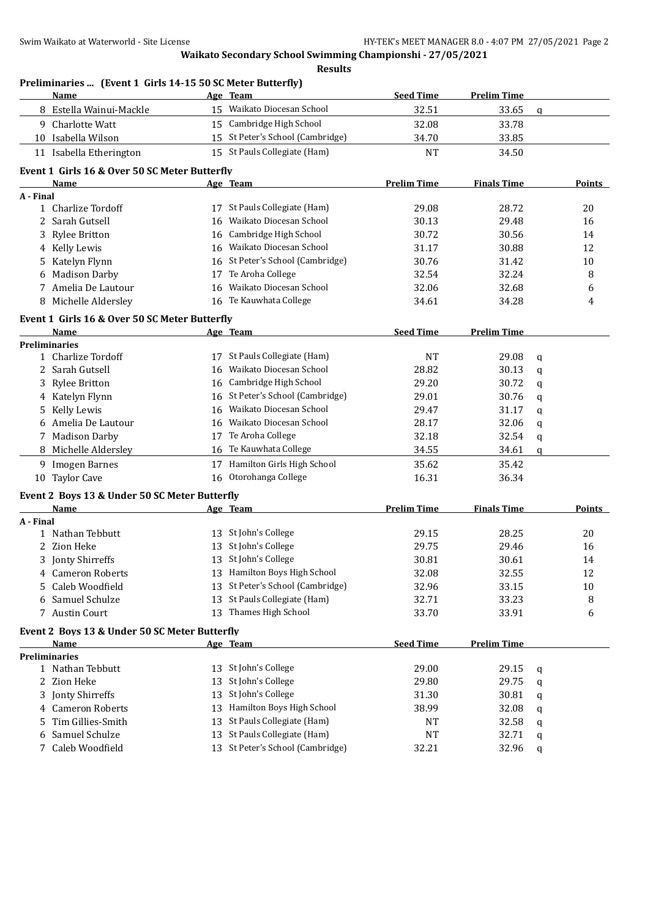**Preliminaries ... (Event 1 Girls 14-15 50 SC Meter Butterfly)**

| Name                        |                                               | Age Team                         | <b>Seed Time</b>   | <b>Prelim Time</b> |             |               |
|-----------------------------|-----------------------------------------------|----------------------------------|--------------------|--------------------|-------------|---------------|
| 8 Estella Wainui-Mackle     |                                               | 15 Waikato Diocesan School       | 32.51              | 33.65              | $\mathbf q$ |               |
| 9 Charlotte Watt            |                                               | 15 Cambridge High School         | 32.08              | 33.78              |             |               |
| 10 Isabella Wilson          | 15                                            | St Peter's School (Cambridge)    | 34.70              | 33.85              |             |               |
| 11 Isabella Etherington     |                                               | 15 St Pauls Collegiate (Ham)     | <b>NT</b>          | 34.50              |             |               |
|                             | Event 1 Girls 16 & Over 50 SC Meter Butterfly |                                  |                    |                    |             |               |
| Name                        |                                               | Age Team                         | <b>Prelim Time</b> | <b>Finals Time</b> |             | Points        |
| A - Final                   |                                               |                                  |                    |                    |             |               |
| 1 Charlize Tordoff          |                                               | 17 St Pauls Collegiate (Ham)     | 29.08              | 28.72              |             | 20            |
| 2<br>Sarah Gutsell          | 16                                            | Waikato Diocesan School          | 30.13              | 29.48              |             | 16            |
| 3<br><b>Rylee Britton</b>   | 16                                            | Cambridge High School            | 30.72              | 30.56              |             | 14            |
| Kelly Lewis<br>4            | 16                                            | Waikato Diocesan School          | 31.17              | 30.88              |             | 12            |
| Katelyn Flynn<br>5          | 16                                            | St Peter's School (Cambridge)    | 30.76              | 31.42              |             | 10            |
| <b>Madison Darby</b><br>6   | 17                                            | Te Aroha College                 | 32.54              | 32.24              |             | 8             |
| Amelia De Lautour<br>7      | 16                                            | Waikato Diocesan School          | 32.06              | 32.68              |             | 6             |
| Michelle Aldersley<br>8     |                                               | 16 Te Kauwhata College           | 34.61              | 34.28              |             | 4             |
|                             | Event 1 Girls 16 & Over 50 SC Meter Butterfly |                                  |                    |                    |             |               |
| Name                        |                                               | Age Team                         | <b>Seed Time</b>   | <b>Prelim Time</b> |             |               |
| <b>Preliminaries</b>        |                                               |                                  |                    |                    |             |               |
| 1 Charlize Tordoff          |                                               | 17 St Pauls Collegiate (Ham)     | <b>NT</b>          | 29.08              | q           |               |
| 2 Sarah Gutsell             | 16                                            | Waikato Diocesan School          | 28.82              | 30.13              | q           |               |
| <b>Rylee Britton</b><br>3   | 16                                            | Cambridge High School            | 29.20              | 30.72              | $\mathbf q$ |               |
| 4 Katelyn Flynn             | 16                                            | St Peter's School (Cambridge)    | 29.01              | 30.76              | q           |               |
| Kelly Lewis<br>5.           | 16                                            | Waikato Diocesan School          | 29.47              | 31.17              | q           |               |
| Amelia De Lautour<br>6      | 16                                            | Waikato Diocesan School          | 28.17              | 32.06              | q           |               |
| 7 Madison Darby             | 17                                            | Te Aroha College                 | 32.18              | 32.54              | q           |               |
| 8 Michelle Aldersley        | 16                                            | Te Kauwhata College              | 34.55              | 34.61              | $\mathbf q$ |               |
| 9 Imogen Barnes             | 17                                            | Hamilton Girls High School       | 35.62              | 35.42              |             |               |
| 10 Taylor Cave              | 16                                            | Otorohanga College               | 16.31              | 36.34              |             |               |
|                             | Event 2 Boys 13 & Under 50 SC Meter Butterfly |                                  |                    |                    |             |               |
| <b>Name</b>                 |                                               | Age Team                         | <b>Prelim Time</b> | <b>Finals Time</b> |             | <b>Points</b> |
| A - Final                   |                                               |                                  |                    |                    |             |               |
| 1 Nathan Tebbutt            |                                               | 13 St John's College             | 29.15              | 28.25              |             | 20            |
| 2 Zion Heke                 | 13                                            | St John's College                | 29.75              | 29.46              |             | 16            |
| Jonty Shirreffs<br>3        | 13                                            | St John's College                | 30.81              | 30.61              |             | 14            |
| 4 Cameron Roberts           |                                               | 13 Hamilton Boys High School     | 32.08              | 32.55              |             | 12            |
| Caleb Woodfield<br>5        |                                               | 13 St Peter's School (Cambridge) | 32.96              | 33.15              |             | 10            |
| Samuel Schulze<br>6         | 13                                            | St Pauls Collegiate (Ham)        | 32.71              | 33.23              |             | 8             |
| 7 Austin Court              | 13                                            | Thames High School               | 33.70              | 33.91              |             | 6             |
|                             | Event 2 Boys 13 & Under 50 SC Meter Butterfly |                                  |                    |                    |             |               |
| Name                        |                                               | Age Team                         | <b>Seed Time</b>   | <b>Prelim Time</b> |             |               |
| <b>Preliminaries</b>        |                                               |                                  |                    |                    |             |               |
| 1 Nathan Tebbutt            | 13                                            | St John's College                | 29.00              | 29.15              | q           |               |
| Zion Heke<br>2.             | 13                                            | St John's College                | 29.80              | 29.75              | q           |               |
| Jonty Shirreffs<br>3        | 13                                            | St John's College                | 31.30              | 30.81              | q           |               |
| <b>Cameron Roberts</b><br>4 | 13                                            | Hamilton Boys High School        | 38.99              | 32.08              | q           |               |
| Tim Gillies-Smith           | 13                                            | St Pauls Collegiate (Ham)        | NT                 | 32.58              | q           |               |
| Samuel Schulze<br>6         | 13                                            | St Pauls Collegiate (Ham)        | <b>NT</b>          | 32.71              | q           |               |
| 7 Caleb Woodfield           |                                               | 13 St Peter's School (Cambridge) | 32.21              | 32.96              | q           |               |
|                             |                                               |                                  |                    |                    |             |               |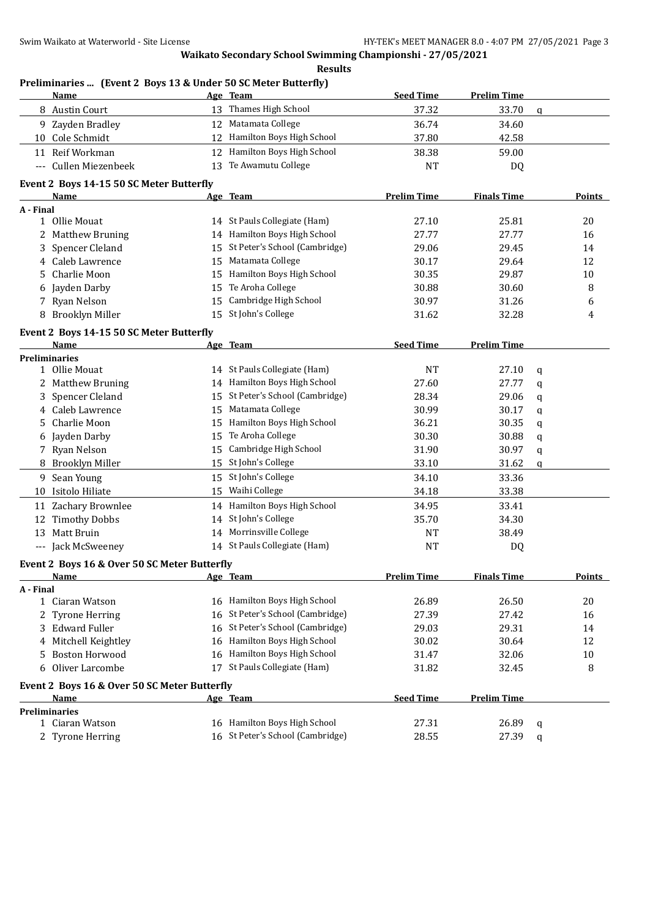**Preliminaries ... (Event 2 Boys 13 & Under 50 SC Meter Butterfly)**

| Name                                         |    | Age Team                         | <b>Seed Time</b>   | <b>Prelim Time</b> |               |
|----------------------------------------------|----|----------------------------------|--------------------|--------------------|---------------|
| 8 Austin Court                               |    | 13 Thames High School            | 37.32              | 33.70              | $\mathbf q$   |
| 9 Zayden Bradley                             |    | 12 Matamata College              | 36.74              | 34.60              |               |
| 10 Cole Schmidt                              | 12 | Hamilton Boys High School        | 37.80              | 42.58              |               |
| 11 Reif Workman                              |    | 12 Hamilton Boys High School     | 38.38              | 59.00              |               |
| --- Cullen Miezenbeek                        | 13 | Te Awamutu College               | NT                 | DQ                 |               |
|                                              |    |                                  |                    |                    |               |
| Event 2 Boys 14-15 50 SC Meter Butterfly     |    |                                  |                    |                    |               |
| <b>Name</b>                                  |    | Age Team                         | <b>Prelim Time</b> | <b>Finals Time</b> | <b>Points</b> |
| A - Final                                    |    |                                  |                    |                    |               |
| 1 Ollie Mouat                                |    | 14 St Pauls Collegiate (Ham)     | 27.10              | 25.81              | 20            |
| 2 Matthew Bruning                            |    | 14 Hamilton Boys High School     | 27.77              | 27.77              | 16            |
| 3 Spencer Cleland                            |    | 15 St Peter's School (Cambridge) | 29.06              | 29.45              | 14            |
| 4 Caleb Lawrence                             |    | 15 Matamata College              | 30.17              | 29.64              | 12            |
| Charlie Moon<br>5.                           |    | 15 Hamilton Boys High School     | 30.35              | 29.87              | 10            |
| Jayden Darby<br>6                            | 15 | Te Aroha College                 | 30.88              | 30.60              | 8             |
| 7 Ryan Nelson                                | 15 | Cambridge High School            | 30.97              | 31.26              | 6             |
| 8 Brooklyn Miller                            | 15 | St John's College                | 31.62              | 32.28              | 4             |
| Event 2 Boys 14-15 50 SC Meter Butterfly     |    |                                  |                    |                    |               |
| Name                                         |    | Age Team                         | <b>Seed Time</b>   | <b>Prelim Time</b> |               |
| <b>Preliminaries</b>                         |    |                                  |                    |                    |               |
| 1 Ollie Mouat                                |    | 14 St Pauls Collegiate (Ham)     | <b>NT</b>          | 27.10              | q             |
| 2 Matthew Bruning                            |    | 14 Hamilton Boys High School     | 27.60              | 27.77              | q             |
| Spencer Cleland<br>3                         |    | 15 St Peter's School (Cambridge) | 28.34              | 29.06              | q             |
| 4 Caleb Lawrence                             | 15 | Matamata College                 | 30.99              | 30.17              | q             |
| Charlie Moon<br>5.                           |    | 15 Hamilton Boys High School     | 36.21              | 30.35              | q             |
| Jayden Darby<br>6                            | 15 | Te Aroha College                 | 30.30              | 30.88              | q             |
| Ryan Nelson<br>7                             | 15 | Cambridge High School            | 31.90              | 30.97              | q             |
| 8 Brooklyn Miller                            |    | 15 St John's College             | 33.10              | 31.62              | q             |
| 9 Sean Young                                 |    | 15 St John's College             | 34.10              | 33.36              |               |
| 10 Isitolo Hiliate                           | 15 | Waihi College                    | 34.18              | 33.38              |               |
| 11 Zachary Brownlee                          |    | 14 Hamilton Boys High School     | 34.95              | 33.41              |               |
| <b>Timothy Dobbs</b><br>12                   | 14 | St John's College                | 35.70              | 34.30              |               |
| Matt Bruin<br>13                             |    | 14 Morrinsville College          | <b>NT</b>          | 38.49              |               |
| --- Jack McSweeney                           |    | 14 St Pauls Collegiate (Ham)     | <b>NT</b>          | DQ                 |               |
|                                              |    |                                  |                    |                    |               |
| Event 2 Boys 16 & Over 50 SC Meter Butterfly |    |                                  |                    |                    |               |
| <u>Name</u>                                  |    | Age Team                         | <b>Prelim Time</b> | <b>Finals Time</b> | <b>Points</b> |
| A - Final<br>1 Ciaran Watson                 |    | 16 Hamilton Boys High School     |                    |                    |               |
|                                              |    | St Peter's School (Cambridge)    | 26.89              | 26.50              | 20            |
| 2 Tyrone Herring<br>3 Edward Fuller          | 16 | St Peter's School (Cambridge)    | 27.39              | 27.42              | 16            |
|                                              | 16 | Hamilton Boys High School        | 29.03              | 29.31              | 14            |
| Mitchell Keightley<br>4                      | 16 |                                  | 30.02              | 30.64              | 12            |
| <b>Boston Horwood</b><br>5                   | 16 | Hamilton Boys High School        | 31.47              | 32.06              | 10            |
| Oliver Larcombe<br>6                         | 17 | St Pauls Collegiate (Ham)        | 31.82              | 32.45              | 8             |
| Event 2 Boys 16 & Over 50 SC Meter Butterfly |    |                                  |                    |                    |               |
| <b>Name</b>                                  |    | Age Team                         | <b>Seed Time</b>   | <b>Prelim Time</b> |               |
| <b>Preliminaries</b>                         |    |                                  |                    |                    |               |
| 1 Ciaran Watson                              |    | 16 Hamilton Boys High School     | 27.31              | 26.89              | q             |
| 2 Tyrone Herring                             |    | 16 St Peter's School (Cambridge) | 28.55              | 27.39              | q             |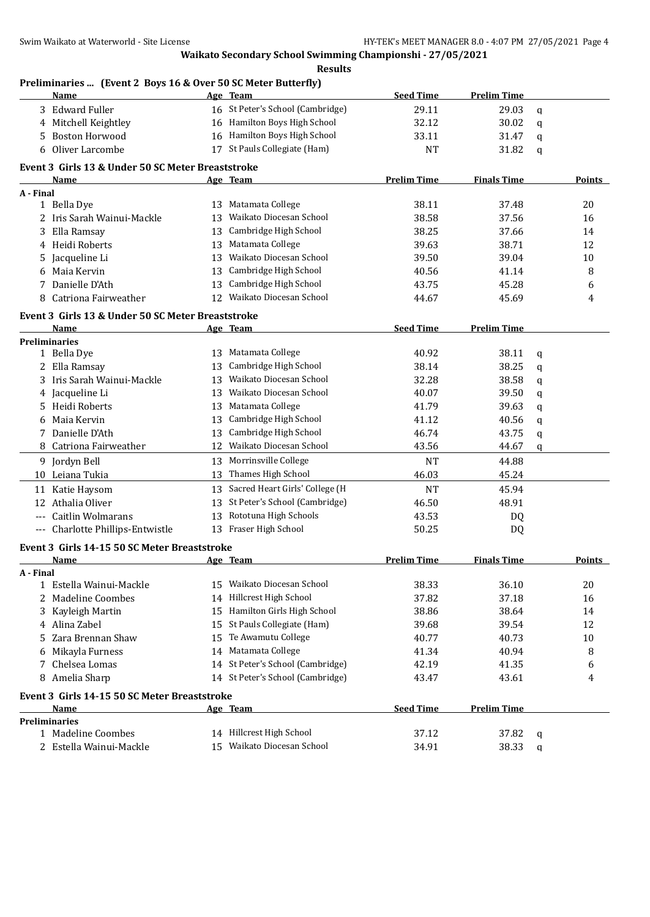#### **Results**

## **Preliminaries ... (Event 2 Boys 16 & Over 50 SC Meter Butterfly)**

|           | <b>Name</b>                                       |          | Age Team                                         | <b>Seed Time</b>   | <b>Prelim Time</b> |             |               |
|-----------|---------------------------------------------------|----------|--------------------------------------------------|--------------------|--------------------|-------------|---------------|
| 3         | <b>Edward Fuller</b>                              |          | 16 St Peter's School (Cambridge)                 | 29.11              | 29.03              | q           |               |
| 4         | Mitchell Keightley                                |          | 16 Hamilton Boys High School                     | 32.12              | 30.02              | q           |               |
| 5         | <b>Boston Horwood</b>                             | 16       | Hamilton Boys High School                        | 33.11              | 31.47              | q           |               |
| 6         | Oliver Larcombe                                   |          | 17 St Pauls Collegiate (Ham)                     | <b>NT</b>          | 31.82              | q           |               |
|           | Event 3 Girls 13 & Under 50 SC Meter Breaststroke |          |                                                  |                    |                    |             |               |
|           | <b>Name</b>                                       |          | Age Team                                         | <b>Prelim Time</b> | <b>Finals Time</b> |             | Points        |
| A - Final |                                                   |          |                                                  |                    |                    |             |               |
|           | 1 Bella Dye                                       |          | 13 Matamata College                              | 38.11              | 37.48              |             | 20            |
|           | 2 Iris Sarah Wainui-Mackle                        | 13       | Waikato Diocesan School                          | 38.58              | 37.56              |             | 16            |
| 3         | Ella Ramsay                                       | 13       | Cambridge High School                            | 38.25              | 37.66              |             | 14            |
| 4         | Heidi Roberts                                     | 13       | Matamata College                                 | 39.63              | 38.71              |             | 12            |
| 5         | Jacqueline Li                                     | 13       | Waikato Diocesan School                          | 39.50              | 39.04              |             | 10            |
| 6         | Maia Kervin                                       | 13       | Cambridge High School                            | 40.56              | 41.14              |             | 8             |
| 7         | Danielle D'Ath                                    | 13       | Cambridge High School                            | 43.75              | 45.28              |             | 6             |
| 8         | Catriona Fairweather                              | 12       | Waikato Diocesan School                          | 44.67              | 45.69              |             | 4             |
|           |                                                   |          |                                                  |                    |                    |             |               |
|           | Event 3 Girls 13 & Under 50 SC Meter Breaststroke |          |                                                  |                    |                    |             |               |
|           | Name                                              |          | Age Team                                         | <b>Seed Time</b>   | <b>Prelim Time</b> |             |               |
|           | <b>Preliminaries</b>                              |          | Matamata College                                 |                    |                    |             |               |
|           | 1 Bella Dye<br>2 Ella Ramsay                      | 13<br>13 | Cambridge High School                            | 40.92<br>38.14     | 38.11<br>38.25     | q           |               |
|           | Iris Sarah Wainui-Mackle                          |          | Waikato Diocesan School                          |                    |                    | q           |               |
| 3         |                                                   | 13       | Waikato Diocesan School                          | 32.28              | 38.58              | q           |               |
| 4         | Jacqueline Li                                     | 13       |                                                  | 40.07              | 39.50              | q           |               |
| 5         | Heidi Roberts                                     | 13       | Matamata College                                 | 41.79              | 39.63              | q           |               |
| 6         | Maia Kervin                                       | 13       | Cambridge High School                            | 41.12              | 40.56              | q           |               |
| 7         | Danielle D'Ath                                    | 13       | Cambridge High School<br>Waikato Diocesan School | 46.74              | 43.75              | q           |               |
|           | 8 Catriona Fairweather                            | 12       |                                                  | 43.56              | 44.67              | $\mathbf q$ |               |
|           | 9 Jordyn Bell                                     | 13       | Morrinsville College                             | <b>NT</b>          | 44.88              |             |               |
|           | 10 Leiana Tukia                                   | 13       | Thames High School                               | 46.03              | 45.24              |             |               |
|           | 11 Katie Haysom                                   | 13       | Sacred Heart Girls' College (H                   | <b>NT</b>          | 45.94              |             |               |
| 12        | Athalia Oliver                                    | 13       | St Peter's School (Cambridge)                    | 46.50              | 48.91              |             |               |
|           | Caitlin Wolmarans                                 | 13       | Rototuna High Schools                            | 43.53              | DQ                 |             |               |
|           | --- Charlotte Phillips-Entwistle                  | 13       | Fraser High School                               | 50.25              | DQ                 |             |               |
|           | Event 3 Girls 14-15 50 SC Meter Breaststroke      |          |                                                  |                    |                    |             |               |
|           | <b>Name</b>                                       |          | Age Team                                         | <b>Prelim Time</b> | <b>Finals Time</b> |             | <b>Points</b> |
| A - Final |                                                   |          |                                                  |                    |                    |             |               |
| 1         | Estella Wainui-Mackle                             | 15       | Waikato Diocesan School                          | 38.33              | 36.10              |             | 20            |
| 2         | <b>Madeline Coombes</b>                           |          | 14 Hillcrest High School                         | 37.82              | 37.18              |             | 16            |
| 3         | Kayleigh Martin                                   | 15       | Hamilton Girls High School                       | 38.86              | 38.64              |             | 14            |
| 4         | Alina Zabel                                       | 15       | St Pauls Collegiate (Ham)                        | 39.68              | 39.54              |             | 12            |
| 5         | Zara Brennan Shaw                                 | 15       | Te Awamutu College                               | 40.77              | 40.73              |             | 10            |
| 6         | Mikayla Furness                                   | 14       | Matamata College                                 | 41.34              | 40.94              |             | 8             |
| 7         | Chelsea Lomas                                     | 14       | St Peter's School (Cambridge)                    | 42.19              | 41.35              |             | 6             |
| 8         | Amelia Sharp                                      |          | 14 St Peter's School (Cambridge)                 | 43.47              | 43.61              |             | 4             |
|           | Event 3 Girls 14-15 50 SC Meter Breaststroke      |          |                                                  |                    |                    |             |               |
|           | Name                                              |          | Age Team                                         | <b>Seed Time</b>   | <b>Prelim Time</b> |             |               |
|           | <b>Preliminaries</b>                              |          |                                                  |                    |                    |             |               |
|           | 1 Madeline Coombes                                |          | 14 Hillcrest High School                         | 37.12              | 37.82              | q           |               |
|           | 2 Estella Wainui-Mackle                           |          | 15 Waikato Diocesan School                       | 34.91              | 38.33              | q           |               |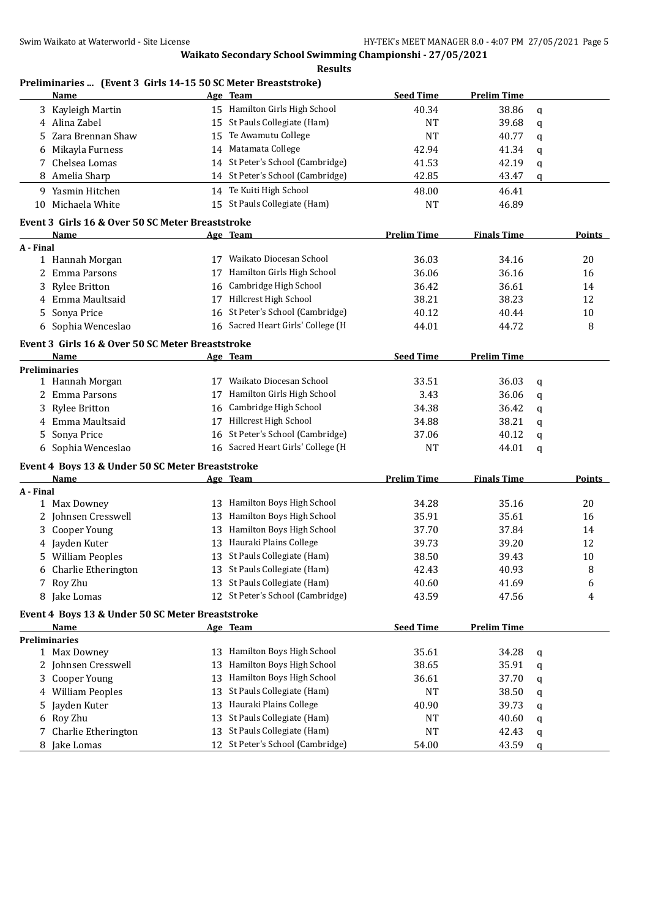| Preliminaries  (Event 3 Girls 14-15 50 SC Meter Breaststroke)<br>Name |    | Age Team                          | <b>Seed Time</b>   | <b>Prelim Time</b> |   |               |
|-----------------------------------------------------------------------|----|-----------------------------------|--------------------|--------------------|---|---------------|
| Kayleigh Martin<br>3                                                  |    | 15 Hamilton Girls High School     | 40.34              | 38.86              | q |               |
| Alina Zabel<br>4                                                      |    | 15 St Pauls Collegiate (Ham)      | <b>NT</b>          | 39.68              | q |               |
| Zara Brennan Shaw<br>5                                                | 15 | Te Awamutu College                | <b>NT</b>          | 40.77              | q |               |
| Mikayla Furness<br>6                                                  | 14 | Matamata College                  | 42.94              | 41.34              | q |               |
| Chelsea Lomas<br>7                                                    | 14 | St Peter's School (Cambridge)     | 41.53              | 42.19              | q |               |
| Amelia Sharp<br>8                                                     |    | 14 St Peter's School (Cambridge)  | 42.85              | 43.47              | q |               |
| 9 Yasmin Hitchen                                                      |    | 14 Te Kuiti High School           | 48.00              | 46.41              |   |               |
| Michaela White                                                        |    | 15 St Pauls Collegiate (Ham)      |                    |                    |   |               |
| 10                                                                    |    |                                   | <b>NT</b>          | 46.89              |   |               |
| Event 3 Girls 16 & Over 50 SC Meter Breaststroke                      |    |                                   |                    |                    |   |               |
| Name                                                                  |    | Age Team                          | <b>Prelim Time</b> | <b>Finals Time</b> |   | Points        |
| A - Final                                                             |    | 17 Waikato Diocesan School        |                    |                    |   |               |
| 1 Hannah Morgan                                                       |    |                                   | 36.03              | 34.16              |   | 20            |
| Emma Parsons<br>2                                                     | 17 | Hamilton Girls High School        | 36.06              | 36.16              |   | 16            |
| <b>Rylee Britton</b><br>3                                             | 16 | Cambridge High School             | 36.42              | 36.61              |   | 14            |
| Emma Maultsaid<br>4                                                   | 17 | Hillcrest High School             | 38.21              | 38.23              |   | 12            |
| Sonya Price<br>5                                                      | 16 | St Peter's School (Cambridge)     | 40.12              | 40.44              |   | 10            |
| Sophia Wenceslao<br>6                                                 | 16 | Sacred Heart Girls' College (H    | 44.01              | 44.72              |   | 8             |
| Event 3 Girls 16 & Over 50 SC Meter Breaststroke                      |    |                                   |                    |                    |   |               |
| <b>Name</b>                                                           |    | Age Team                          | <b>Seed Time</b>   | <b>Prelim Time</b> |   |               |
| <b>Preliminaries</b>                                                  |    |                                   |                    |                    |   |               |
| 1 Hannah Morgan                                                       |    | 17 Waikato Diocesan School        | 33.51              | 36.03              | q |               |
| 2 Emma Parsons                                                        |    | 17 Hamilton Girls High School     | 3.43               | 36.06              | q |               |
| <b>Rylee Britton</b><br>3                                             | 16 | Cambridge High School             | 34.38              | 36.42              | q |               |
| Emma Maultsaid<br>4                                                   | 17 | Hillcrest High School             | 34.88              | 38.21              | q |               |
| Sonya Price<br>5                                                      | 16 | St Peter's School (Cambridge)     | 37.06              | 40.12              | q |               |
| 6 Sophia Wenceslao                                                    |    | 16 Sacred Heart Girls' College (H | <b>NT</b>          | 44.01              | q |               |
| Event 4 Boys 13 & Under 50 SC Meter Breaststroke                      |    |                                   |                    |                    |   |               |
| <b>Name</b>                                                           |    | Age Team                          | <b>Prelim Time</b> | <b>Finals Time</b> |   | <b>Points</b> |
| A - Final                                                             |    |                                   |                    |                    |   |               |
| 1 Max Downey                                                          |    | 13 Hamilton Boys High School      | 34.28              | 35.16              |   | 20            |
| Johnsen Cresswell<br>2                                                | 13 | Hamilton Boys High School         | 35.91              | 35.61              |   | 16            |
| Cooper Young<br>3                                                     | 13 | Hamilton Boys High School         | 37.70              | 37.84              |   | 14            |
| 4 Jayden Kuter                                                        | 13 | Hauraki Plains College            | 39.73              | 39.20              |   | 12            |
| 5 William Peoples                                                     |    | 13 St Pauls Collegiate (Ham)      | 38.50              | 39.43              |   | 10            |
| Charlie Etherington<br>6                                              |    | 13 St Pauls Collegiate (Ham)      | 42.43              | 40.93              |   | 8             |
| Roy Zhu<br>7                                                          |    | 13 St Pauls Collegiate (Ham)      | 40.60              | 41.69              |   | 6             |
| Jake Lomas<br>8                                                       |    | 12 St Peter's School (Cambridge)  | 43.59              | 47.56              |   | 4             |
|                                                                       |    |                                   |                    |                    |   |               |
| Event 4 Boys 13 & Under 50 SC Meter Breaststroke                      |    |                                   |                    |                    |   |               |
| Name                                                                  |    | Age Team                          | <b>Seed Time</b>   | <b>Prelim Time</b> |   |               |
| <b>Preliminaries</b>                                                  | 13 | Hamilton Boys High School         | 35.61              |                    |   |               |
| 1 Max Downey                                                          |    | Hamilton Boys High School         |                    | 34.28              | q |               |
| Johnsen Cresswell                                                     | 13 |                                   | 38.65              | 35.91              | q |               |
| Cooper Young<br>3                                                     | 13 | Hamilton Boys High School         | 36.61              | 37.70              | q |               |
| <b>William Peoples</b><br>4                                           | 13 | St Pauls Collegiate (Ham)         | <b>NT</b>          | 38.50              | q |               |
| Jayden Kuter<br>5                                                     | 13 | Hauraki Plains College            | 40.90              | 39.73              | q |               |
| Roy Zhu<br>6                                                          | 13 | St Pauls Collegiate (Ham)         | <b>NT</b>          | 40.60              | q |               |
| Charlie Etherington<br>7                                              | 13 | St Pauls Collegiate (Ham)         | <b>NT</b>          | 42.43              | q |               |
| Jake Lomas<br>8                                                       | 12 | St Peter's School (Cambridge)     | 54.00              | 43.59              | q |               |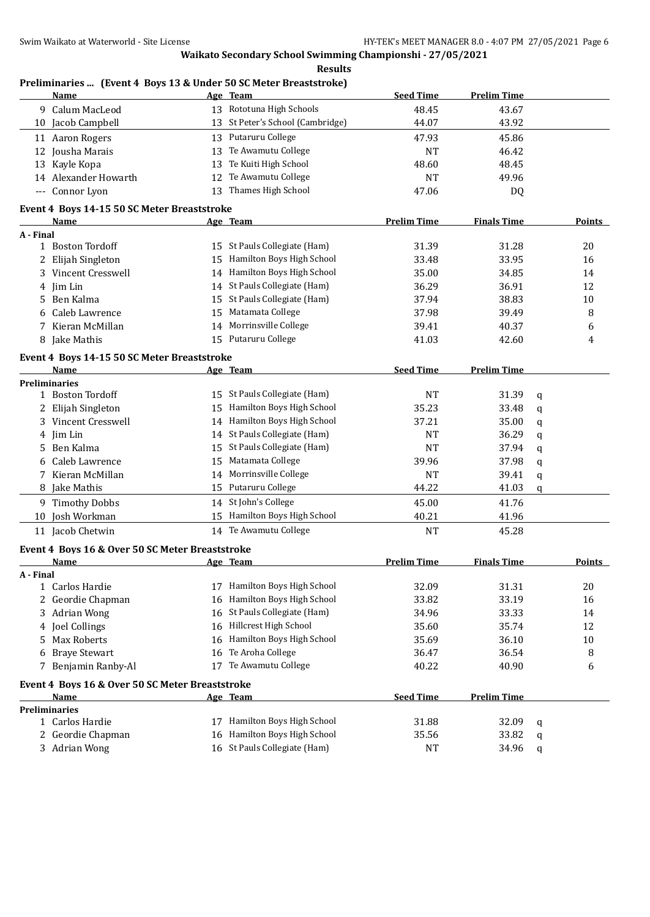|           | Preliminaries  (Event 4 Boys 13 & Under 50 SC Meter Breaststroke) |    |                                  |                    |                    |   |               |
|-----------|-------------------------------------------------------------------|----|----------------------------------|--------------------|--------------------|---|---------------|
|           | Name                                                              |    | Age Team                         | <b>Seed Time</b>   | <b>Prelim Time</b> |   |               |
|           | 9 Calum MacLeod                                                   |    | 13 Rototuna High Schools         | 48.45              | 43.67              |   |               |
|           | 10 Jacob Campbell                                                 |    | 13 St Peter's School (Cambridge) | 44.07              | 43.92              |   |               |
|           | 11 Aaron Rogers                                                   |    | 13 Putaruru College              | 47.93              | 45.86              |   |               |
|           | 12 Jousha Marais                                                  | 13 | Te Awamutu College               | <b>NT</b>          | 46.42              |   |               |
|           | 13 Kayle Kopa                                                     | 13 | Te Kuiti High School             | 48.60              | 48.45              |   |               |
|           | 14 Alexander Howarth                                              | 12 | Te Awamutu College               | <b>NT</b>          | 49.96              |   |               |
|           | --- Connor Lyon                                                   | 13 | Thames High School               | 47.06              | DQ                 |   |               |
|           | Event 4 Boys 14-15 50 SC Meter Breaststroke                       |    |                                  |                    |                    |   |               |
|           | Name                                                              |    | Age Team                         | <b>Prelim Time</b> | <b>Finals Time</b> |   | Points        |
| A - Final |                                                                   |    |                                  |                    |                    |   |               |
|           | 1 Boston Tordoff                                                  |    | 15 St Pauls Collegiate (Ham)     | 31.39              | 31.28              |   | 20            |
| 2         | Elijah Singleton                                                  | 15 | Hamilton Boys High School        | 33.48              | 33.95              |   | 16            |
| 3         | Vincent Cresswell                                                 | 14 | Hamilton Boys High School        | 35.00              | 34.85              |   | 14            |
| 4         | Iim Lin                                                           | 14 | St Pauls Collegiate (Ham)        | 36.29              | 36.91              |   | 12            |
| 5.        | Ben Kalma                                                         | 15 | St Pauls Collegiate (Ham)        | 37.94              | 38.83              |   | 10            |
| 6         | Caleb Lawrence                                                    | 15 | Matamata College                 | 37.98              | 39.49              |   | 8             |
| 7         | Kieran McMillan                                                   | 14 | Morrinsville College             | 39.41              | 40.37              |   | 6             |
|           | 8 Jake Mathis                                                     | 15 | Putaruru College                 | 41.03              | 42.60              |   | 4             |
|           | Event 4 Boys 14-15 50 SC Meter Breaststroke                       |    |                                  |                    |                    |   |               |
|           | Name                                                              |    | <u>Age Team</u>                  | <b>Seed Time</b>   | <b>Prelim Time</b> |   |               |
|           | <b>Preliminaries</b>                                              |    |                                  |                    |                    |   |               |
|           | 1 Boston Tordoff                                                  |    | 15 St Pauls Collegiate (Ham)     | <b>NT</b>          | 31.39              | q |               |
|           | Elijah Singleton                                                  | 15 | Hamilton Boys High School        | 35.23              | 33.48              | q |               |
|           | 3 Vincent Cresswell                                               | 14 | Hamilton Boys High School        | 37.21              | 35.00              | q |               |
|           | 4 Jim Lin                                                         | 14 | St Pauls Collegiate (Ham)        | NT                 | 36.29              | q |               |
| 5.        | Ben Kalma                                                         | 15 | St Pauls Collegiate (Ham)        | <b>NT</b>          | 37.94              | q |               |
| 6         | Caleb Lawrence                                                    | 15 | Matamata College                 | 39.96              | 37.98              | q |               |
|           | 7 Kieran McMillan                                                 | 14 | Morrinsville College             | <b>NT</b>          | 39.41              | q |               |
| 8         | Jake Mathis                                                       |    | 15 Putaruru College              | 44.22              | 41.03              | q |               |
|           | 9 Timothy Dobbs                                                   | 14 | St John's College                | 45.00              | 41.76              |   |               |
|           | 10 Josh Workman                                                   |    | 15 Hamilton Boys High School     | 40.21              | 41.96              |   |               |
|           | 11 Jacob Chetwin                                                  |    | 14 Te Awamutu College            | <b>NT</b>          | 45.28              |   |               |
|           | Event 4 Boys 16 & Over 50 SC Meter Breaststroke                   |    |                                  |                    |                    |   |               |
|           | <u>Name</u>                                                       |    |                                  | <b>Prelim Time</b> | <b>Finals Time</b> |   | <b>Points</b> |
| A - Final |                                                                   |    |                                  |                    |                    |   |               |
|           | 1 Carlos Hardie                                                   |    | 17 Hamilton Boys High School     | 32.09              | 31.31              |   | 20            |
| 2         | Geordie Chapman                                                   | 16 | Hamilton Boys High School        | 33.82              | 33.19              |   | 16            |
| 3         | Adrian Wong                                                       | 16 | St Pauls Collegiate (Ham)        | 34.96              | 33.33              |   | 14            |
| 4         | Joel Collings                                                     | 16 | Hillcrest High School            | 35.60              | 35.74              |   | 12            |
| 5.        | Max Roberts                                                       | 16 | Hamilton Boys High School        | 35.69              | 36.10              |   | 10            |
| 6         | <b>Braye Stewart</b>                                              | 16 | Te Aroha College                 | 36.47              | 36.54              |   | 8             |
| 7         | Benjamin Ranby-Al                                                 | 17 | Te Awamutu College               | 40.22              | 40.90              |   | 6             |
|           | Event 4 Boys 16 & Over 50 SC Meter Breaststroke                   |    |                                  |                    |                    |   |               |
|           | Name                                                              |    | Age Team                         | <b>Seed Time</b>   | <b>Prelim Time</b> |   |               |
|           | <b>Preliminaries</b>                                              |    |                                  |                    |                    |   |               |
|           | 1 Carlos Hardie                                                   | 17 | Hamilton Boys High School        | 31.88              | 32.09              | q |               |
| 2         | Geordie Chapman                                                   | 16 | Hamilton Boys High School        | 35.56              | 33.82              | q |               |
|           | 3 Adrian Wong                                                     |    | 16 St Pauls Collegiate (Ham)     | NT                 | 34.96              | q |               |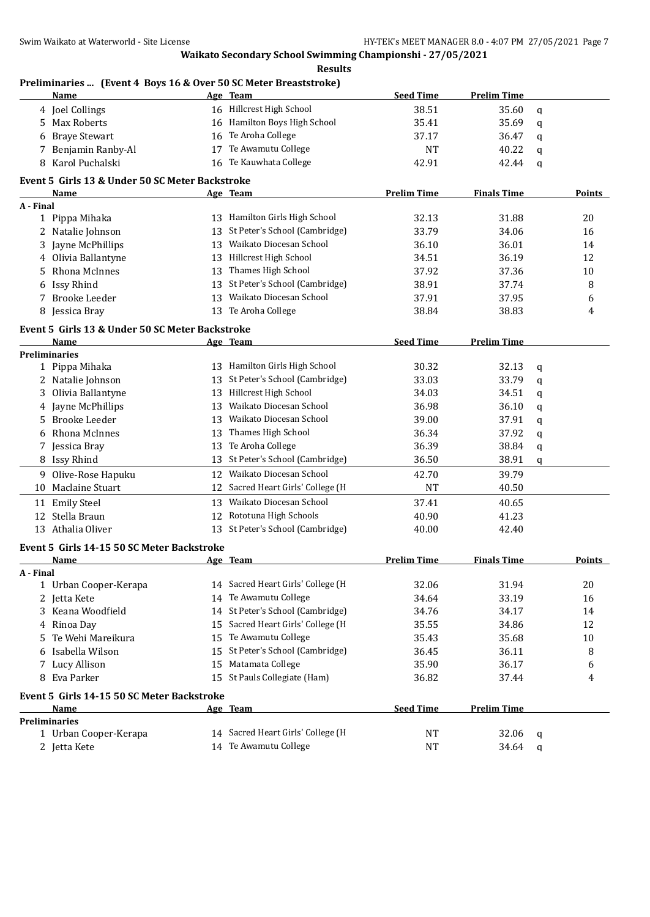## **Preliminaries ... (Event 4 Boys 16 & Over 50 SC Meter Breaststroke)**

|           | Name                                                      |    | Age Team                          | <b>Seed Time</b>   | <b>Prelim Time</b> |             |               |
|-----------|-----------------------------------------------------------|----|-----------------------------------|--------------------|--------------------|-------------|---------------|
|           | 4 Joel Collings                                           |    | 16 Hillcrest High School          | 38.51              | 35.60              | q           |               |
|           | 5 Max Roberts                                             |    | 16 Hamilton Boys High School      | 35.41              | 35.69              | q           |               |
|           | <b>Braye Stewart</b>                                      | 16 | Te Aroha College                  | 37.17              | 36.47              | q           |               |
| 7         | Benjamin Ranby-Al                                         | 17 | Te Awamutu College                | <b>NT</b>          | 40.22              | q           |               |
|           | 8 Karol Puchalski                                         | 16 | Te Kauwhata College               | 42.91              | 42.44              | q           |               |
|           | Event 5 Girls 13 & Under 50 SC Meter Backstroke           |    |                                   |                    |                    |             |               |
|           | Name                                                      |    |                                   | <b>Prelim Time</b> | <b>Finals Time</b> |             | <b>Points</b> |
| A - Final |                                                           |    | Age Team                          |                    |                    |             |               |
|           | 1 Pippa Mihaka                                            |    | 13 Hamilton Girls High School     | 32.13              | 31.88              |             | 20            |
|           | 2 Natalie Johnson                                         | 13 | St Peter's School (Cambridge)     | 33.79              | 34.06              |             | 16            |
|           | 3 Jayne McPhillips                                        |    | 13 Waikato Diocesan School        | 36.10              | 36.01              |             | 14            |
| 4         | Olivia Ballantyne                                         |    | 13 Hillcrest High School          | 34.51              | 36.19              |             | 12            |
| 5.        | Rhona McInnes                                             |    | 13 Thames High School             | 37.92              | 37.36              |             | 10            |
|           | 6 Issy Rhind                                              | 13 | St Peter's School (Cambridge)     | 38.91              | 37.74              |             | 8             |
| 7         | <b>Brooke Leeder</b>                                      |    | 13 Waikato Diocesan School        | 37.91              | 37.95              |             | 6             |
|           | 8 Jessica Bray                                            |    | 13 Te Aroha College               | 38.84              | 38.83              |             | 4             |
|           |                                                           |    |                                   |                    |                    |             |               |
|           | Event 5 Girls 13 & Under 50 SC Meter Backstroke           |    |                                   |                    |                    |             |               |
|           | Name                                                      |    | Age Team                          | <b>Seed Time</b>   | <b>Prelim Time</b> |             |               |
|           | <b>Preliminaries</b>                                      |    |                                   |                    |                    |             |               |
|           | 1 Pippa Mihaka                                            |    | 13 Hamilton Girls High School     | 30.32              | 32.13              | q           |               |
|           | 2 Natalie Johnson                                         | 13 | St Peter's School (Cambridge)     | 33.03              | 33.79              | $\mathbf q$ |               |
| 3         | Olivia Ballantyne                                         |    | 13 Hillcrest High School          | 34.03              | 34.51              | q           |               |
|           | 4 Jayne McPhillips                                        | 13 | Waikato Diocesan School           | 36.98              | 36.10              | q           |               |
| 5.        | Brooke Leeder                                             | 13 | Waikato Diocesan School           | 39.00              | 37.91              | q           |               |
| 6         | Rhona McInnes                                             | 13 | Thames High School                | 36.34              | 37.92              | q           |               |
| 7         | Jessica Bray                                              | 13 | Te Aroha College                  | 36.39              | 38.84              | q           |               |
|           | 8 Issy Rhind                                              | 13 | St Peter's School (Cambridge)     | 36.50              | 38.91              | q           |               |
| 9.        | Olive-Rose Hapuku                                         | 12 | Waikato Diocesan School           | 42.70              | 39.79              |             |               |
|           | 10 Maclaine Stuart                                        | 12 | Sacred Heart Girls' College (H    | <b>NT</b>          | 40.50              |             |               |
|           | 11 Emily Steel                                            | 13 | Waikato Diocesan School           | 37.41              | 40.65              |             |               |
| 12        | Stella Braun                                              | 12 | Rototuna High Schools             | 40.90              | 41.23              |             |               |
|           | 13 Athalia Oliver                                         |    | 13 St Peter's School (Cambridge)  | 40.00              | 42.40              |             |               |
|           |                                                           |    |                                   |                    |                    |             |               |
|           | Event 5 Girls 14-15 50 SC Meter Backstroke<br><b>Name</b> |    | Age Team                          | <b>Prelim Time</b> | <b>Finals Time</b> |             | <b>Points</b> |
| A - Final |                                                           |    |                                   |                    |                    |             |               |
|           | 1 Urban Cooper-Kerapa                                     |    | 14 Sacred Heart Girls' College (H | 32.06              | 31.94              |             | 20            |
|           | 2 Jetta Kete                                              |    | 14 Te Awamutu College             | 34.64              | 33.19              |             | 16            |
|           | 3 Keana Woodfield                                         |    | 14 St Peter's School (Cambridge)  | 34.76              | 34.17              |             | 14            |
|           | 4 Rinoa Day                                               | 15 | Sacred Heart Girls' College (H    | 35.55              | 34.86              |             | 12            |
| 5.        | Te Wehi Mareikura                                         | 15 | Te Awamutu College                | 35.43              | 35.68              |             | $10\,$        |
| 6         | Isabella Wilson                                           | 15 | St Peter's School (Cambridge)     | 36.45              | 36.11              |             | 8             |
|           | 7 Lucy Allison                                            | 15 | Matamata College                  | 35.90              | 36.17              |             |               |
|           | 8 Eva Parker                                              | 15 | St Pauls Collegiate (Ham)         |                    | 37.44              |             | 6             |
|           |                                                           |    |                                   | 36.82              |                    |             | 4             |
|           | Event 5 Girls 14-15 50 SC Meter Backstroke                |    |                                   |                    |                    |             |               |
|           | <b>Name</b>                                               |    | Age Team                          | <b>Seed Time</b>   | <b>Prelim Time</b> |             |               |
|           | <b>Preliminaries</b>                                      |    |                                   |                    |                    |             |               |
|           | 1 Urban Cooper-Kerapa                                     |    | 14 Sacred Heart Girls' College (H | NT                 | 32.06              | q           |               |
|           | 2 Jetta Kete                                              |    | 14 Te Awamutu College             | <b>NT</b>          | 34.64              | q           |               |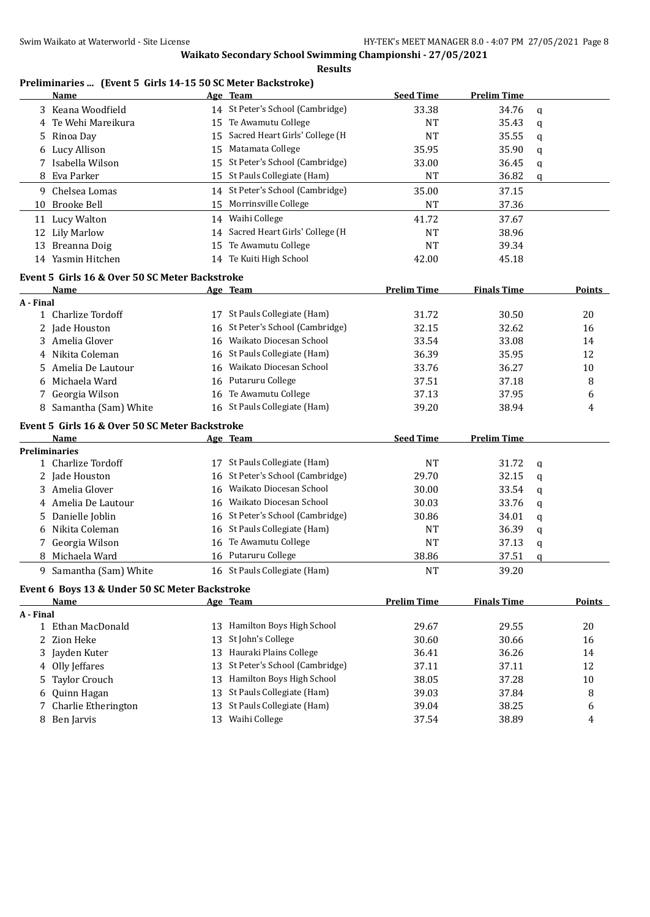#### **Results**

# **Preliminaries ... (Event 5 Girls 14-15 50 SC Meter Backstroke)**

|           | <b>Name</b>                                    |    | Age Team                                               | <b>Seed Time</b>   | <b>Prelim Time</b> |   |               |
|-----------|------------------------------------------------|----|--------------------------------------------------------|--------------------|--------------------|---|---------------|
|           | 3 Keana Woodfield                              |    | 14 St Peter's School (Cambridge)                       | 33.38              | 34.76              | q |               |
| 4         | Te Wehi Mareikura                              | 15 | Te Awamutu College                                     | <b>NT</b>          | 35.43              | q |               |
| 5.        | Rinoa Day                                      | 15 | Sacred Heart Girls' College (H                         | <b>NT</b>          | 35.55              | q |               |
| 6         | Lucy Allison                                   | 15 | Matamata College                                       | 35.95              | 35.90              | q |               |
| 7         | Isabella Wilson                                | 15 | St Peter's School (Cambridge)                          | 33.00              | 36.45              | q |               |
| 8         | Eva Parker                                     | 15 | St Pauls Collegiate (Ham)                              | <b>NT</b>          | 36.82              | q |               |
|           | 9 Chelsea Lomas                                |    | 14 St Peter's School (Cambridge)                       | 35.00              | 37.15              |   |               |
| 10        | <b>Brooke Bell</b>                             | 15 | Morrinsville College                                   | <b>NT</b>          | 37.36              |   |               |
|           | 11 Lucy Walton                                 | 14 | Waihi College                                          | 41.72              | 37.67              |   |               |
|           | 12 Lily Marlow                                 | 14 | Sacred Heart Girls' College (H                         | NT                 | 38.96              |   |               |
|           | 13 Breanna Doig                                | 15 | Te Awamutu College                                     | <b>NT</b>          | 39.34              |   |               |
|           | 14 Yasmin Hitchen                              | 14 | Te Kuiti High School                                   | 42.00              | 45.18              |   |               |
|           | Event 5 Girls 16 & Over 50 SC Meter Backstroke |    |                                                        |                    |                    |   |               |
|           | Name                                           |    | Age Team                                               | <b>Prelim Time</b> | <b>Finals Time</b> |   | <b>Points</b> |
| A - Final |                                                |    |                                                        |                    |                    |   |               |
|           | 1 Charlize Tordoff                             |    | 17 St Pauls Collegiate (Ham)                           | 31.72              | 30.50              |   | 20            |
|           | 2 Jade Houston                                 | 16 | St Peter's School (Cambridge)                          | 32.15              | 32.62              |   | 16            |
|           | 3 Amelia Glover                                | 16 | Waikato Diocesan School                                | 33.54              | 33.08              |   | 14            |
| 4         | Nikita Coleman                                 | 16 | St Pauls Collegiate (Ham)                              | 36.39              | 35.95              |   | 12            |
| 5         | Amelia De Lautour                              | 16 | Waikato Diocesan School                                | 33.76              | 36.27              |   | 10            |
| 6         | Michaela Ward                                  | 16 | Putaruru College                                       | 37.51              | 37.18              |   | 8             |
| 7         | Georgia Wilson                                 | 16 | Te Awamutu College                                     | 37.13              | 37.95              |   | 6             |
|           | 8 Samantha (Sam) White                         |    | 16 St Pauls Collegiate (Ham)                           | 39.20              | 38.94              |   | 4             |
|           | Event 5 Girls 16 & Over 50 SC Meter Backstroke |    |                                                        |                    |                    |   |               |
|           | <b>Name</b>                                    |    | <u>Age Team</u>                                        | <b>Seed Time</b>   | <b>Prelim Time</b> |   |               |
|           | <b>Preliminaries</b>                           |    |                                                        |                    |                    |   |               |
| 1         | Charlize Tordoff                               | 17 | St Pauls Collegiate (Ham)                              | <b>NT</b>          | 31.72              | q |               |
| 2         | Jade Houston                                   | 16 | St Peter's School (Cambridge)                          | 29.70              | 32.15              | q |               |
| 3.        | Amelia Glover                                  | 16 | Waikato Diocesan School                                | 30.00              | 33.54              | q |               |
|           | Amelia De Lautour                              | 16 | Waikato Diocesan School                                | 30.03              | 33.76              | q |               |
| 5         | Danielle Joblin                                | 16 | St Peter's School (Cambridge)                          | 30.86              | 34.01              | q |               |
| 6         | Nikita Coleman                                 | 16 | St Pauls Collegiate (Ham)                              | <b>NT</b>          | 36.39              | q |               |
| 7         | Georgia Wilson                                 | 16 | Te Awamutu College                                     | <b>NT</b>          | 37.13              | q |               |
|           | Michaela Ward                                  | 16 | Putaruru College                                       | 38.86              | 37.51              | q |               |
|           | 9 Samantha (Sam) White                         |    | 16 St Pauls Collegiate (Ham)                           | <b>NT</b>          | 39.20              |   |               |
|           | Event 6 Boys 13 & Under 50 SC Meter Backstroke |    |                                                        |                    |                    |   |               |
|           | <b>Name</b>                                    |    | Age Team                                               | <b>Prelim Time</b> | <b>Finals Time</b> |   | <b>Points</b> |
| A - Final |                                                |    |                                                        |                    |                    |   |               |
|           | 1 Ethan MacDonald                              | 13 | Hamilton Boys High School<br>St John's College         | 29.67              | 29.55              |   | 20            |
| 2         | Zion Heke                                      | 13 |                                                        | 30.60              | 30.66              |   | 16            |
| 3         | Jayden Kuter                                   | 13 | Hauraki Plains College                                 | 36.41              | 36.26              |   | 14            |
| 4         | Olly Jeffares                                  | 13 | St Peter's School (Cambridge)                          | 37.11              | 37.11              |   | 12            |
| 5         | Taylor Crouch                                  | 13 | Hamilton Boys High School<br>St Pauls Collegiate (Ham) | 38.05              | 37.28              |   | 10            |
| 6         | Quinn Hagan                                    | 13 | St Pauls Collegiate (Ham)                              | 39.03              | 37.84              |   | 8             |
| 7         | Charlie Etherington                            | 13 |                                                        | 39.04              | 38.25              |   | 6             |
|           | 8 Ben Jarvis                                   | 13 | Waihi College                                          | 37.54              | 38.89              |   | 4             |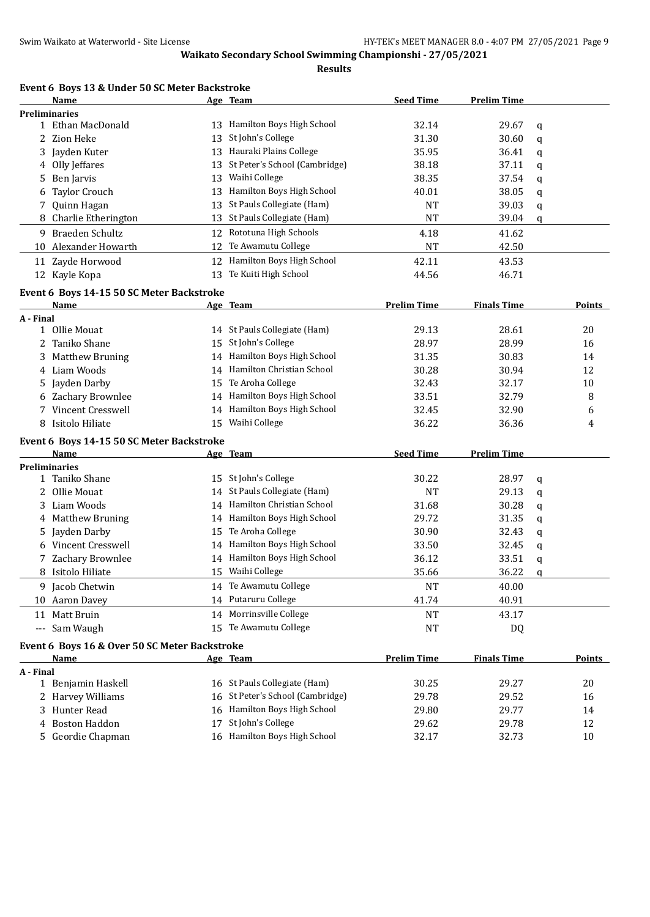**Results**

|           | Event 6 Boys 13 & Under 50 SC Meter Backstroke |    |                                                   |                    |                    |   |               |
|-----------|------------------------------------------------|----|---------------------------------------------------|--------------------|--------------------|---|---------------|
|           | Name                                           |    | Age Team                                          | <b>Seed Time</b>   | <b>Prelim Time</b> |   |               |
|           | <b>Preliminaries</b>                           |    |                                                   |                    |                    |   |               |
|           | 1 Ethan MacDonald                              | 13 | Hamilton Boys High School                         | 32.14              | 29.67              | q |               |
|           | 2 Zion Heke                                    | 13 | St John's College                                 | 31.30              | 30.60              | q |               |
| 3         | Jayden Kuter                                   | 13 | Hauraki Plains College                            | 35.95              | 36.41              | q |               |
| 4         | Olly Jeffares                                  | 13 | St Peter's School (Cambridge)                     | 38.18              | 37.11              | q |               |
| 5         | Ben Jarvis                                     | 13 | Waihi College                                     | 38.35              | 37.54              | q |               |
| 6         | <b>Taylor Crouch</b>                           | 13 | Hamilton Boys High School                         | 40.01              | 38.05              | q |               |
| 7         | Quinn Hagan                                    | 13 | St Pauls Collegiate (Ham)                         | <b>NT</b>          | 39.03              | q |               |
| 8         | Charlie Etherington                            | 13 | St Pauls Collegiate (Ham)                         | <b>NT</b>          | 39.04              | q |               |
|           | 9 Braeden Schultz                              |    | 12 Rototuna High Schools                          | 4.18               | 41.62              |   |               |
|           | 10 Alexander Howarth                           | 12 | Te Awamutu College                                | <b>NT</b>          | 42.50              |   |               |
|           | 11 Zayde Horwood                               | 12 | Hamilton Boys High School                         | 42.11              | 43.53              |   |               |
|           | 12 Kayle Kopa                                  | 13 | Te Kuiti High School                              | 44.56              | 46.71              |   |               |
|           | Event 6 Boys 14-15 50 SC Meter Backstroke      |    |                                                   |                    |                    |   |               |
|           | Name                                           |    | Age Team                                          | <b>Prelim Time</b> | <b>Finals Time</b> |   | Points        |
| A - Final |                                                |    |                                                   |                    |                    |   |               |
|           | 1 Ollie Mouat                                  |    | 14 St Pauls Collegiate (Ham)                      | 29.13              | 28.61              |   | 20            |
| 2         | Taniko Shane                                   |    | 15 St John's College                              | 28.97              | 28.99              |   | 16            |
|           | Matthew Bruning                                |    | 14 Hamilton Boys High School                      | 31.35              | 30.83              |   | 14            |
| 4         | Liam Woods                                     |    | 14 Hamilton Christian School                      | 30.28              | 30.94              |   | 12            |
| 5.        | Jayden Darby                                   | 15 | Te Aroha College                                  | 32.43              | 32.17              |   | 10            |
|           | 6 Zachary Brownlee                             |    | 14 Hamilton Boys High School                      | 33.51              | 32.79              |   | 8             |
| 7         | Vincent Cresswell                              |    | 14 Hamilton Boys High School                      | 32.45              | 32.90              |   | 6             |
| 8         | Isitolo Hiliate                                | 15 | Waihi College                                     | 36.22              | 36.36              |   | 4             |
|           |                                                |    |                                                   |                    |                    |   |               |
|           | Event 6 Boys 14-15 50 SC Meter Backstroke      |    |                                                   |                    |                    |   |               |
|           | Name                                           |    | Age Team                                          | <b>Seed Time</b>   | <b>Prelim Time</b> |   |               |
|           | <b>Preliminaries</b><br>1 Taniko Shane         |    |                                                   |                    |                    |   |               |
|           |                                                |    | 15 St John's College<br>St Pauls Collegiate (Ham) | 30.22              | 28.97              | q |               |
| 2         | Ollie Mouat                                    | 14 | 14 Hamilton Christian School                      | <b>NT</b>          | 29.13              | q |               |
| 3         | Liam Woods                                     |    |                                                   | 31.68              | 30.28              | q |               |
| 4         | <b>Matthew Bruning</b>                         | 14 | Hamilton Boys High School                         | 29.72              | 31.35              | q |               |
| 5.        | Jayden Darby                                   | 15 | Te Aroha College                                  | 30.90              | 32.43              | q |               |
| 6         | Vincent Cresswell                              |    | 14 Hamilton Boys High School                      | 33.50              | 32.45              | q |               |
|           | 7 Zachary Brownlee                             |    | 14 Hamilton Boys High School                      | 36.12              | 33.51              | q |               |
|           | 8 Isitolo Hiliate                              | 15 | Waihi College                                     | 35.66              | 36.22              | q |               |
|           | 9 Jacob Chetwin                                | 14 | Te Awamutu College                                | <b>NT</b>          | 40.00              |   |               |
|           | 10 Aaron Davey                                 |    | 14 Putaruru College                               | 41.74              | 40.91              |   |               |
|           | 11 Matt Bruin                                  | 14 | Morrinsville College                              | NT                 | 43.17              |   |               |
| $\cdots$  | Sam Waugh                                      | 15 | Te Awamutu College                                | NT                 | DQ                 |   |               |
|           | Event 6 Boys 16 & Over 50 SC Meter Backstroke  |    |                                                   |                    |                    |   |               |
|           | Name                                           |    | Age Team                                          | <b>Prelim Time</b> | <b>Finals Time</b> |   | <b>Points</b> |
| A - Final |                                                |    |                                                   |                    |                    |   |               |
|           | 1 Benjamin Haskell                             |    | 16 St Pauls Collegiate (Ham)                      | 30.25              | 29.27              |   | 20            |
| 2         | Harvey Williams                                | 16 | St Peter's School (Cambridge)                     | 29.78              | 29.52              |   | 16            |
| 3.        | Hunter Read                                    | 16 | Hamilton Boys High School                         | 29.80              | 29.77              |   | 14            |
| 4         | <b>Boston Haddon</b>                           | 17 | St John's College                                 | 29.62              | 29.78              |   | 12            |
| 5.        | Geordie Chapman                                |    | 16 Hamilton Boys High School                      | 32.17              | 32.73              |   | 10            |
|           |                                                |    |                                                   |                    |                    |   |               |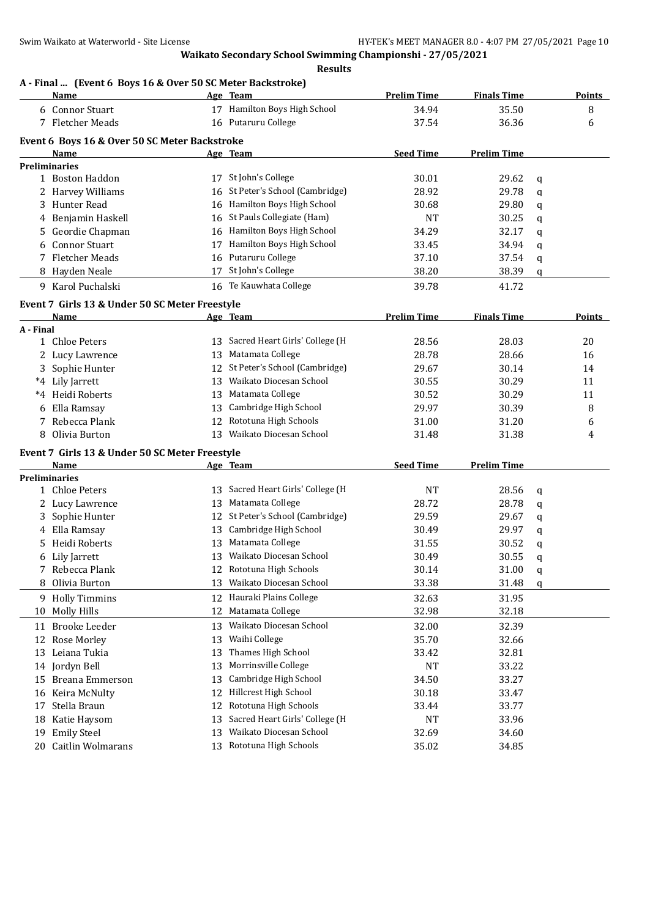### **A - Final ... (Event 6 Boys 16 & Over 50 SC Meter Backstroke)**

|           | <b>Name</b>                                           |    | Age Team                          | <b>Prelim Time</b> | <b>Finals Time</b> |   | <b>Points</b> |
|-----------|-------------------------------------------------------|----|-----------------------------------|--------------------|--------------------|---|---------------|
|           | 6 Connor Stuart                                       |    | 17 Hamilton Boys High School      | 34.94              | 35.50              |   | 8             |
|           | 7 Fletcher Meads                                      |    | 16 Putaruru College               | 37.54              | 36.36              |   | 6             |
|           |                                                       |    |                                   |                    |                    |   |               |
|           | Event 6 Boys 16 & Over 50 SC Meter Backstroke<br>Name |    | Age Team                          | <b>Seed Time</b>   | <b>Prelim Time</b> |   |               |
|           | <b>Preliminaries</b>                                  |    |                                   |                    |                    |   |               |
|           | 1 Boston Haddon                                       |    | 17 St John's College              | 30.01              | 29.62              | q |               |
|           | 2 Harvey Williams                                     | 16 | St Peter's School (Cambridge)     | 28.92              | 29.78              | q |               |
| 3         | Hunter Read                                           |    | 16 Hamilton Boys High School      | 30.68              | 29.80              | q |               |
|           | 4 Benjamin Haskell                                    |    | 16 St Pauls Collegiate (Ham)      | <b>NT</b>          | 30.25              | q |               |
| 5.        | Geordie Chapman                                       |    | 16 Hamilton Boys High School      | 34.29              | 32.17              | q |               |
| 6         | <b>Connor Stuart</b>                                  | 17 | Hamilton Boys High School         | 33.45              | 34.94              | q |               |
| 7         | <b>Fletcher Meads</b>                                 | 16 | Putaruru College                  | 37.10              | 37.54              |   |               |
|           | 8 Hayden Neale                                        |    | 17 St John's College              | 38.20              | 38.39              | q |               |
|           |                                                       |    |                                   |                    |                    | q |               |
|           | 9 Karol Puchalski                                     |    | 16 Te Kauwhata College            | 39.78              | 41.72              |   |               |
|           | Event 7 Girls 13 & Under 50 SC Meter Freestyle        |    |                                   |                    |                    |   |               |
|           | Name                                                  |    | Age Team                          | <b>Prelim Time</b> | <b>Finals Time</b> |   | <b>Points</b> |
| A - Final |                                                       |    |                                   |                    |                    |   |               |
|           | 1 Chloe Peters                                        |    | 13 Sacred Heart Girls' College (H | 28.56              | 28.03              |   | 20            |
|           | 2 Lucy Lawrence                                       | 13 | Matamata College                  | 28.78              | 28.66              |   | 16            |
|           | 3 Sophie Hunter                                       | 12 | St Peter's School (Cambridge)     | 29.67              | 30.14              |   | 14            |
|           | *4 Lily Jarrett                                       | 13 | Waikato Diocesan School           | 30.55              | 30.29              |   | 11            |
|           | *4 Heidi Roberts                                      | 13 | Matamata College                  | 30.52              | 30.29              |   | 11            |
| 6         | Ella Ramsay                                           | 13 | Cambridge High School             | 29.97              | 30.39              |   | 8             |
| 7         | Rebecca Plank                                         | 12 | Rototuna High Schools             | 31.00              | 31.20              |   | 6             |
|           | Olivia Burton                                         | 13 | Waikato Diocesan School           | 31.48              | 31.38              |   | 4             |
|           | Event 7 Girls 13 & Under 50 SC Meter Freestyle        |    |                                   |                    |                    |   |               |
|           | <b>Name</b>                                           |    | Age Team                          | <b>Seed Time</b>   | <b>Prelim Time</b> |   |               |
|           | <b>Preliminaries</b>                                  |    |                                   |                    |                    |   |               |
|           | 1 Chloe Peters                                        |    | 13 Sacred Heart Girls' College (H | <b>NT</b>          | 28.56              | q |               |
|           | 2 Lucy Lawrence                                       | 13 | Matamata College                  | 28.72              | 28.78              | q |               |
|           | 3 Sophie Hunter                                       |    | 12 St Peter's School (Cambridge)  | 29.59              | 29.67              | q |               |
| 4         | Ella Ramsay                                           | 13 | Cambridge High School             | 30.49              | 29.97              | q |               |
| 5         | Heidi Roberts                                         | 13 | Matamata College                  | 31.55              | 30.52              | q |               |
| 6         | Lily Jarrett                                          | 13 | Waikato Diocesan School           | 30.49              | 30.55              | q |               |
| 7         | Rebecca Plank                                         |    | 12 Rototuna High Schools          | 30.14              | 31.00              | q |               |
|           | 8 Olivia Burton                                       | 13 | Waikato Diocesan School           | 33.38              | 31.48              | q |               |
|           | 9 Holly Timmins                                       | 12 | Hauraki Plains College            | 32.63              | 31.95              |   |               |
|           | 10 Molly Hills                                        | 12 | Matamata College                  | 32.98              | 32.18              |   |               |
| 11        | <b>Brooke Leeder</b>                                  | 13 | Waikato Diocesan School           | 32.00              | 32.39              |   |               |
| 12        | Rose Morley                                           | 13 | Waihi College                     | 35.70              | 32.66              |   |               |
| 13        | Leiana Tukia                                          | 13 | Thames High School                | 33.42              | 32.81              |   |               |
| 14        | Jordyn Bell                                           | 13 | Morrinsville College              | NT                 | 33.22              |   |               |
| 15        | <b>Breana Emmerson</b>                                | 13 | Cambridge High School             | 34.50              | 33.27              |   |               |
| 16        | Keira McNulty                                         | 12 | Hillcrest High School             | 30.18              | 33.47              |   |               |
|           | Stella Braun                                          | 12 | Rototuna High Schools             |                    | 33.77              |   |               |
| 17        |                                                       |    | Sacred Heart Girls' College (H    | 33.44              |                    |   |               |
| 18<br>19  | Katie Haysom                                          | 13 | Waikato Diocesan School           | NT                 | 33.96<br>34.60     |   |               |
|           | <b>Emily Steel</b>                                    | 13 | 13 Rototuna High Schools          | 32.69              |                    |   |               |
|           | 20 Caitlin Wolmarans                                  |    |                                   | 35.02              | 34.85              |   |               |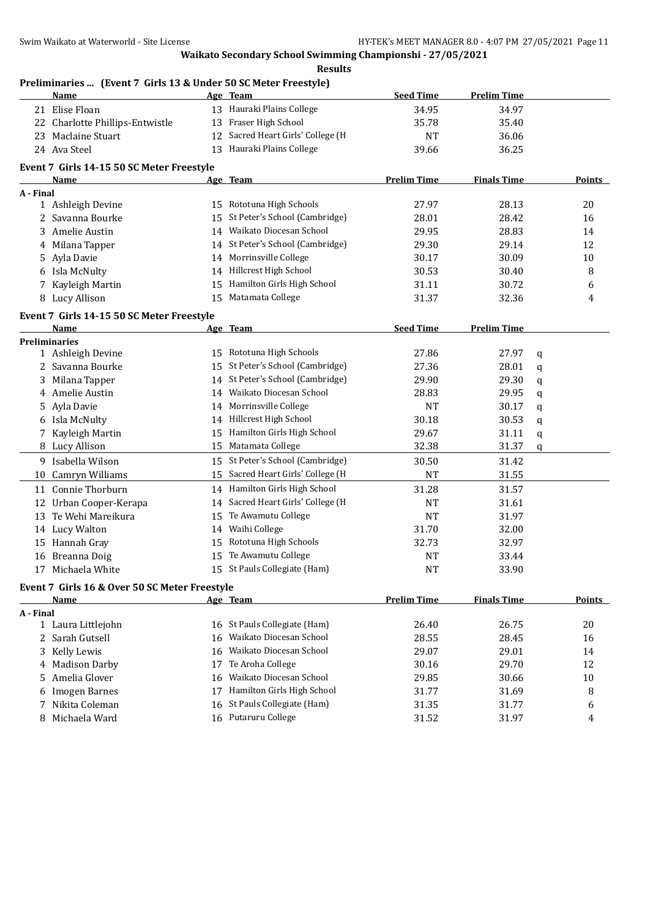### **Preliminaries ... (Event 7 Girls 13 & Under 50 SC Meter Freestyle)**

|              | Name                                          |    | Age Team                          | <b>Seed Time</b>   | <b>Prelim Time</b> |   |               |
|--------------|-----------------------------------------------|----|-----------------------------------|--------------------|--------------------|---|---------------|
|              | 21 Elise Floan                                |    | 13 Hauraki Plains College         | 34.95              | 34.97              |   |               |
|              | 22 Charlotte Phillips-Entwistle               |    | 13 Fraser High School             | 35.78              | 35.40              |   |               |
|              | 23 Maclaine Stuart                            |    | 12 Sacred Heart Girls' College (H | <b>NT</b>          | 36.06              |   |               |
|              | 24 Ava Steel                                  |    | 13 Hauraki Plains College         | 39.66              | 36.25              |   |               |
|              | Event 7 Girls 14-15 50 SC Meter Freestyle     |    |                                   |                    |                    |   |               |
|              | Name                                          |    | Age Team                          | <b>Prelim Time</b> | <b>Finals Time</b> |   | <b>Points</b> |
| A - Final    |                                               |    |                                   |                    |                    |   |               |
|              | 1 Ashleigh Devine                             | 15 | Rototuna High Schools             | 27.97              | 28.13              |   | 20            |
|              | 2 Savanna Bourke                              | 15 | St Peter's School (Cambridge)     | 28.01              | 28.42              |   | 16            |
| 3            | Amelie Austin                                 | 14 | Waikato Diocesan School           | 29.95              | 28.83              |   | 14            |
|              | 4 Milana Tapper                               | 14 | St Peter's School (Cambridge)     | 29.30              | 29.14              |   | 12            |
| 5.           | Ayla Davie                                    | 14 | Morrinsville College              | 30.17              | 30.09              |   | 10            |
|              | 6 Isla McNulty                                | 14 | Hillcrest High School             | 30.53              | 30.40              |   | 8             |
|              | 7 Kayleigh Martin                             | 15 | Hamilton Girls High School        | 31.11              | 30.72              |   | 6             |
|              | 8 Lucy Allison                                | 15 | Matamata College                  | 31.37              | 32.36              |   | 4             |
|              | Event 7 Girls 14-15 50 SC Meter Freestyle     |    |                                   |                    |                    |   |               |
|              | Name                                          |    | Age Team                          | <b>Seed Time</b>   | <b>Prelim Time</b> |   |               |
|              | <b>Preliminaries</b>                          |    |                                   |                    |                    |   |               |
|              | 1 Ashleigh Devine                             |    | 15 Rototuna High Schools          | 27.86              | 27.97              | q |               |
| $\mathbf{2}$ | Savanna Bourke                                |    | 15 St Peter's School (Cambridge)  | 27.36              | 28.01              | q |               |
| 3            | Milana Tapper                                 | 14 | St Peter's School (Cambridge)     | 29.90              | 29.30              | q |               |
| 4            | Amelie Austin                                 | 14 | Waikato Diocesan School           | 28.83              | 29.95              | q |               |
| 5            | Ayla Davie                                    | 14 | Morrinsville College              | <b>NT</b>          | 30.17              | q |               |
|              | 6 Isla McNulty                                | 14 | Hillcrest High School             | 30.18              | 30.53              | q |               |
|              | 7 Kayleigh Martin                             | 15 | Hamilton Girls High School        | 29.67              | 31.11              | q |               |
|              | 8 Lucy Allison                                | 15 | Matamata College                  | 32.38              | 31.37              | q |               |
|              | 9 Isabella Wilson                             | 15 | St Peter's School (Cambridge)     | 30.50              | 31.42              |   |               |
| 10           | Camryn Williams                               | 15 | Sacred Heart Girls' College (H    | <b>NT</b>          | 31.55              |   |               |
| 11           | Connie Thorburn                               |    | 14 Hamilton Girls High School     | 31.28              | 31.57              |   |               |
| 12           | Urban Cooper-Kerapa                           |    | 14 Sacred Heart Girls' College (H | NT                 | 31.61              |   |               |
|              | 13 Te Wehi Mareikura                          | 15 | Te Awamutu College                | <b>NT</b>          | 31.97              |   |               |
|              | 14 Lucy Walton                                | 14 | Waihi College                     | 31.70              | 32.00              |   |               |
|              | 15 Hannah Gray                                | 15 | Rototuna High Schools             | 32.73              | 32.97              |   |               |
|              | 16 Breanna Doig                               | 15 | Te Awamutu College                | <b>NT</b>          | 33.44              |   |               |
|              | 17 Michaela White                             |    | 15 St Pauls Collegiate (Ham)      | <b>NT</b>          | 33.90              |   |               |
|              | Event 7 Girls 16 & Over 50 SC Meter Freestyle |    |                                   |                    |                    |   |               |
|              | Name                                          |    | Age Team                          | <b>Prelim Time</b> | <b>Finals Time</b> |   | <b>Points</b> |
| A - Final    |                                               |    |                                   |                    |                    |   |               |
|              | 1 Laura Littlejohn                            | 16 | St Pauls Collegiate (Ham)         | 26.40              | 26.75              |   | 20            |
| 2            | Sarah Gutsell                                 | 16 | Waikato Diocesan School           | 28.55              | 28.45              |   | 16            |
| 3            | Kelly Lewis                                   | 16 | Waikato Diocesan School           | 29.07              | 29.01              |   | 14            |
| 4            | <b>Madison Darby</b>                          | 17 | Te Aroha College                  | 30.16              | 29.70              |   | 12            |
| 5.           | Amelia Glover                                 | 16 | Waikato Diocesan School           | 29.85              | 30.66              |   | 10            |
| 6            | <b>Imogen Barnes</b>                          | 17 | Hamilton Girls High School        | 31.77              | 31.69              |   | 8             |
| 7            | Nikita Coleman                                | 16 | St Pauls Collegiate (Ham)         | 31.35              | 31.77              |   | 6             |
|              | 8 Michaela Ward                               |    | 16 Putaruru College               | 31.52              | 31.97              |   | 4             |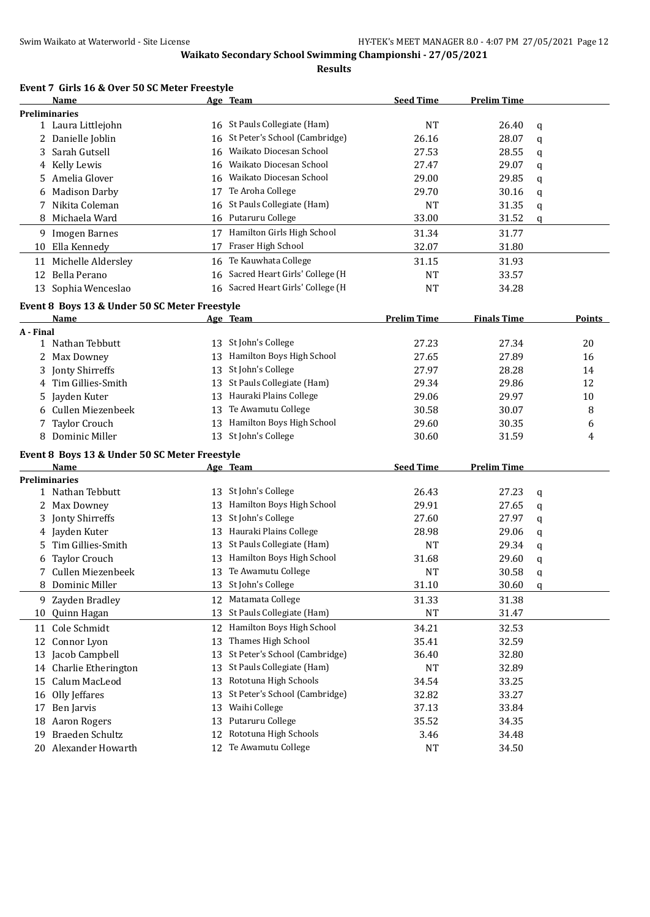**Results**

|  | Event 7 Girls 16 & Over 50 SC Meter Freestyle |  |
|--|-----------------------------------------------|--|
|--|-----------------------------------------------|--|

|           | Name                                          |    | Age Team                          | <b>Seed Time</b>   | <b>Prelim Time</b> |             |        |
|-----------|-----------------------------------------------|----|-----------------------------------|--------------------|--------------------|-------------|--------|
|           | <b>Preliminaries</b>                          |    |                                   |                    |                    |             |        |
|           | 1 Laura Littlejohn                            |    | 16 St Pauls Collegiate (Ham)      | <b>NT</b>          | 26.40              | q           |        |
|           | 2 Danielle Joblin                             |    | 16 St Peter's School (Cambridge)  | 26.16              | 28.07              | q           |        |
| 3         | Sarah Gutsell                                 | 16 | Waikato Diocesan School           | 27.53              | 28.55              | q           |        |
|           | 4 Kelly Lewis                                 | 16 | Waikato Diocesan School           | 27.47              | 29.07              | q           |        |
| 5.        | Amelia Glover                                 |    | 16 Waikato Diocesan School        | 29.00              | 29.85              | q           |        |
| 6         | <b>Madison Darby</b>                          |    | 17 Te Aroha College               | 29.70              | 30.16              | q           |        |
| 7         | Nikita Coleman                                | 16 | St Pauls Collegiate (Ham)         | NT                 | 31.35              | q           |        |
| 8         | Michaela Ward                                 |    | 16 Putaruru College               | 33.00              | 31.52              | q           |        |
|           | 9 Imogen Barnes                               |    | 17 Hamilton Girls High School     | 31.34              | 31.77              |             |        |
|           | 10 Ella Kennedy                               | 17 | Fraser High School                | 32.07              | 31.80              |             |        |
| 11        | Michelle Aldersley                            |    | 16 Te Kauwhata College            | 31.15              | 31.93              |             |        |
| 12        | Bella Perano                                  | 16 | Sacred Heart Girls' College (H    | <b>NT</b>          | 33.57              |             |        |
|           | 13 Sophia Wenceslao                           |    | 16 Sacred Heart Girls' College (H | <b>NT</b>          | 34.28              |             |        |
|           |                                               |    |                                   |                    |                    |             |        |
|           | Event 8 Boys 13 & Under 50 SC Meter Freestyle |    |                                   |                    |                    |             |        |
|           | Name                                          |    | Age Team                          | <b>Prelim Time</b> | <b>Finals Time</b> |             | Points |
| A - Final |                                               |    |                                   |                    |                    |             |        |
|           | 1 Nathan Tebbutt                              | 13 | St John's College                 | 27.23              | 27.34              |             | 20     |
| 2         | Max Downey                                    | 13 | Hamilton Boys High School         | 27.65              | 27.89              |             | 16     |
| 3         | Jonty Shirreffs                               | 13 | St John's College                 | 27.97              | 28.28              |             | 14     |
| 4         | Tim Gillies-Smith                             | 13 | St Pauls Collegiate (Ham)         | 29.34              | 29.86              |             | 12     |
| 5.        | Jayden Kuter                                  | 13 | Hauraki Plains College            | 29.06              | 29.97              |             | 10     |
| 6         | Cullen Miezenbeek                             | 13 | Te Awamutu College                | 30.58              | 30.07              |             | 8      |
|           | 7 Taylor Crouch                               | 13 | Hamilton Boys High School         | 29.60              | 30.35              |             | 6      |
| 8         | Dominic Miller                                | 13 | St John's College                 | 30.60              | 31.59              |             | 4      |
|           | Event 8 Boys 13 & Under 50 SC Meter Freestyle |    |                                   |                    |                    |             |        |
|           | Name                                          |    | Age Team                          | <b>Seed Time</b>   | <b>Prelim Time</b> |             |        |
|           | <b>Preliminaries</b>                          |    |                                   |                    |                    |             |        |
|           | 1 Nathan Tebbutt                              |    | 13 St John's College              | 26.43              | 27.23              | q           |        |
|           | 2 Max Downey                                  |    | 13 Hamilton Boys High School      | 29.91              | 27.65              | q           |        |
| 3         | Jonty Shirreffs                               | 13 | St John's College                 | 27.60              | 27.97              | q           |        |
|           | 4 Jayden Kuter                                | 13 | Hauraki Plains College            | 28.98              | 29.06              | q           |        |
| 5.        | Tim Gillies-Smith                             | 13 | St Pauls Collegiate (Ham)         | NT                 | 29.34              | q           |        |
| 6         | <b>Taylor Crouch</b>                          | 13 | Hamilton Boys High School         | 31.68              | 29.60              | q           |        |
| 7         | Cullen Miezenbeek                             |    | 13 Te Awamutu College             | NT                 | 30.58              | q           |        |
|           | 8 Dominic Miller                              |    | 13 St John's College              | 31.10              | 30.60              | $\mathbf q$ |        |
|           | 9 Zayden Bradley                              |    | 12 Matamata College               | 31.33              | 31.38              |             |        |
|           | 10 Quinn Hagan                                | 13 | St Pauls Collegiate (Ham)         | <b>NT</b>          | 31.47              |             |        |
|           | 11 Cole Schmidt                               | 12 | Hamilton Boys High School         | 34.21              | 32.53              |             |        |
| 12        | Connor Lyon                                   | 13 | Thames High School                | 35.41              | 32.59              |             |        |
| 13        | Jacob Campbell                                | 13 | St Peter's School (Cambridge)     | 36.40              | 32.80              |             |        |
|           | 14 Charlie Etherington                        | 13 | St Pauls Collegiate (Ham)         | NT                 | 32.89              |             |        |
|           | Calum MacLeod                                 | 13 | Rototuna High Schools             | 34.54              |                    |             |        |
| 15        | Olly Jeffares                                 |    | St Peter's School (Cambridge)     |                    | 33.25              |             |        |
| 16        |                                               | 13 | Waihi College                     | 32.82              | 33.27              |             |        |
| 17        | Ben Jarvis                                    | 13 |                                   | 37.13              | 33.84              |             |        |
| 18        | Aaron Rogers                                  | 13 | Putaruru College                  | 35.52              | 34.35              |             |        |
| 19        | Braeden Schultz                               | 12 | Rototuna High Schools             | 3.46               | 34.48              |             |        |
|           | 20 Alexander Howarth                          |    | 12 Te Awamutu College             | NT                 | 34.50              |             |        |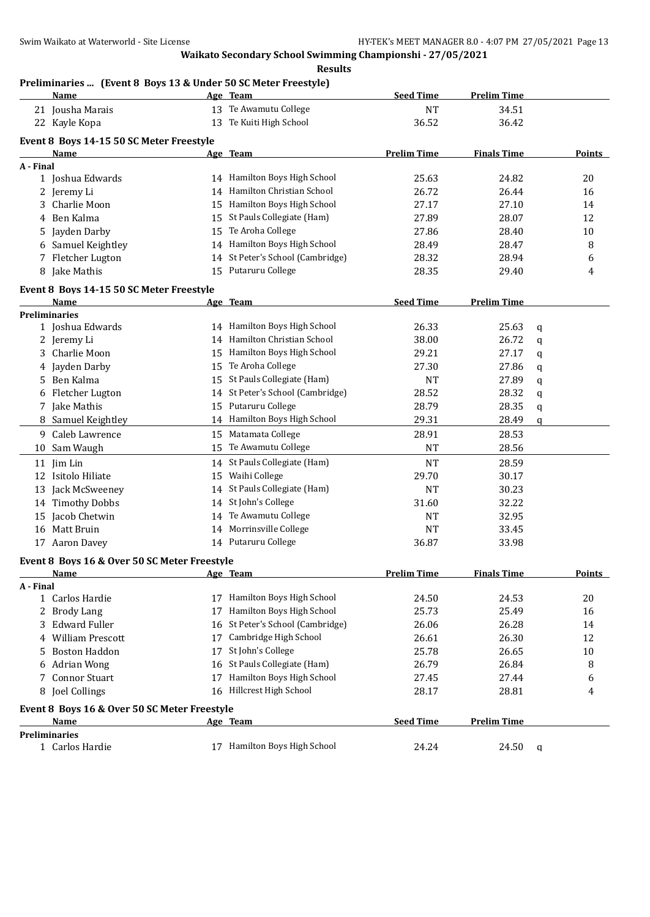**Results**

## **Preliminaries ... (Event 8 Boys 13 & Under 50 SC Meter Freestyle)**

|           | <b>Name</b>                                  |    | Age Team                         | <b>Seed Time</b>   | <b>Prelim Time</b> |   |        |
|-----------|----------------------------------------------|----|----------------------------------|--------------------|--------------------|---|--------|
|           | 21 Jousha Marais                             |    | 13 Te Awamutu College            | <b>NT</b>          | 34.51              |   |        |
|           | 22 Kayle Kopa                                | 13 | Te Kuiti High School             | 36.52              | 36.42              |   |        |
|           | Event 8 Boys 14-15 50 SC Meter Freestyle     |    |                                  |                    |                    |   |        |
|           | Name                                         |    | Age Team                         | <b>Prelim Time</b> | <b>Finals Time</b> |   | Points |
| A - Final |                                              |    |                                  |                    |                    |   |        |
|           | 1 Joshua Edwards                             |    | 14 Hamilton Boys High School     | 25.63              | 24.82              |   | 20     |
|           | 2 Jeremy Li                                  |    | 14 Hamilton Christian School     | 26.72              | 26.44              |   | 16     |
|           | 3 Charlie Moon                               |    | 15 Hamilton Boys High School     | 27.17              | 27.10              |   | 14     |
|           | 4 Ben Kalma                                  |    | 15 St Pauls Collegiate (Ham)     | 27.89              | 28.07              |   | 12     |
| 5.        | Jayden Darby                                 | 15 | Te Aroha College                 | 27.86              | 28.40              |   | 10     |
|           | 6 Samuel Keightley                           |    | 14 Hamilton Boys High School     | 28.49              | 28.47              |   | 8      |
|           | 7 Fletcher Lugton                            |    | 14 St Peter's School (Cambridge) | 28.32              | 28.94              |   | 6      |
|           | 8 Jake Mathis                                |    | 15 Putaruru College              | 28.35              | 29.40              |   | 4      |
|           |                                              |    |                                  |                    |                    |   |        |
|           | Event 8 Boys 14-15 50 SC Meter Freestyle     |    |                                  |                    |                    |   |        |
|           | Name                                         |    | Age Team                         | <b>Seed Time</b>   | <b>Prelim Time</b> |   |        |
|           | <b>Preliminaries</b><br>1 Joshua Edwards     |    | 14 Hamilton Boys High School     | 26.33              | 25.63              |   |        |
|           | 2 Jeremy Li                                  |    | 14 Hamilton Christian School     | 38.00              | 26.72              | q |        |
| 3         | Charlie Moon                                 |    | 15 Hamilton Boys High School     | 29.21              | 27.17              | q |        |
|           |                                              | 15 | Te Aroha College                 | 27.30              | 27.86              | q |        |
|           | 4 Jayden Darby<br>Ben Kalma                  | 15 | St Pauls Collegiate (Ham)        |                    |                    | q |        |
| 5.        |                                              |    | 14 St Peter's School (Cambridge) | <b>NT</b>          | 27.89              | q |        |
|           | 6 Fletcher Lugton                            |    | Putaruru College                 | 28.52              | 28.32              | q |        |
|           | 7 Jake Mathis                                | 15 | 14 Hamilton Boys High School     | 28.79<br>29.31     | 28.35              | q |        |
|           | 8 Samuel Keightley                           |    |                                  |                    | 28.49              | q |        |
|           | 9 Caleb Lawrence                             | 15 | Matamata College                 | 28.91              | 28.53              |   |        |
|           | 10 Sam Waugh                                 |    | 15 Te Awamutu College            | <b>NT</b>          | 28.56              |   |        |
|           | 11 Jim Lin                                   |    | 14 St Pauls Collegiate (Ham)     | <b>NT</b>          | 28.59              |   |        |
|           | 12 Isitolo Hiliate                           | 15 | Waihi College                    | 29.70              | 30.17              |   |        |
|           | 13 Jack McSweeney                            | 14 | St Pauls Collegiate (Ham)        | <b>NT</b>          | 30.23              |   |        |
|           | 14 Timothy Dobbs                             | 14 | St John's College                | 31.60              | 32.22              |   |        |
| 15        | Jacob Chetwin                                | 14 | Te Awamutu College               | <b>NT</b>          | 32.95              |   |        |
|           | 16 Matt Bruin                                |    | 14 Morrinsville College          | <b>NT</b>          | 33.45              |   |        |
|           | 17 Aaron Davey                               |    | 14 Putaruru College              | 36.87              | 33.98              |   |        |
|           | Event 8 Boys 16 & Over 50 SC Meter Freestyle |    |                                  |                    |                    |   |        |
|           | Name                                         |    | Age Team                         | <b>Prelim Time</b> | <b>Finals Time</b> |   | Points |
| A - Final |                                              |    |                                  |                    |                    |   |        |
|           | 1 Carlos Hardie                              |    | 17 Hamilton Boys High School     | 24.50              | 24.53              |   | 20     |
|           | 2 Brody Lang                                 | 17 | Hamilton Boys High School        | 25.73              | 25.49              |   | 16     |
| 3         | <b>Edward Fuller</b>                         | 16 | St Peter's School (Cambridge)    | 26.06              | 26.28              |   | 14     |
| 4         | <b>William Prescott</b>                      | 17 | Cambridge High School            | 26.61              | 26.30              |   | 12     |
| 5         | <b>Boston Haddon</b>                         | 17 | St John's College                | 25.78              | 26.65              |   | 10     |
| 6         | <b>Adrian Wong</b>                           | 16 | St Pauls Collegiate (Ham)        | 26.79              | 26.84              |   | 8      |
| 7         | <b>Connor Stuart</b>                         | 17 | Hamilton Boys High School        | 27.45              | 27.44              |   | 6      |
|           | 8 Joel Collings                              |    | 16 Hillcrest High School         | 28.17              | 28.81              |   | 4      |
|           | Event 8 Boys 16 & Over 50 SC Meter Freestyle |    |                                  |                    |                    |   |        |
|           | Name                                         |    | Age Team                         | <b>Seed Time</b>   | <b>Prelim Time</b> |   |        |
|           | <b>Preliminaries</b>                         |    |                                  |                    |                    |   |        |
|           | 1 Carlos Hardie                              |    | 17 Hamilton Boys High School     | 24.24              | 24.50              | q |        |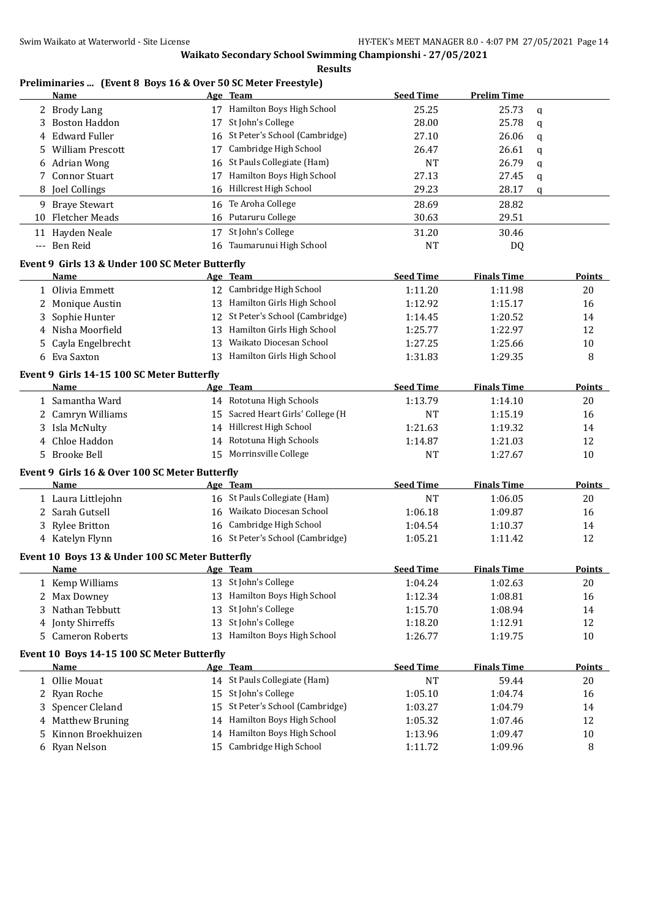### **Results**

## **Preliminaries ... (Event 8 Boys 16 & Over 50 SC Meter Freestyle)**

|    | Name                                            |    | Age Team                          | <b>Seed Time</b> | <b>Prelim Time</b> |               |
|----|-------------------------------------------------|----|-----------------------------------|------------------|--------------------|---------------|
| 2  | <b>Brody Lang</b>                               |    | 17 Hamilton Boys High School      | 25.25            | 25.73              | q             |
| 3  | <b>Boston Haddon</b>                            | 17 | St John's College                 | 28.00            | 25.78              | q             |
| 4  | <b>Edward Fuller</b>                            | 16 | St Peter's School (Cambridge)     | 27.10            | 26.06              | q             |
| 5  | <b>William Prescott</b>                         | 17 | Cambridge High School             | 26.47            | 26.61              | q             |
| 6  | <b>Adrian Wong</b>                              | 16 | St Pauls Collegiate (Ham)         | <b>NT</b>        | 26.79              | q             |
| 7  | <b>Connor Stuart</b>                            | 17 | Hamilton Boys High School         | 27.13            | 27.45              | q             |
| 8  | Joel Collings                                   | 16 | Hillcrest High School             | 29.23            | 28.17              | q             |
|    |                                                 |    |                                   |                  |                    |               |
|    | 9 Braye Stewart                                 | 16 | Te Aroha College                  | 28.69            | 28.82              |               |
| 10 | <b>Fletcher Meads</b>                           | 16 | Putaruru College                  | 30.63            | 29.51              |               |
|    | 11 Hayden Neale                                 | 17 | St John's College                 | 31.20            | 30.46              |               |
|    | --- Ben Reid                                    | 16 | Taumarunui High School            | <b>NT</b>        | DQ                 |               |
|    | Event 9 Girls 13 & Under 100 SC Meter Butterfly |    |                                   |                  |                    |               |
|    | Name                                            |    | Age Team                          | <b>Seed Time</b> | <b>Finals Time</b> | Points        |
|    | 1 Olivia Emmett                                 |    | 12 Cambridge High School          | 1:11.20          | 1:11.98            | 20            |
| 2  | Monique Austin                                  |    | 13 Hamilton Girls High School     | 1:12.92          | 1:15.17            | 16            |
| 3  | Sophie Hunter                                   | 12 | St Peter's School (Cambridge)     | 1:14.45          | 1:20.52            | 14            |
| 4  | Nisha Moorfield                                 | 13 | Hamilton Girls High School        | 1:25.77          | 1:22.97            | 12            |
| 5  | Cayla Engelbrecht                               | 13 | Waikato Diocesan School           | 1:27.25          | 1:25.66            | 10            |
| 6  | Eva Saxton                                      |    | 13 Hamilton Girls High School     |                  | 1:29.35            | 8             |
|    |                                                 |    |                                   | 1:31.83          |                    |               |
|    | Event 9 Girls 14-15 100 SC Meter Butterfly      |    |                                   |                  |                    |               |
|    | Name                                            |    | Age Team                          | <b>Seed Time</b> | <b>Finals Time</b> | <b>Points</b> |
|    | 1 Samantha Ward                                 |    | 14 Rototuna High Schools          | 1:13.79          | 1:14.10            | 20            |
|    | 2 Camryn Williams                               |    | 15 Sacred Heart Girls' College (H | NT               | 1:15.19            | 16            |
| 3  | Isla McNulty                                    |    | 14 Hillcrest High School          | 1:21.63          | 1:19.32            | 14            |
| 4  | Chloe Haddon                                    | 14 | Rototuna High Schools             | 1:14.87          | 1:21.03            | 12            |
| 5  | <b>Brooke Bell</b>                              |    | 15 Morrinsville College           | <b>NT</b>        | 1:27.67            | 10            |
|    | Event 9 Girls 16 & Over 100 SC Meter Butterfly  |    |                                   |                  |                    |               |
|    | Name                                            |    | Age Team                          | <b>Seed Time</b> | <b>Finals Time</b> | <b>Points</b> |
|    |                                                 |    | 16 St Pauls Collegiate (Ham)      | <b>NT</b>        | 1:06.05            | 20            |
|    | 1 Laura Littlejohn                              |    | Waikato Diocesan School           | 1:06.18          |                    |               |
| 2  | Sarah Gutsell                                   | 16 |                                   |                  | 1:09.87            | 16            |
| 3  | <b>Rylee Britton</b>                            | 16 | Cambridge High School             | 1:04.54          | 1:10.37            | 14            |
|    | 4 Katelyn Flynn                                 |    | 16 St Peter's School (Cambridge)  | 1:05.21          | 1:11.42            | 12            |
|    | Event 10 Boys 13 & Under 100 SC Meter Butterfly |    |                                   |                  |                    |               |
|    | Name                                            |    | Age Team                          | <b>Seed Time</b> | <b>Finals Time</b> | Points        |
|    | 1 Kemp Williams                                 |    | 13 St John's College              | 1:04.24          | 1:02.63            | 20            |
|    | 2 Max Downey                                    | 13 | Hamilton Boys High School         | 1:12.34          | 1:08.81            | 16            |
| 3  | Nathan Tebbutt                                  | 13 | St John's College                 | 1:15.70          | 1:08.94            | 14            |
| 4  | Jonty Shirreffs                                 | 13 | St John's College                 | 1:18.20          | 1:12.91            | 12            |
| 5  | <b>Cameron Roberts</b>                          |    | 13 Hamilton Boys High School      | 1:26.77          | 1:19.75            | 10            |
|    |                                                 |    |                                   |                  |                    |               |
|    | Event 10 Boys 14-15 100 SC Meter Butterfly      |    |                                   |                  |                    | <b>Points</b> |
|    | <b>Name</b>                                     |    | Age Team                          | <b>Seed Time</b> | <b>Finals Time</b> |               |
|    | 1 Ollie Mouat                                   |    | 14 St Pauls Collegiate (Ham)      | NT               | 59.44              | 20            |
| 2  | Ryan Roche                                      | 15 | St John's College                 | 1:05.10          | 1:04.74            | 16            |
| 3  | Spencer Cleland                                 | 15 | St Peter's School (Cambridge)     | 1:03.27          | 1:04.79            | 14            |
| 4  | <b>Matthew Bruning</b>                          | 14 | Hamilton Boys High School         | 1:05.32          | 1:07.46            | 12            |
| 5  | Kinnon Broekhuizen                              | 14 | Hamilton Boys High School         | 1:13.96          | 1:09.47            | 10            |
|    | 6 Ryan Nelson                                   |    | 15 Cambridge High School          | 1:11.72          | 1:09.96            | 8             |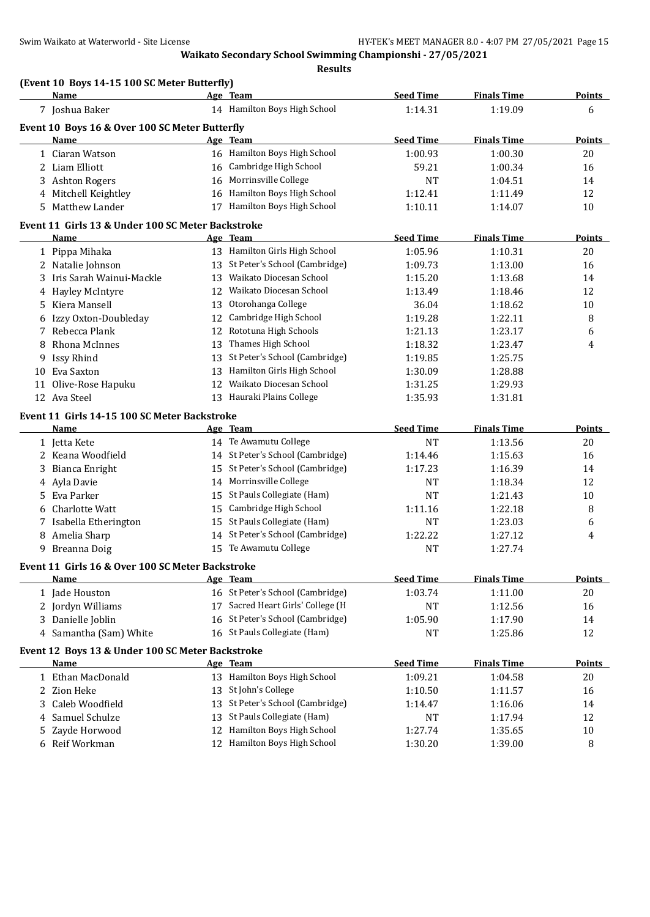**(Event 10 Boys 14-15 100 SC Meter Butterfly)**

## **Waikato Secondary School Swimming Championshi - 27/05/2021**

**Results**

|              | Name                                                            |    | Age Team                          | <b>Seed Time</b> | <b>Finals Time</b> | <b>Points</b> |
|--------------|-----------------------------------------------------------------|----|-----------------------------------|------------------|--------------------|---------------|
|              | 7 Joshua Baker                                                  |    | 14 Hamilton Boys High School      | 1:14.31          | 1:19.09            | 6             |
|              | Event 10 Boys 16 & Over 100 SC Meter Butterfly                  |    |                                   |                  |                    |               |
|              | Name                                                            |    | Age Team                          | <b>Seed Time</b> | <b>Finals Time</b> | <b>Points</b> |
|              | 1 Ciaran Watson                                                 |    | 16 Hamilton Boys High School      | 1:00.93          | 1:00.30            | 20            |
|              | 2 Liam Elliott                                                  |    | 16 Cambridge High School          | 59.21            | 1:00.34            | 16            |
|              | 3 Ashton Rogers                                                 |    | 16 Morrinsville College           | NT               | 1:04.51            | 14            |
|              | 4 Mitchell Keightley                                            |    | 16 Hamilton Boys High School      | 1:12.41          | 1:11.49            | 12            |
|              | 5 Matthew Lander                                                |    | 17 Hamilton Boys High School      | 1:10.11          | 1:14.07            | 10            |
|              | Event 11 Girls 13 & Under 100 SC Meter Backstroke               |    |                                   |                  |                    |               |
|              | Name                                                            |    | Age Team                          | <b>Seed Time</b> | <b>Finals Time</b> | Points        |
|              | 1 Pippa Mihaka                                                  |    | 13 Hamilton Girls High School     | 1:05.96          | 1:10.31            | 20            |
|              | 2 Natalie Johnson                                               |    | 13 St Peter's School (Cambridge)  | 1:09.73          | 1:13.00            | 16            |
| 3            | Iris Sarah Wainui-Mackle                                        |    | 13 Waikato Diocesan School        | 1:15.20          | 1:13.68            | 14            |
|              | 4 Hayley McIntyre                                               |    | 12 Waikato Diocesan School        | 1:13.49          | 1:18.46            | 12            |
| 5.           | Kiera Mansell                                                   | 13 | Otorohanga College                | 36.04            | 1:18.62            | 10            |
|              |                                                                 |    |                                   |                  |                    |               |
| 6            | Izzy Oxton-Doubleday                                            | 12 | Cambridge High School             | 1:19.28          | 1:22.11            | 8             |
| 7            | Rebecca Plank                                                   | 12 | Rototuna High Schools             | 1:21.13          | 1:23.17            | 6             |
| 8            | Rhona McInnes                                                   | 13 | Thames High School                | 1:18.32          | 1:23.47            | 4             |
| 9            | Issy Rhind                                                      | 13 | St Peter's School (Cambridge)     | 1:19.85          | 1:25.75            |               |
|              | 10 Eva Saxton                                                   | 13 | Hamilton Girls High School        | 1:30.09          | 1:28.88            |               |
| 11           | Olive-Rose Hapuku                                               | 12 | Waikato Diocesan School           | 1:31.25          | 1:29.93            |               |
|              | 12 Ava Steel                                                    |    | 13 Hauraki Plains College         | 1:35.93          | 1:31.81            |               |
|              | Event 11 Girls 14-15 100 SC Meter Backstroke                    |    |                                   |                  |                    |               |
|              | Name                                                            |    | Age Team                          | <b>Seed Time</b> | <b>Finals Time</b> | <b>Points</b> |
|              | 1 Jetta Kete                                                    |    | 14 Te Awamutu College             | <b>NT</b>        | 1:13.56            | 20            |
|              | 2 Keana Woodfield                                               |    | 14 St Peter's School (Cambridge)  | 1:14.46          | 1:15.63            | 16            |
| 3            | Bianca Enright                                                  |    | 15 St Peter's School (Cambridge)  | 1:17.23          | 1:16.39            | 14            |
|              | 4 Ayla Davie                                                    |    | 14 Morrinsville College           | <b>NT</b>        | 1:18.34            | 12            |
| 5.           | Eva Parker                                                      |    | 15 St Pauls Collegiate (Ham)      | <b>NT</b>        | 1:21.43            | 10            |
| 6            | Charlotte Watt                                                  |    | 15 Cambridge High School          | 1:11.16          | 1:22.18            | 8             |
|              | 7 Isabella Etherington                                          |    | 15 St Pauls Collegiate (Ham)      | <b>NT</b>        | 1:23.03            | 6             |
|              | 8 Amelia Sharp                                                  |    | 14 St Peter's School (Cambridge)  | 1:22.22          | 1:27.12            | 4             |
|              | 9 Breanna Doig                                                  |    | 15 Te Awamutu College             | <b>NT</b>        | 1:27.74            |               |
|              |                                                                 |    |                                   |                  |                    |               |
|              | Event 11 Girls 16 & Over 100 SC Meter Backstroke<br><b>Name</b> |    | Age Team                          | <b>Seed Time</b> | <b>Finals Time</b> | Points        |
|              |                                                                 |    | 16 St Peter's School (Cambridge)  | 1:03.74          | 1:11.00            | 20            |
|              | 1 Jade Houston                                                  |    | 17 Sacred Heart Girls' College (H |                  |                    |               |
|              | 2 Jordyn Williams                                               |    |                                   | NT               | 1:12.56            | 16            |
| 3            | Danielle Joblin                                                 | 16 | St Peter's School (Cambridge)     | 1:05.90          | 1:17.90            | 14            |
| 4            | Samantha (Sam) White                                            |    | 16 St Pauls Collegiate (Ham)      | NT               | 1:25.86            | 12            |
|              | Event 12 Boys 13 & Under 100 SC Meter Backstroke                |    |                                   |                  |                    |               |
|              | Name                                                            |    | Age Team                          | <b>Seed Time</b> | <b>Finals Time</b> | <b>Points</b> |
|              | 1 Ethan MacDonald                                               |    | 13 Hamilton Boys High School      | 1:09.21          | 1:04.58            | 20            |
| $\mathbf{2}$ | Zion Heke                                                       | 13 | St John's College                 | 1:10.50          | 1:11.57            | 16            |
| 3            | Caleb Woodfield                                                 | 13 | St Peter's School (Cambridge)     | 1:14.47          | 1:16.06            | 14            |
| 4            | Samuel Schulze                                                  | 13 | St Pauls Collegiate (Ham)         | <b>NT</b>        | 1:17.94            | 12            |
| 5            | Zayde Horwood                                                   | 12 | Hamilton Boys High School         | 1:27.74          | 1:35.65            | $10\,$        |
| 6            | Reif Workman                                                    | 12 | Hamilton Boys High School         | 1:30.20          | 1:39.00            | 8             |
|              |                                                                 |    |                                   |                  |                    |               |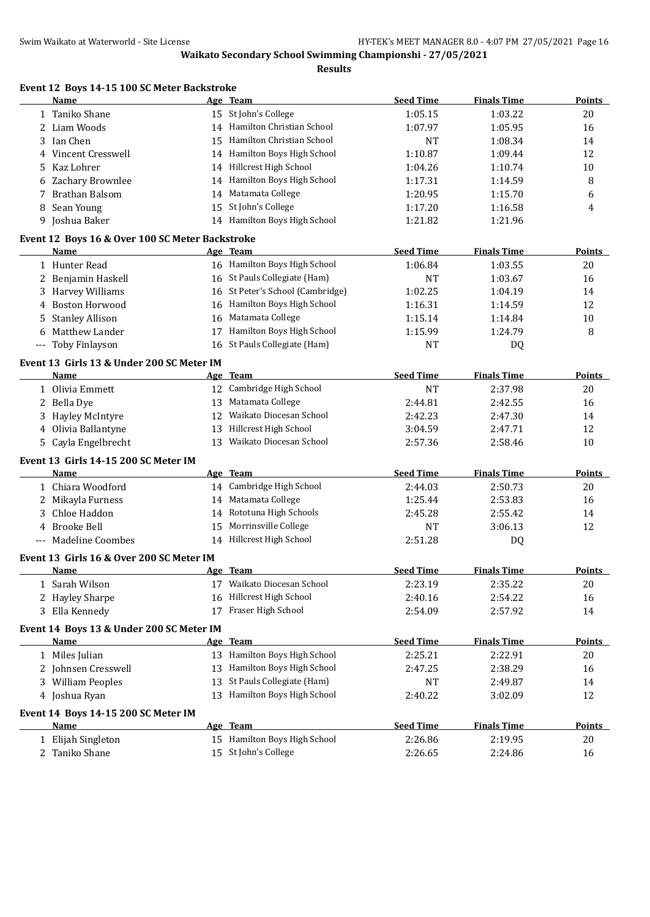**Results**

|                      | Event 12 Boys 14-15 100 SC Meter Backstroke<br>Name |            | Age Team                         | <b>Seed Time</b> | <b>Finals Time</b> | <b>Points</b> |
|----------------------|-----------------------------------------------------|------------|----------------------------------|------------------|--------------------|---------------|
|                      | 1 Taniko Shane                                      |            | 15 St John's College             | 1:05.15          | 1:03.22            | 20            |
|                      | 2 Liam Woods                                        |            | 14 Hamilton Christian School     | 1:07.97          | 1:05.95            | 16            |
| 3                    | Ian Chen                                            | 15         | Hamilton Christian School        | <b>NT</b>        | 1:08.34            | 14            |
| 4                    | <b>Vincent Cresswell</b>                            |            | 14 Hamilton Boys High School     | 1:10.87          | 1:09.44            | 12            |
| 5.                   | Kaz Lohrer                                          |            | 14 Hillcrest High School         | 1:04.26          | 1:10.74            | 10            |
| 6                    | Zachary Brownlee                                    |            | 14 Hamilton Boys High School     | 1:17.31          | 1:14.59            | 8             |
|                      | 7 Brathan Balsom                                    |            | 14 Matamata College              | 1:20.95          | 1:15.70            | 6             |
| 8                    | Sean Young                                          |            | 15 St John's College             | 1:17.20          | 1:16.58            | 4             |
|                      | 9 Joshua Baker                                      |            | 14 Hamilton Boys High School     | 1:21.82          | 1:21.96            |               |
|                      | Event 12 Boys 16 & Over 100 SC Meter Backstroke     |            |                                  |                  |                    |               |
|                      | Name                                                |            | Age Team                         | <b>Seed Time</b> | <b>Finals Time</b> | <b>Points</b> |
|                      | 1 Hunter Read                                       |            | 16 Hamilton Boys High School     | 1:06.84          | 1:03.55            | 20            |
|                      | 2 Benjamin Haskell                                  |            | 16 St Pauls Collegiate (Ham)     | <b>NT</b>        | 1:03.67            | 16            |
|                      | 3 Harvey Williams                                   |            | 16 St Peter's School (Cambridge) | 1:02.25          | 1:04.19            | 14            |
| 4                    | <b>Boston Horwood</b>                               | 16         | Hamilton Boys High School        | 1:16.31          | 1:14.59            | 12            |
| 5.                   | <b>Stanley Allison</b>                              | 16         | Matamata College                 | 1:15.14          | 1:14.84            | 10            |
| 6                    | Matthew Lander                                      | 17         | Hamilton Boys High School        | 1:15.99          | 1:24.79            | 8             |
| $\scriptstyle\cdots$ | Toby Finlayson                                      |            | 16 St Pauls Collegiate (Ham)     | <b>NT</b>        | DQ                 |               |
|                      | Event 13 Girls 13 & Under 200 SC Meter IM           |            |                                  |                  |                    |               |
|                      | <b>Name</b>                                         |            | Age Team                         | <b>Seed Time</b> | <b>Finals Time</b> | Points        |
|                      | 1 Olivia Emmett                                     |            | 12 Cambridge High School         | <b>NT</b>        | 2:37.98            | 20            |
|                      | 2 Bella Dye                                         | 13         | Matamata College                 | 2:44.81          | 2:42.55            | 16            |
|                      | 3 Hayley McIntyre                                   | 12         | Waikato Diocesan School          | 2:42.23          | 2:47.30            | 14            |
|                      | 4 Olivia Ballantyne                                 | 13         | Hillcrest High School            | 3:04.59          | 2:47.71            | 12            |
|                      | 5 Cayla Engelbrecht                                 |            | 13 Waikato Diocesan School       | 2:57.36          | 2:58.46            | 10            |
|                      | Event 13 Girls 14-15 200 SC Meter IM                |            |                                  |                  |                    |               |
|                      | Name                                                |            | Age Team                         | <b>Seed Time</b> | <b>Finals Time</b> | <b>Points</b> |
|                      | 1 Chiara Woodford                                   |            | 14 Cambridge High School         | 2:44.03          | 2:50.73            | 20            |
| 2                    | Mikayla Furness                                     |            | 14 Matamata College              | 1:25.44          | 2:53.83            | 16            |
| 3                    | Chloe Haddon                                        |            | 14 Rototuna High Schools         | 2:45.28          | 2:55.42            | 14            |
| 4                    | <b>Brooke Bell</b>                                  | 15         | Morrinsville College             | NT               | 3:06.13            | 12            |
| $---$                | <b>Madeline Coombes</b>                             |            | 14 Hillcrest High School         | 2:51.28          | DQ                 |               |
|                      | Event 13 Girls 16 & Over 200 SC Meter IM            |            |                                  |                  |                    |               |
|                      | <u>Name</u>                                         | <u>Age</u> | <b>Team</b>                      | <b>Seed Time</b> | <b>Finals Time</b> | <u>Points</u> |
|                      | 1 Sarah Wilson                                      | 17         | Waikato Diocesan School          | 2:23.19          | 2:35.22            | 20            |
| 2                    | <b>Hayley Sharpe</b>                                | 16         | Hillcrest High School            | 2:40.16          | 2:54.22            | 16            |
|                      | 3 Ella Kennedy                                      | 17         | Fraser High School               | 2:54.09          | 2:57.92            | 14            |
|                      | Event 14 Boys 13 & Under 200 SC Meter IM            |            |                                  |                  |                    |               |
|                      | Name                                                |            | Age Team                         | <b>Seed Time</b> | <b>Finals Time</b> | <b>Points</b> |
|                      | 1 Miles Julian                                      |            | 13 Hamilton Boys High School     | 2:25.21          | 2:22.91            | 20            |
|                      | 2 Johnsen Cresswell                                 | 13         | Hamilton Boys High School        | 2:47.25          | 2:38.29            | 16            |
|                      | 3 William Peoples                                   | 13         | St Pauls Collegiate (Ham)        | <b>NT</b>        | 2:49.87            | 14            |
|                      | 4 Joshua Ryan                                       |            | 13 Hamilton Boys High School     | 2:40.22          | 3:02.09            | 12            |
|                      |                                                     |            |                                  |                  |                    |               |
|                      | Event 14 Boys 14-15 200 SC Meter IM<br><b>Name</b>  |            | Age Team                         | <b>Seed Time</b> | <b>Finals Time</b> | <b>Points</b> |
|                      | 1 Elijah Singleton                                  |            | 15 Hamilton Boys High School     | 2:26.86          | 2:19.95            | 20            |
|                      | 2 Taniko Shane                                      |            | 15 St John's College             | 2:26.65          |                    |               |
|                      |                                                     |            |                                  |                  | 2:24.86            | 16            |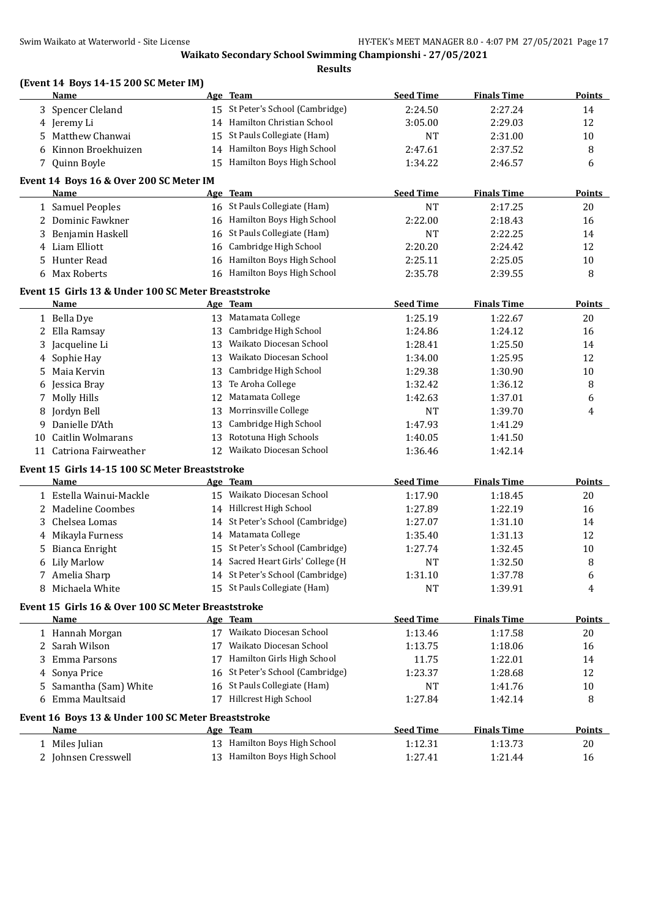| Swim Waikato at Waterworld - Site License |                                                                   |    | HY-TEK's MEET MANAGER 8.0 - 4:07 PM 27/05/2021 Page 17     |                  |                    |               |
|-------------------------------------------|-------------------------------------------------------------------|----|------------------------------------------------------------|------------------|--------------------|---------------|
|                                           |                                                                   |    | Waikato Secondary School Swimming Championshi - 27/05/2021 |                  |                    |               |
|                                           |                                                                   |    | <b>Results</b>                                             |                  |                    |               |
|                                           | (Event 14 Boys 14-15 200 SC Meter IM)<br>Name                     |    | Age Team                                                   | <b>Seed Time</b> | <b>Finals Time</b> | Points        |
|                                           | 3 Spencer Cleland                                                 |    | 15 St Peter's School (Cambridge)                           | 2:24.50          | 2:27.24            | 14            |
|                                           | 4 Jeremy Li                                                       |    | 14 Hamilton Christian School                               | 3:05.00          | 2:29.03            | 12            |
|                                           | 5 Matthew Chanwai                                                 |    | 15 St Pauls Collegiate (Ham)                               | NT               | 2:31.00            | 10            |
|                                           | 6 Kinnon Broekhuizen                                              |    | 14 Hamilton Boys High School                               | 2:47.61          | 2:37.52            | 8             |
|                                           | 7 Quinn Boyle                                                     |    | 15 Hamilton Boys High School                               | 1:34.22          | 2:46.57            | 6             |
|                                           | Event 14 Boys 16 & Over 200 SC Meter IM                           |    |                                                            |                  |                    |               |
|                                           | Name                                                              |    | Age Team                                                   | <b>Seed Time</b> | <b>Finals Time</b> | <b>Points</b> |
|                                           | 1 Samuel Peoples                                                  |    | 16 St Pauls Collegiate (Ham)                               | NT               | 2:17.25            | 20            |
|                                           | 2 Dominic Fawkner                                                 |    | 16 Hamilton Boys High School                               | 2:22.00          | 2:18.43            | 16            |
|                                           | 3 Benjamin Haskell                                                |    | 16 St Pauls Collegiate (Ham)                               | NT               | 2:22.25            | 14            |
|                                           | 4 Liam Elliott                                                    |    | 16 Cambridge High School                                   | 2:20.20          | 2:24.42            | 12            |
|                                           | 5 Hunter Read                                                     |    | 16 Hamilton Boys High School                               | 2:25.11          | 2:25.05            | 10            |
| 6                                         | Max Roberts                                                       |    | 16 Hamilton Boys High School                               | 2:35.78          | 2:39.55            | 8             |
|                                           | Event 15 Girls 13 & Under 100 SC Meter Breaststroke               |    |                                                            |                  |                    |               |
|                                           | <b>Name</b>                                                       |    | Age Team                                                   | <b>Seed Time</b> | <b>Finals Time</b> | <b>Points</b> |
|                                           | 1 Bella Dye                                                       |    | 13 Matamata College                                        | 1:25.19          | 1:22.67            | 20            |
|                                           | 2 Ella Ramsay                                                     |    | 13 Cambridge High School                                   | 1:24.86          | 1:24.12            | 16            |
|                                           | 3 Jacqueline Li                                                   | 13 | Waikato Diocesan School                                    | 1:28.41          | 1:25.50            | 14            |
|                                           | 4 Sophie Hay                                                      |    | 13 Waikato Diocesan School                                 | 1:34.00          | 1:25.95            | 12            |
|                                           | 5 Maia Kervin                                                     |    | 13 Cambridge High School                                   | 1:29.38          | 1:30.90            | 10            |
| 6                                         | Jessica Bray                                                      |    | 13 Te Aroha College                                        | 1:32.42          | 1:36.12            | 8             |
|                                           | 7 Molly Hills                                                     |    | 12 Matamata College                                        | 1:42.63          | 1:37.01            | 6             |
| 8                                         | Jordyn Bell                                                       |    | 13 Morrinsville College                                    | NT               | 1:39.70            | 4             |
| 9                                         | Danielle D'Ath                                                    | 13 | Cambridge High School                                      | 1:47.93          | 1:41.29            |               |
| 10                                        | Caitlin Wolmarans                                                 |    | 13 Rototuna High Schools                                   | 1:40.05          | 1:41.50            |               |
|                                           | 11 Catriona Fairweather                                           |    | 12 Waikato Diocesan School                                 | 1:36.46          | 1:42.14            |               |
|                                           | Event 15 Girls 14-15 100 SC Meter Breaststroke                    |    |                                                            |                  |                    |               |
|                                           | Name                                                              |    | Age Team                                                   | <b>Seed Time</b> | <b>Finals Time</b> | <b>Points</b> |
|                                           | 1 Estella Wainui-Mackle                                           |    | 15 Waikato Diocesan School                                 | 1:17.90          | 1:18.45            | 20            |
|                                           | 2 Madeline Coombes                                                |    | 14 Hillcrest High School                                   | 1:27.89          | 1:22.19            | 16            |
|                                           | 3 Chelsea Lomas                                                   |    | 14 St Peter's School (Cambridge)                           | 1:27.07          | 1:31.10            | 14            |
|                                           | 4 Mikayla Furness                                                 |    | 14 Matamata College                                        | 1:35.40          | 1:31.13            | 12            |
|                                           | 5 Bianca Enright                                                  |    | 15 St Peter's School (Cambridge)                           | 1:27.74          | 1:32.45            | 10            |
|                                           | 6 Lily Marlow                                                     |    | 14 Sacred Heart Girls' College (H                          | NT               | 1:32.50            | 8             |
|                                           | 7 Amelia Sharp                                                    |    | 14 St Peter's School (Cambridge)                           | 1:31.10          | 1:37.78            | 6             |
| 8                                         | Michaela White                                                    |    | 15 St Pauls Collegiate (Ham)                               | NT               | 1:39.91            | 4             |
|                                           | Event 15 Girls 16 & Over 100 SC Meter Breaststroke                |    |                                                            |                  |                    |               |
|                                           | Name                                                              |    | Age Team                                                   | <b>Seed Time</b> | <b>Finals Time</b> | <b>Points</b> |
|                                           | 1 Hannah Morgan                                                   |    | 17 Waikato Diocesan School                                 | 1:13.46          | 1:17.58            | 20            |
|                                           | 2 Sarah Wilson                                                    |    | 17 Waikato Diocesan School                                 | 1:13.75          | 1:18.06            | 16            |
| 3.                                        | Emma Parsons                                                      |    | 17 Hamilton Girls High School                              | 11.75            | 1:22.01            | 14            |
|                                           | 4 Sonya Price                                                     |    | 16 St Peter's School (Cambridge)                           | 1:23.37          | 1:28.68            | 12            |
| 5.                                        | Samantha (Sam) White                                              |    | 16 St Pauls Collegiate (Ham)                               | NT               | 1:41.76            | 10            |
| 6                                         | Emma Maultsaid                                                    |    | 17 Hillcrest High School                                   | 1:27.84          | 1:42.14            | 8             |
|                                           |                                                                   |    |                                                            |                  |                    |               |
|                                           | Event 16 Boys 13 & Under 100 SC Meter Breaststroke<br><u>Name</u> |    | Age Team                                                   | <b>Seed Time</b> | <b>Finals Time</b> | <b>Points</b> |
|                                           | 1 Miles Julian                                                    |    | 13 Hamilton Boys High School                               | 1:12.31          | 1:13.73            | 20            |
|                                           | 2 Johnsen Cresswell                                               |    | 13 Hamilton Boys High School                               | 1:27.41          | 1:21.44            | 16            |
|                                           |                                                                   |    |                                                            |                  |                    |               |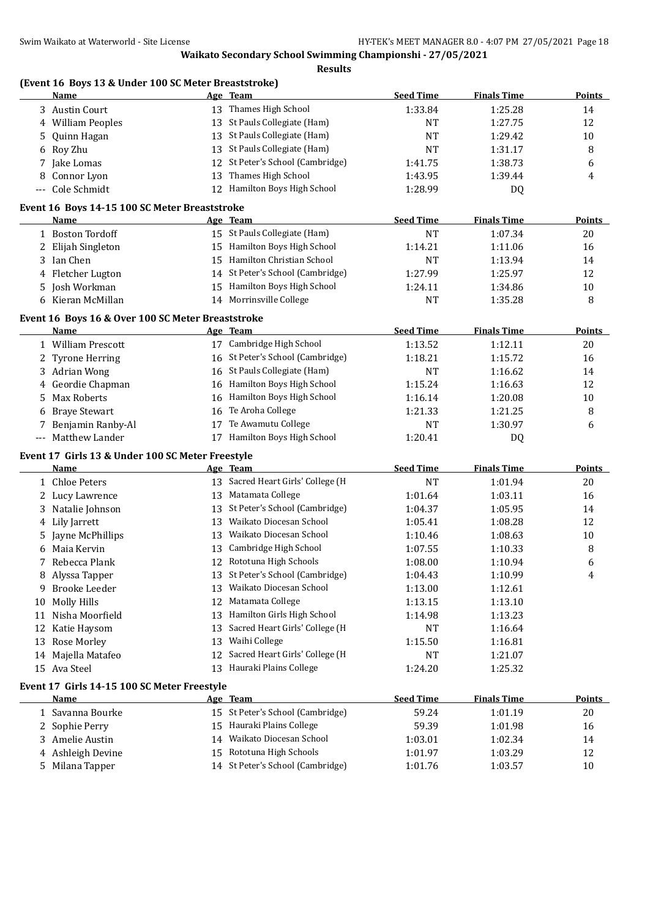|             | (Event 16 Boys 13 & Under 100 SC Meter Breaststroke)<br><b>Name</b> |    | Age Team                                                  | <b>Seed Time</b>   | <b>Finals Time</b> | <b>Points</b> |
|-------------|---------------------------------------------------------------------|----|-----------------------------------------------------------|--------------------|--------------------|---------------|
|             | 3 Austin Court                                                      |    | 13 Thames High School                                     | 1:33.84            | 1:25.28            | 14            |
| 4           | <b>William Peoples</b>                                              |    | 13 St Pauls Collegiate (Ham)                              | <b>NT</b>          | 1:27.75            | 12            |
| 5           | Quinn Hagan                                                         | 13 | St Pauls Collegiate (Ham)                                 | <b>NT</b>          | 1:29.42            | 10            |
| 6           | Roy Zhu                                                             | 13 | St Pauls Collegiate (Ham)                                 | <b>NT</b>          | 1:31.17            | 8             |
| 7           | Jake Lomas                                                          | 12 | St Peter's School (Cambridge)                             | 1:41.75            | 1:38.73            | 6             |
| 8           | Connor Lyon                                                         | 13 | Thames High School                                        | 1:43.95            | 1:39.44            | 4             |
| $-\, -\, -$ | Cole Schmidt                                                        | 12 | Hamilton Boys High School                                 | 1:28.99            | DQ                 |               |
|             |                                                                     |    |                                                           |                    |                    |               |
|             | Event 16 Boys 14-15 100 SC Meter Breaststroke<br>Name               |    | Age Team                                                  | <b>Seed Time</b>   | <b>Finals Time</b> | Points        |
|             | 1 Boston Tordoff                                                    |    | 15 St Pauls Collegiate (Ham)                              | <b>NT</b>          | 1:07.34            | 20            |
|             | Elijah Singleton                                                    | 15 | Hamilton Boys High School                                 | 1:14.21            | 1:11.06            | 16            |
| 2           |                                                                     | 15 | Hamilton Christian School                                 |                    |                    |               |
| 3           | Ian Chen                                                            |    | 14 St Peter's School (Cambridge)                          | <b>NT</b>          | 1:13.94            | 14            |
| 4           | Fletcher Lugton                                                     |    |                                                           | 1:27.99            | 1:25.97            | 12            |
| 5           | Josh Workman                                                        | 15 | Hamilton Boys High School                                 | 1:24.11            | 1:34.86            | 10            |
| 6           | Kieran McMillan                                                     |    | 14 Morrinsville College                                   | NT                 | 1:35.28            | 8             |
|             | Event 16 Boys 16 & Over 100 SC Meter Breaststroke                   |    |                                                           |                    |                    |               |
|             | <b>Name</b>                                                         |    | Age Team                                                  | <b>Seed Time</b>   | <b>Finals Time</b> | <b>Points</b> |
|             | 1 William Prescott                                                  |    | 17 Cambridge High School                                  | 1:13.52            | 1:12.11            | 20            |
| 2           | Tyrone Herring                                                      | 16 | St Peter's School (Cambridge)                             | 1:18.21            | 1:15.72            | 16            |
| 3           | <b>Adrian Wong</b>                                                  | 16 | St Pauls Collegiate (Ham)                                 | <b>NT</b>          | 1:16.62            | 14            |
| 4           | Geordie Chapman                                                     | 16 | Hamilton Boys High School                                 | 1:15.24            | 1:16.63            | 12            |
| 5           | <b>Max Roberts</b>                                                  | 16 | Hamilton Boys High School                                 | 1:16.14            | 1:20.08            | 10            |
| 6           | <b>Braye Stewart</b>                                                | 16 | Te Aroha College                                          | 1:21.33            | 1:21.25            | 8             |
| 7           | Benjamin Ranby-Al                                                   | 17 | Te Awamutu College                                        | <b>NT</b>          | 1:30.97            | 6             |
| $-\, -\, -$ | Matthew Lander                                                      |    | 17 Hamilton Boys High School                              | 1:20.41            | DQ                 |               |
|             | Event 17 Girls 13 & Under 100 SC Meter Freestyle                    |    |                                                           |                    |                    |               |
|             | <u>Name</u>                                                         |    | Age Team                                                  | <b>Seed Time</b>   | <b>Finals Time</b> | <b>Points</b> |
|             | 1 Chloe Peters                                                      |    | 13 Sacred Heart Girls' College (H                         | <b>NT</b>          | 1:01.94            | 20            |
| 2           | Lucy Lawrence                                                       | 13 | Matamata College                                          | 1:01.64            | 1:03.11            | 16            |
| 3           | Natalie Johnson                                                     | 13 | St Peter's School (Cambridge)                             | 1:04.37            | 1:05.95            | 14            |
| 4           | Lily Jarrett                                                        | 13 | Waikato Diocesan School                                   | 1:05.41            | 1:08.28            | 12            |
| 5           | Jayne McPhillips                                                    | 13 | Waikato Diocesan School                                   | 1:10.46            | 1:08.63            | 10            |
|             | Maia Kervin                                                         | 13 | Cambridge High School                                     | 1:07.55            | 1:10.33            | 8             |
|             | Rebecca Plank                                                       | 12 | Rototuna High Schools                                     | 1:08.00            | 1:10.94            | 6             |
| 8           | Alyssa Tapper                                                       |    | St Peter's School (Cambridge)                             | 1:04.43            | 1:10.99            | 4             |
| 9           | <b>Brooke Leeder</b>                                                | 13 | Waikato Diocesan School                                   | 1:13.00            | 1:12.61            |               |
| 10          | <b>Molly Hills</b>                                                  | 12 | Matamata College                                          | 1:13.15            | 1:13.10            |               |
| 11          | Nisha Moorfield                                                     | 13 | Hamilton Girls High School                                | 1:14.98            | 1:13.23            |               |
| 12          | Katie Haysom                                                        | 13 | Sacred Heart Girls' College (H                            | NT                 | 1:16.64            |               |
| 13          | Rose Morley                                                         | 13 | Waihi College                                             | 1:15.50            | 1:16.81            |               |
| 14          | Majella Matafeo                                                     |    | 12 Sacred Heart Girls' College (H                         | <b>NT</b>          | 1:21.07            |               |
|             | 15 Ava Steel                                                        | 13 | Hauraki Plains College                                    |                    |                    |               |
|             |                                                                     |    |                                                           | 1:24.20            | 1:25.32            |               |
|             | Event 17 Girls 14-15 100 SC Meter Freestyle                         |    |                                                           |                    |                    |               |
|             | <u>Name</u>                                                         |    | Age Team                                                  | <b>Seed Time</b>   | <b>Finals Time</b> | <b>Points</b> |
|             | 1 Savanna Bourke                                                    |    | 15 St Peter's School (Cambridge)                          | 59.24              | 1:01.19            | 20            |
|             |                                                                     |    | Hauraki Plains College                                    | 59.39              | 1:01.98            | 16            |
| 2           | Sophie Perry                                                        | 15 |                                                           |                    |                    |               |
| 3.          | Amelie Austin                                                       | 14 | Waikato Diocesan School                                   | 1:03.01            | 1:02.34            | 14            |
| 4           | Ashleigh Devine<br>Milana Tapper                                    | 15 | Rototuna High Schools<br>14 St Peter's School (Cambridge) | 1:01.97<br>1:01.76 | 1:03.29<br>1:03.57 | 12<br>10      |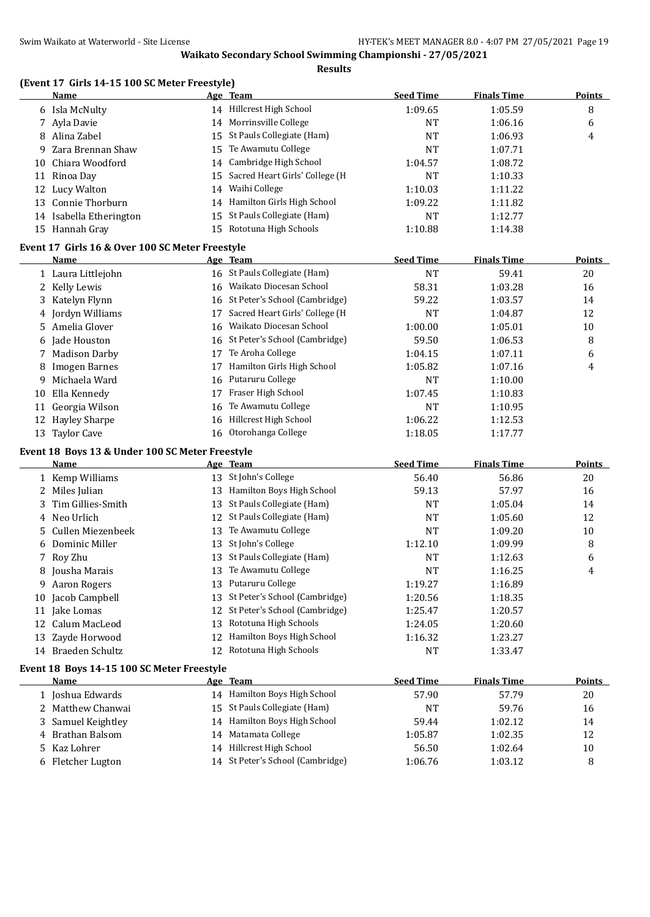**Results**

#### **(Event 17 Girls 14-15 100 SC Meter Freestyle)**

|    | Name                                            |    | Age Team                         | <b>Seed Time</b> | <b>Finals Time</b> | <b>Points</b> |
|----|-------------------------------------------------|----|----------------------------------|------------------|--------------------|---------------|
|    | 6 Isla McNulty                                  |    | 14 Hillcrest High School         | 1:09.65          | 1:05.59            | 8             |
| 7  | Ayla Davie                                      | 14 | Morrinsville College             | <b>NT</b>        | 1:06.16            | 6             |
| 8  | Alina Zabel                                     | 15 | St Pauls Collegiate (Ham)        | <b>NT</b>        | 1:06.93            | 4             |
| 9  | Zara Brennan Shaw                               | 15 | Te Awamutu College               | <b>NT</b>        | 1:07.71            |               |
| 10 | Chiara Woodford                                 | 14 | Cambridge High School            | 1:04.57          | 1:08.72            |               |
|    | 11 Rinoa Day                                    | 15 | Sacred Heart Girls' College (H   | <b>NT</b>        | 1:10.33            |               |
|    | 12 Lucy Walton                                  | 14 | Waihi College                    | 1:10.03          | 1:11.22            |               |
|    | 13 Connie Thorburn                              | 14 | Hamilton Girls High School       | 1:09.22          | 1:11.82            |               |
|    | 14 Isabella Etherington                         | 15 | St Pauls Collegiate (Ham)        | <b>NT</b>        | 1:12.77            |               |
|    | 15 Hannah Gray                                  | 15 | Rototuna High Schools            | 1:10.88          | 1:14.38            |               |
|    | Event 17 Girls 16 & Over 100 SC Meter Freestyle |    |                                  |                  |                    |               |
|    | <b>Name</b>                                     |    | Age Team                         | <b>Seed Time</b> | <b>Finals Time</b> | <b>Points</b> |
|    | 1 Laura Littlejohn                              |    | 16 St Pauls Collegiate (Ham)     | <b>NT</b>        | 59.41              | 20            |
|    | 2 Kelly Lewis                                   |    | 16 Waikato Diocesan School       | 58.31            | 1:03.28            | 16            |
| 3  | Katelyn Flynn                                   |    | 16 St Peter's School (Cambridge) | 59.22            | 1:03.57            | 14            |
| 4  | Jordyn Williams                                 | 17 | Sacred Heart Girls' College (H   | <b>NT</b>        | 1:04.87            | 12            |
| 5. | Amelia Glover                                   | 16 | Waikato Diocesan School          | 1:00.00          | 1:05.01            | 10            |
| 6  | Jade Houston                                    |    | 16 St Peter's School (Cambridge) | 59.50            | 1:06.53            | 8             |
| 7  | <b>Madison Darby</b>                            | 17 | Te Aroha College                 | 1:04.15          | 1:07.11            | 6             |
| 8  | <b>Imogen Barnes</b>                            | 17 | Hamilton Girls High School       | 1:05.82          | 1:07.16            | 4             |
| 9  | Michaela Ward                                   | 16 | Putaruru College                 | <b>NT</b>        | 1:10.00            |               |
| 10 | Ella Kennedy                                    | 17 | Fraser High School               | 1:07.45          | 1:10.83            |               |
|    | 11 Georgia Wilson                               | 16 | Te Awamutu College               | <b>NT</b>        | 1:10.95            |               |
|    | 12 Hayley Sharpe                                | 16 | Hillcrest High School            | 1:06.22          | 1:12.53            |               |
|    | 13 Taylor Cave                                  | 16 | Otorohanga College               | 1:18.05          | 1:17.77            |               |
|    | Event 18 Boys 13 & Under 100 SC Meter Freestyle |    |                                  |                  |                    |               |
|    | Name                                            |    | Age Team                         | <b>Seed Time</b> | <b>Finals Time</b> | <b>Points</b> |
|    | 1 Kemp Williams                                 |    | 13 St John's College             | 56.40            | 56.86              | 20            |
|    | 2 Miles Julian                                  |    | 13 Hamilton Boys High School     | 59.13            | 57.97              | 16            |
| 3  | Tim Gillies-Smith                               | 13 | St Pauls Collegiate (Ham)        | <b>NT</b>        | 1:05.04            | 14            |
| 4  | Neo Urlich                                      | 12 | St Pauls Collegiate (Ham)        | <b>NT</b>        | 1:05.60            | 12            |
| 5  | Cullen Miezenbeek                               | 13 | Te Awamutu College               | <b>NT</b>        | 1:09.20            | 10            |
|    | Dominic Miller                                  | 13 | St John's College                | 1:12.10          | 1:09.99            | 8             |
|    | 7 Roy Zhu                                       | 13 | St Pauls Collegiate (Ham)        | <b>NT</b>        | 1:12.63            | 6             |
|    | 8 Jousha Marais                                 |    | 13 Te Awamutu College            | <b>NT</b>        | 1:16.25            | 4             |
|    | 9 Aaron Rogers                                  |    | 13 Putaruru College              | 1:19.27          | 1:16.89            |               |
|    | 10 Jacob Campbell                               | 13 | St Peter's School (Cambridge)    | 1:20.56          | 1:18.35            |               |
|    | 11 Jake Lomas                                   | 12 | St Peter's School (Cambridge)    | 1:25.47          | 1:20.57            |               |
|    | 12 Calum MacLeod                                | 13 | Rototuna High Schools            | 1:24.05          | 1:20.60            |               |
|    | 13 Zayde Horwood                                | 12 | Hamilton Boys High School        | 1:16.32          | 1:23.27            |               |
|    | 14 Braeden Schultz                              | 12 | Rototuna High Schools            | NT               | 1:33.47            |               |
|    | Event 18 Boys 14-15 100 SC Meter Freestyle      |    |                                  |                  |                    |               |
|    | Name                                            |    | Age Team                         | <b>Seed Time</b> | <b>Finals Time</b> | Points        |
|    | 1 Joshua Edwards                                |    | 14 Hamilton Boys High School     | 57.90            | 57.79              | 20            |
| 2  | Matthew Chanwai                                 | 15 | St Pauls Collegiate (Ham)        | <b>NT</b>        | 59.76              | 16            |
| 3  | Samuel Keightley                                | 14 | Hamilton Boys High School        | 59.44            | 1:02.12            | 14            |
| 4  | Brathan Balsom                                  | 14 | Matamata College                 | 1:05.87          | 1:02.35            | 12            |
| 5  | Kaz Lohrer                                      | 14 | Hillcrest High School            | 56.50            | 1:02.64            | 10            |
|    | 6 Fletcher Lugton                               |    | 14 St Peter's School (Cambridge) | 1:06.76          | 1:03.12            | 8             |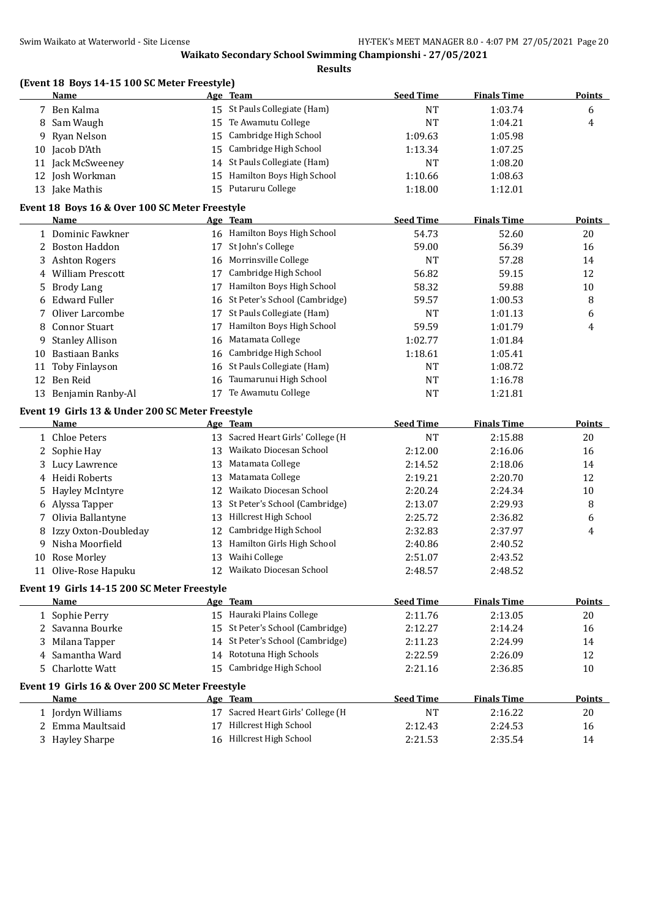| <b>Seed Time</b><br>Name<br><b>Finals Time</b><br>Age Team<br>15 St Pauls Collegiate (Ham)<br>1:03.74<br>7 Ben Kalma<br><b>NT</b><br>6<br>Te Awamutu College<br><b>NT</b><br>Sam Waugh<br>15<br>1:04.21<br>4<br>8<br>Cambridge High School<br>Ryan Nelson<br>1:05.98<br>15<br>1:09.63<br>9.<br>10 Jacob D'Ath<br>Cambridge High School<br>15<br>1:13.34<br>1:07.25<br>14 St Pauls Collegiate (Ham)<br>11 Jack McSweeney<br><b>NT</b><br>1:08.20<br>Hamilton Boys High School<br>12 Josh Workman<br>1:10.66<br>1:08.63<br>15<br>15 Putaruru College<br>13 Jake Mathis<br>1:18.00<br>1:12.01<br>Event 18 Boys 16 & Over 100 SC Meter Freestyle<br><b>Seed Time</b><br><b>Finals Time</b><br>Name<br>Age Team<br>16 Hamilton Boys High School<br>1 Dominic Fawkner<br>54.73<br>52.60<br>20<br>St John's College<br>2 Boston Haddon<br>59.00<br>56.39<br>16<br>17<br>Morrinsville College<br><b>Ashton Rogers</b><br><b>NT</b><br>57.28<br>14<br>16<br>3<br>Cambridge High School<br>56.82<br>12<br><b>William Prescott</b><br>59.15<br>17<br>4<br>Hamilton Boys High School<br>58.32<br>59.88<br>10<br><b>Brody Lang</b><br>17<br>5<br><b>Edward Fuller</b><br>St Peter's School (Cambridge)<br>1:00.53<br>8<br>59.57<br>6<br>16<br>St Pauls Collegiate (Ham)<br>Oliver Larcombe<br><b>NT</b><br>1:01.13<br>6<br>17<br>7<br><b>Connor Stuart</b><br>Hamilton Boys High School<br>59.59<br>1:01.79<br>4<br>8<br>17<br>Matamata College<br><b>Stanley Allison</b><br>1:02.77<br>16<br>1:01.84<br>9<br>Cambridge High School<br>10 Bastiaan Banks<br>1:18.61<br>1:05.41<br>16<br>Toby Finlayson<br>St Pauls Collegiate (Ham)<br><b>NT</b><br>1:08.72<br>16<br>11<br>12 Ben Reid<br>Taumarunui High School<br><b>NT</b><br>1:16.78<br>16<br>Te Awamutu College<br>13 Benjamin Ranby-Al<br>17<br><b>NT</b><br>1:21.81<br>Event 19 Girls 13 & Under 200 SC Meter Freestyle<br><b>Seed Time</b><br><b>Finals Time</b><br>Name<br>Age Team<br><b>Points</b><br>13 Sacred Heart Girls' College (H<br><b>NT</b><br>2:15.88<br>20<br>1 Chloe Peters<br>13 Waikato Diocesan School<br>16<br>2 Sophie Hay<br>2:12.00<br>2:16.06<br>Matamata College<br>13<br>14<br>3 Lucy Lawrence<br>2:18.06<br>2:14.52<br>4 Heidi Roberts<br>Matamata College<br>12<br>13<br>2:19.21<br>2:20.70<br>12 Waikato Diocesan School<br>$10\,$<br><b>Hayley McIntyre</b><br>2:20.24<br>2:24.34<br>5<br>St Peter's School (Cambridge)<br>6 Alyssa Tapper<br>8<br>13<br>2:13.07<br>2:29.93<br>Hillcrest High School<br>Olivia Ballantyne<br>13<br>2:25.72<br>2:36.82<br>6<br>7<br>Izzy Oxton-Doubleday<br>Cambridge High School<br>2:32.83<br>4<br>12<br>2:37.97<br>8<br>Hamilton Girls High School<br>Nisha Moorfield<br>13<br>2:40.86<br>2:40.52<br>9<br>13 Waihi College<br>2:51.07<br>2:43.52<br>10 Rose Morley<br>12 Waikato Diocesan School<br>11 Olive-Rose Hapuku<br>2:48.57<br>2:48.52<br>Event 19 Girls 14-15 200 SC Meter Freestyle<br><b>Seed Time</b><br><b>Finals Time</b><br><b>Name</b><br>Age Team<br>15 Hauraki Plains College<br>2:11.76<br>2:13.05<br>1 Sophie Perry<br>20<br>St Peter's School (Cambridge)<br>2 Savanna Bourke<br>15<br>2:12.27<br>16<br>2:14.24<br>14 St Peter's School (Cambridge)<br>Milana Tapper<br>14<br>3<br>2:11.23<br>2:24.99<br>14 Rototuna High Schools<br>12<br>Samantha Ward<br>2:22.59<br>2:26.09<br>4<br>Cambridge High School<br><b>Charlotte Watt</b><br>15<br>10<br>5.<br>2:21.16<br>2:36.85<br>Event 19 Girls 16 & Over 200 SC Meter Freestyle<br><b>Name</b><br><b>Seed Time</b><br><b>Finals Time</b><br>Age Team<br>17 Sacred Heart Girls' College (H<br>1 Jordyn Williams<br><b>NT</b><br>2:16.22<br>20<br>Hillcrest High School<br>2 Emma Maultsaid<br>17<br>2:12.43<br>2:24.53<br>16<br>16 Hillcrest High School<br>3 Hayley Sharpe | (Event 18 Boys 14-15 100 SC Meter Freestyle) |  |         |         |               |
|------------------------------------------------------------------------------------------------------------------------------------------------------------------------------------------------------------------------------------------------------------------------------------------------------------------------------------------------------------------------------------------------------------------------------------------------------------------------------------------------------------------------------------------------------------------------------------------------------------------------------------------------------------------------------------------------------------------------------------------------------------------------------------------------------------------------------------------------------------------------------------------------------------------------------------------------------------------------------------------------------------------------------------------------------------------------------------------------------------------------------------------------------------------------------------------------------------------------------------------------------------------------------------------------------------------------------------------------------------------------------------------------------------------------------------------------------------------------------------------------------------------------------------------------------------------------------------------------------------------------------------------------------------------------------------------------------------------------------------------------------------------------------------------------------------------------------------------------------------------------------------------------------------------------------------------------------------------------------------------------------------------------------------------------------------------------------------------------------------------------------------------------------------------------------------------------------------------------------------------------------------------------------------------------------------------------------------------------------------------------------------------------------------------------------------------------------------------------------------------------------------------------------------------------------------------------------------------------------------------------------------------------------------------------------------------------------------------------------------------------------------------------------------------------------------------------------------------------------------------------------------------------------------------------------------------------------------------------------------------------------------------------------------------------------------------------------------------------------------------------------------------------------------------------------------------------------------------------------------------------------------------------------------------------------------------------------------------------------------------------------------------------------------------------------------------------------------------------------------------------------------------------------------------------------------------------------------------------------------------------------------------------------------------------------------------------------------------------------------------------------------|----------------------------------------------|--|---------|---------|---------------|
|                                                                                                                                                                                                                                                                                                                                                                                                                                                                                                                                                                                                                                                                                                                                                                                                                                                                                                                                                                                                                                                                                                                                                                                                                                                                                                                                                                                                                                                                                                                                                                                                                                                                                                                                                                                                                                                                                                                                                                                                                                                                                                                                                                                                                                                                                                                                                                                                                                                                                                                                                                                                                                                                                                                                                                                                                                                                                                                                                                                                                                                                                                                                                                                                                                                                                                                                                                                                                                                                                                                                                                                                                                                                                                                                                            |                                              |  |         |         | Points        |
|                                                                                                                                                                                                                                                                                                                                                                                                                                                                                                                                                                                                                                                                                                                                                                                                                                                                                                                                                                                                                                                                                                                                                                                                                                                                                                                                                                                                                                                                                                                                                                                                                                                                                                                                                                                                                                                                                                                                                                                                                                                                                                                                                                                                                                                                                                                                                                                                                                                                                                                                                                                                                                                                                                                                                                                                                                                                                                                                                                                                                                                                                                                                                                                                                                                                                                                                                                                                                                                                                                                                                                                                                                                                                                                                                            |                                              |  |         |         |               |
|                                                                                                                                                                                                                                                                                                                                                                                                                                                                                                                                                                                                                                                                                                                                                                                                                                                                                                                                                                                                                                                                                                                                                                                                                                                                                                                                                                                                                                                                                                                                                                                                                                                                                                                                                                                                                                                                                                                                                                                                                                                                                                                                                                                                                                                                                                                                                                                                                                                                                                                                                                                                                                                                                                                                                                                                                                                                                                                                                                                                                                                                                                                                                                                                                                                                                                                                                                                                                                                                                                                                                                                                                                                                                                                                                            |                                              |  |         |         |               |
|                                                                                                                                                                                                                                                                                                                                                                                                                                                                                                                                                                                                                                                                                                                                                                                                                                                                                                                                                                                                                                                                                                                                                                                                                                                                                                                                                                                                                                                                                                                                                                                                                                                                                                                                                                                                                                                                                                                                                                                                                                                                                                                                                                                                                                                                                                                                                                                                                                                                                                                                                                                                                                                                                                                                                                                                                                                                                                                                                                                                                                                                                                                                                                                                                                                                                                                                                                                                                                                                                                                                                                                                                                                                                                                                                            |                                              |  |         |         |               |
|                                                                                                                                                                                                                                                                                                                                                                                                                                                                                                                                                                                                                                                                                                                                                                                                                                                                                                                                                                                                                                                                                                                                                                                                                                                                                                                                                                                                                                                                                                                                                                                                                                                                                                                                                                                                                                                                                                                                                                                                                                                                                                                                                                                                                                                                                                                                                                                                                                                                                                                                                                                                                                                                                                                                                                                                                                                                                                                                                                                                                                                                                                                                                                                                                                                                                                                                                                                                                                                                                                                                                                                                                                                                                                                                                            |                                              |  |         |         |               |
|                                                                                                                                                                                                                                                                                                                                                                                                                                                                                                                                                                                                                                                                                                                                                                                                                                                                                                                                                                                                                                                                                                                                                                                                                                                                                                                                                                                                                                                                                                                                                                                                                                                                                                                                                                                                                                                                                                                                                                                                                                                                                                                                                                                                                                                                                                                                                                                                                                                                                                                                                                                                                                                                                                                                                                                                                                                                                                                                                                                                                                                                                                                                                                                                                                                                                                                                                                                                                                                                                                                                                                                                                                                                                                                                                            |                                              |  |         |         |               |
|                                                                                                                                                                                                                                                                                                                                                                                                                                                                                                                                                                                                                                                                                                                                                                                                                                                                                                                                                                                                                                                                                                                                                                                                                                                                                                                                                                                                                                                                                                                                                                                                                                                                                                                                                                                                                                                                                                                                                                                                                                                                                                                                                                                                                                                                                                                                                                                                                                                                                                                                                                                                                                                                                                                                                                                                                                                                                                                                                                                                                                                                                                                                                                                                                                                                                                                                                                                                                                                                                                                                                                                                                                                                                                                                                            |                                              |  |         |         |               |
|                                                                                                                                                                                                                                                                                                                                                                                                                                                                                                                                                                                                                                                                                                                                                                                                                                                                                                                                                                                                                                                                                                                                                                                                                                                                                                                                                                                                                                                                                                                                                                                                                                                                                                                                                                                                                                                                                                                                                                                                                                                                                                                                                                                                                                                                                                                                                                                                                                                                                                                                                                                                                                                                                                                                                                                                                                                                                                                                                                                                                                                                                                                                                                                                                                                                                                                                                                                                                                                                                                                                                                                                                                                                                                                                                            |                                              |  |         |         |               |
|                                                                                                                                                                                                                                                                                                                                                                                                                                                                                                                                                                                                                                                                                                                                                                                                                                                                                                                                                                                                                                                                                                                                                                                                                                                                                                                                                                                                                                                                                                                                                                                                                                                                                                                                                                                                                                                                                                                                                                                                                                                                                                                                                                                                                                                                                                                                                                                                                                                                                                                                                                                                                                                                                                                                                                                                                                                                                                                                                                                                                                                                                                                                                                                                                                                                                                                                                                                                                                                                                                                                                                                                                                                                                                                                                            |                                              |  |         |         |               |
|                                                                                                                                                                                                                                                                                                                                                                                                                                                                                                                                                                                                                                                                                                                                                                                                                                                                                                                                                                                                                                                                                                                                                                                                                                                                                                                                                                                                                                                                                                                                                                                                                                                                                                                                                                                                                                                                                                                                                                                                                                                                                                                                                                                                                                                                                                                                                                                                                                                                                                                                                                                                                                                                                                                                                                                                                                                                                                                                                                                                                                                                                                                                                                                                                                                                                                                                                                                                                                                                                                                                                                                                                                                                                                                                                            |                                              |  |         |         | Points        |
|                                                                                                                                                                                                                                                                                                                                                                                                                                                                                                                                                                                                                                                                                                                                                                                                                                                                                                                                                                                                                                                                                                                                                                                                                                                                                                                                                                                                                                                                                                                                                                                                                                                                                                                                                                                                                                                                                                                                                                                                                                                                                                                                                                                                                                                                                                                                                                                                                                                                                                                                                                                                                                                                                                                                                                                                                                                                                                                                                                                                                                                                                                                                                                                                                                                                                                                                                                                                                                                                                                                                                                                                                                                                                                                                                            |                                              |  |         |         |               |
|                                                                                                                                                                                                                                                                                                                                                                                                                                                                                                                                                                                                                                                                                                                                                                                                                                                                                                                                                                                                                                                                                                                                                                                                                                                                                                                                                                                                                                                                                                                                                                                                                                                                                                                                                                                                                                                                                                                                                                                                                                                                                                                                                                                                                                                                                                                                                                                                                                                                                                                                                                                                                                                                                                                                                                                                                                                                                                                                                                                                                                                                                                                                                                                                                                                                                                                                                                                                                                                                                                                                                                                                                                                                                                                                                            |                                              |  |         |         |               |
|                                                                                                                                                                                                                                                                                                                                                                                                                                                                                                                                                                                                                                                                                                                                                                                                                                                                                                                                                                                                                                                                                                                                                                                                                                                                                                                                                                                                                                                                                                                                                                                                                                                                                                                                                                                                                                                                                                                                                                                                                                                                                                                                                                                                                                                                                                                                                                                                                                                                                                                                                                                                                                                                                                                                                                                                                                                                                                                                                                                                                                                                                                                                                                                                                                                                                                                                                                                                                                                                                                                                                                                                                                                                                                                                                            |                                              |  |         |         |               |
|                                                                                                                                                                                                                                                                                                                                                                                                                                                                                                                                                                                                                                                                                                                                                                                                                                                                                                                                                                                                                                                                                                                                                                                                                                                                                                                                                                                                                                                                                                                                                                                                                                                                                                                                                                                                                                                                                                                                                                                                                                                                                                                                                                                                                                                                                                                                                                                                                                                                                                                                                                                                                                                                                                                                                                                                                                                                                                                                                                                                                                                                                                                                                                                                                                                                                                                                                                                                                                                                                                                                                                                                                                                                                                                                                            |                                              |  |         |         |               |
|                                                                                                                                                                                                                                                                                                                                                                                                                                                                                                                                                                                                                                                                                                                                                                                                                                                                                                                                                                                                                                                                                                                                                                                                                                                                                                                                                                                                                                                                                                                                                                                                                                                                                                                                                                                                                                                                                                                                                                                                                                                                                                                                                                                                                                                                                                                                                                                                                                                                                                                                                                                                                                                                                                                                                                                                                                                                                                                                                                                                                                                                                                                                                                                                                                                                                                                                                                                                                                                                                                                                                                                                                                                                                                                                                            |                                              |  |         |         |               |
|                                                                                                                                                                                                                                                                                                                                                                                                                                                                                                                                                                                                                                                                                                                                                                                                                                                                                                                                                                                                                                                                                                                                                                                                                                                                                                                                                                                                                                                                                                                                                                                                                                                                                                                                                                                                                                                                                                                                                                                                                                                                                                                                                                                                                                                                                                                                                                                                                                                                                                                                                                                                                                                                                                                                                                                                                                                                                                                                                                                                                                                                                                                                                                                                                                                                                                                                                                                                                                                                                                                                                                                                                                                                                                                                                            |                                              |  |         |         |               |
|                                                                                                                                                                                                                                                                                                                                                                                                                                                                                                                                                                                                                                                                                                                                                                                                                                                                                                                                                                                                                                                                                                                                                                                                                                                                                                                                                                                                                                                                                                                                                                                                                                                                                                                                                                                                                                                                                                                                                                                                                                                                                                                                                                                                                                                                                                                                                                                                                                                                                                                                                                                                                                                                                                                                                                                                                                                                                                                                                                                                                                                                                                                                                                                                                                                                                                                                                                                                                                                                                                                                                                                                                                                                                                                                                            |                                              |  |         |         |               |
|                                                                                                                                                                                                                                                                                                                                                                                                                                                                                                                                                                                                                                                                                                                                                                                                                                                                                                                                                                                                                                                                                                                                                                                                                                                                                                                                                                                                                                                                                                                                                                                                                                                                                                                                                                                                                                                                                                                                                                                                                                                                                                                                                                                                                                                                                                                                                                                                                                                                                                                                                                                                                                                                                                                                                                                                                                                                                                                                                                                                                                                                                                                                                                                                                                                                                                                                                                                                                                                                                                                                                                                                                                                                                                                                                            |                                              |  |         |         |               |
|                                                                                                                                                                                                                                                                                                                                                                                                                                                                                                                                                                                                                                                                                                                                                                                                                                                                                                                                                                                                                                                                                                                                                                                                                                                                                                                                                                                                                                                                                                                                                                                                                                                                                                                                                                                                                                                                                                                                                                                                                                                                                                                                                                                                                                                                                                                                                                                                                                                                                                                                                                                                                                                                                                                                                                                                                                                                                                                                                                                                                                                                                                                                                                                                                                                                                                                                                                                                                                                                                                                                                                                                                                                                                                                                                            |                                              |  |         |         |               |
|                                                                                                                                                                                                                                                                                                                                                                                                                                                                                                                                                                                                                                                                                                                                                                                                                                                                                                                                                                                                                                                                                                                                                                                                                                                                                                                                                                                                                                                                                                                                                                                                                                                                                                                                                                                                                                                                                                                                                                                                                                                                                                                                                                                                                                                                                                                                                                                                                                                                                                                                                                                                                                                                                                                                                                                                                                                                                                                                                                                                                                                                                                                                                                                                                                                                                                                                                                                                                                                                                                                                                                                                                                                                                                                                                            |                                              |  |         |         |               |
|                                                                                                                                                                                                                                                                                                                                                                                                                                                                                                                                                                                                                                                                                                                                                                                                                                                                                                                                                                                                                                                                                                                                                                                                                                                                                                                                                                                                                                                                                                                                                                                                                                                                                                                                                                                                                                                                                                                                                                                                                                                                                                                                                                                                                                                                                                                                                                                                                                                                                                                                                                                                                                                                                                                                                                                                                                                                                                                                                                                                                                                                                                                                                                                                                                                                                                                                                                                                                                                                                                                                                                                                                                                                                                                                                            |                                              |  |         |         |               |
|                                                                                                                                                                                                                                                                                                                                                                                                                                                                                                                                                                                                                                                                                                                                                                                                                                                                                                                                                                                                                                                                                                                                                                                                                                                                                                                                                                                                                                                                                                                                                                                                                                                                                                                                                                                                                                                                                                                                                                                                                                                                                                                                                                                                                                                                                                                                                                                                                                                                                                                                                                                                                                                                                                                                                                                                                                                                                                                                                                                                                                                                                                                                                                                                                                                                                                                                                                                                                                                                                                                                                                                                                                                                                                                                                            |                                              |  |         |         |               |
|                                                                                                                                                                                                                                                                                                                                                                                                                                                                                                                                                                                                                                                                                                                                                                                                                                                                                                                                                                                                                                                                                                                                                                                                                                                                                                                                                                                                                                                                                                                                                                                                                                                                                                                                                                                                                                                                                                                                                                                                                                                                                                                                                                                                                                                                                                                                                                                                                                                                                                                                                                                                                                                                                                                                                                                                                                                                                                                                                                                                                                                                                                                                                                                                                                                                                                                                                                                                                                                                                                                                                                                                                                                                                                                                                            |                                              |  |         |         |               |
|                                                                                                                                                                                                                                                                                                                                                                                                                                                                                                                                                                                                                                                                                                                                                                                                                                                                                                                                                                                                                                                                                                                                                                                                                                                                                                                                                                                                                                                                                                                                                                                                                                                                                                                                                                                                                                                                                                                                                                                                                                                                                                                                                                                                                                                                                                                                                                                                                                                                                                                                                                                                                                                                                                                                                                                                                                                                                                                                                                                                                                                                                                                                                                                                                                                                                                                                                                                                                                                                                                                                                                                                                                                                                                                                                            |                                              |  |         |         |               |
|                                                                                                                                                                                                                                                                                                                                                                                                                                                                                                                                                                                                                                                                                                                                                                                                                                                                                                                                                                                                                                                                                                                                                                                                                                                                                                                                                                                                                                                                                                                                                                                                                                                                                                                                                                                                                                                                                                                                                                                                                                                                                                                                                                                                                                                                                                                                                                                                                                                                                                                                                                                                                                                                                                                                                                                                                                                                                                                                                                                                                                                                                                                                                                                                                                                                                                                                                                                                                                                                                                                                                                                                                                                                                                                                                            |                                              |  |         |         |               |
|                                                                                                                                                                                                                                                                                                                                                                                                                                                                                                                                                                                                                                                                                                                                                                                                                                                                                                                                                                                                                                                                                                                                                                                                                                                                                                                                                                                                                                                                                                                                                                                                                                                                                                                                                                                                                                                                                                                                                                                                                                                                                                                                                                                                                                                                                                                                                                                                                                                                                                                                                                                                                                                                                                                                                                                                                                                                                                                                                                                                                                                                                                                                                                                                                                                                                                                                                                                                                                                                                                                                                                                                                                                                                                                                                            |                                              |  |         |         |               |
|                                                                                                                                                                                                                                                                                                                                                                                                                                                                                                                                                                                                                                                                                                                                                                                                                                                                                                                                                                                                                                                                                                                                                                                                                                                                                                                                                                                                                                                                                                                                                                                                                                                                                                                                                                                                                                                                                                                                                                                                                                                                                                                                                                                                                                                                                                                                                                                                                                                                                                                                                                                                                                                                                                                                                                                                                                                                                                                                                                                                                                                                                                                                                                                                                                                                                                                                                                                                                                                                                                                                                                                                                                                                                                                                                            |                                              |  |         |         |               |
|                                                                                                                                                                                                                                                                                                                                                                                                                                                                                                                                                                                                                                                                                                                                                                                                                                                                                                                                                                                                                                                                                                                                                                                                                                                                                                                                                                                                                                                                                                                                                                                                                                                                                                                                                                                                                                                                                                                                                                                                                                                                                                                                                                                                                                                                                                                                                                                                                                                                                                                                                                                                                                                                                                                                                                                                                                                                                                                                                                                                                                                                                                                                                                                                                                                                                                                                                                                                                                                                                                                                                                                                                                                                                                                                                            |                                              |  |         |         |               |
|                                                                                                                                                                                                                                                                                                                                                                                                                                                                                                                                                                                                                                                                                                                                                                                                                                                                                                                                                                                                                                                                                                                                                                                                                                                                                                                                                                                                                                                                                                                                                                                                                                                                                                                                                                                                                                                                                                                                                                                                                                                                                                                                                                                                                                                                                                                                                                                                                                                                                                                                                                                                                                                                                                                                                                                                                                                                                                                                                                                                                                                                                                                                                                                                                                                                                                                                                                                                                                                                                                                                                                                                                                                                                                                                                            |                                              |  |         |         |               |
|                                                                                                                                                                                                                                                                                                                                                                                                                                                                                                                                                                                                                                                                                                                                                                                                                                                                                                                                                                                                                                                                                                                                                                                                                                                                                                                                                                                                                                                                                                                                                                                                                                                                                                                                                                                                                                                                                                                                                                                                                                                                                                                                                                                                                                                                                                                                                                                                                                                                                                                                                                                                                                                                                                                                                                                                                                                                                                                                                                                                                                                                                                                                                                                                                                                                                                                                                                                                                                                                                                                                                                                                                                                                                                                                                            |                                              |  |         |         |               |
|                                                                                                                                                                                                                                                                                                                                                                                                                                                                                                                                                                                                                                                                                                                                                                                                                                                                                                                                                                                                                                                                                                                                                                                                                                                                                                                                                                                                                                                                                                                                                                                                                                                                                                                                                                                                                                                                                                                                                                                                                                                                                                                                                                                                                                                                                                                                                                                                                                                                                                                                                                                                                                                                                                                                                                                                                                                                                                                                                                                                                                                                                                                                                                                                                                                                                                                                                                                                                                                                                                                                                                                                                                                                                                                                                            |                                              |  |         |         |               |
|                                                                                                                                                                                                                                                                                                                                                                                                                                                                                                                                                                                                                                                                                                                                                                                                                                                                                                                                                                                                                                                                                                                                                                                                                                                                                                                                                                                                                                                                                                                                                                                                                                                                                                                                                                                                                                                                                                                                                                                                                                                                                                                                                                                                                                                                                                                                                                                                                                                                                                                                                                                                                                                                                                                                                                                                                                                                                                                                                                                                                                                                                                                                                                                                                                                                                                                                                                                                                                                                                                                                                                                                                                                                                                                                                            |                                              |  |         |         |               |
|                                                                                                                                                                                                                                                                                                                                                                                                                                                                                                                                                                                                                                                                                                                                                                                                                                                                                                                                                                                                                                                                                                                                                                                                                                                                                                                                                                                                                                                                                                                                                                                                                                                                                                                                                                                                                                                                                                                                                                                                                                                                                                                                                                                                                                                                                                                                                                                                                                                                                                                                                                                                                                                                                                                                                                                                                                                                                                                                                                                                                                                                                                                                                                                                                                                                                                                                                                                                                                                                                                                                                                                                                                                                                                                                                            |                                              |  |         |         |               |
|                                                                                                                                                                                                                                                                                                                                                                                                                                                                                                                                                                                                                                                                                                                                                                                                                                                                                                                                                                                                                                                                                                                                                                                                                                                                                                                                                                                                                                                                                                                                                                                                                                                                                                                                                                                                                                                                                                                                                                                                                                                                                                                                                                                                                                                                                                                                                                                                                                                                                                                                                                                                                                                                                                                                                                                                                                                                                                                                                                                                                                                                                                                                                                                                                                                                                                                                                                                                                                                                                                                                                                                                                                                                                                                                                            |                                              |  |         |         |               |
|                                                                                                                                                                                                                                                                                                                                                                                                                                                                                                                                                                                                                                                                                                                                                                                                                                                                                                                                                                                                                                                                                                                                                                                                                                                                                                                                                                                                                                                                                                                                                                                                                                                                                                                                                                                                                                                                                                                                                                                                                                                                                                                                                                                                                                                                                                                                                                                                                                                                                                                                                                                                                                                                                                                                                                                                                                                                                                                                                                                                                                                                                                                                                                                                                                                                                                                                                                                                                                                                                                                                                                                                                                                                                                                                                            |                                              |  |         |         |               |
|                                                                                                                                                                                                                                                                                                                                                                                                                                                                                                                                                                                                                                                                                                                                                                                                                                                                                                                                                                                                                                                                                                                                                                                                                                                                                                                                                                                                                                                                                                                                                                                                                                                                                                                                                                                                                                                                                                                                                                                                                                                                                                                                                                                                                                                                                                                                                                                                                                                                                                                                                                                                                                                                                                                                                                                                                                                                                                                                                                                                                                                                                                                                                                                                                                                                                                                                                                                                                                                                                                                                                                                                                                                                                                                                                            |                                              |  |         |         |               |
|                                                                                                                                                                                                                                                                                                                                                                                                                                                                                                                                                                                                                                                                                                                                                                                                                                                                                                                                                                                                                                                                                                                                                                                                                                                                                                                                                                                                                                                                                                                                                                                                                                                                                                                                                                                                                                                                                                                                                                                                                                                                                                                                                                                                                                                                                                                                                                                                                                                                                                                                                                                                                                                                                                                                                                                                                                                                                                                                                                                                                                                                                                                                                                                                                                                                                                                                                                                                                                                                                                                                                                                                                                                                                                                                                            |                                              |  |         |         |               |
|                                                                                                                                                                                                                                                                                                                                                                                                                                                                                                                                                                                                                                                                                                                                                                                                                                                                                                                                                                                                                                                                                                                                                                                                                                                                                                                                                                                                                                                                                                                                                                                                                                                                                                                                                                                                                                                                                                                                                                                                                                                                                                                                                                                                                                                                                                                                                                                                                                                                                                                                                                                                                                                                                                                                                                                                                                                                                                                                                                                                                                                                                                                                                                                                                                                                                                                                                                                                                                                                                                                                                                                                                                                                                                                                                            |                                              |  |         |         |               |
|                                                                                                                                                                                                                                                                                                                                                                                                                                                                                                                                                                                                                                                                                                                                                                                                                                                                                                                                                                                                                                                                                                                                                                                                                                                                                                                                                                                                                                                                                                                                                                                                                                                                                                                                                                                                                                                                                                                                                                                                                                                                                                                                                                                                                                                                                                                                                                                                                                                                                                                                                                                                                                                                                                                                                                                                                                                                                                                                                                                                                                                                                                                                                                                                                                                                                                                                                                                                                                                                                                                                                                                                                                                                                                                                                            |                                              |  |         |         | <b>Points</b> |
|                                                                                                                                                                                                                                                                                                                                                                                                                                                                                                                                                                                                                                                                                                                                                                                                                                                                                                                                                                                                                                                                                                                                                                                                                                                                                                                                                                                                                                                                                                                                                                                                                                                                                                                                                                                                                                                                                                                                                                                                                                                                                                                                                                                                                                                                                                                                                                                                                                                                                                                                                                                                                                                                                                                                                                                                                                                                                                                                                                                                                                                                                                                                                                                                                                                                                                                                                                                                                                                                                                                                                                                                                                                                                                                                                            |                                              |  |         |         |               |
|                                                                                                                                                                                                                                                                                                                                                                                                                                                                                                                                                                                                                                                                                                                                                                                                                                                                                                                                                                                                                                                                                                                                                                                                                                                                                                                                                                                                                                                                                                                                                                                                                                                                                                                                                                                                                                                                                                                                                                                                                                                                                                                                                                                                                                                                                                                                                                                                                                                                                                                                                                                                                                                                                                                                                                                                                                                                                                                                                                                                                                                                                                                                                                                                                                                                                                                                                                                                                                                                                                                                                                                                                                                                                                                                                            |                                              |  |         |         |               |
|                                                                                                                                                                                                                                                                                                                                                                                                                                                                                                                                                                                                                                                                                                                                                                                                                                                                                                                                                                                                                                                                                                                                                                                                                                                                                                                                                                                                                                                                                                                                                                                                                                                                                                                                                                                                                                                                                                                                                                                                                                                                                                                                                                                                                                                                                                                                                                                                                                                                                                                                                                                                                                                                                                                                                                                                                                                                                                                                                                                                                                                                                                                                                                                                                                                                                                                                                                                                                                                                                                                                                                                                                                                                                                                                                            |                                              |  |         |         |               |
|                                                                                                                                                                                                                                                                                                                                                                                                                                                                                                                                                                                                                                                                                                                                                                                                                                                                                                                                                                                                                                                                                                                                                                                                                                                                                                                                                                                                                                                                                                                                                                                                                                                                                                                                                                                                                                                                                                                                                                                                                                                                                                                                                                                                                                                                                                                                                                                                                                                                                                                                                                                                                                                                                                                                                                                                                                                                                                                                                                                                                                                                                                                                                                                                                                                                                                                                                                                                                                                                                                                                                                                                                                                                                                                                                            |                                              |  |         |         |               |
|                                                                                                                                                                                                                                                                                                                                                                                                                                                                                                                                                                                                                                                                                                                                                                                                                                                                                                                                                                                                                                                                                                                                                                                                                                                                                                                                                                                                                                                                                                                                                                                                                                                                                                                                                                                                                                                                                                                                                                                                                                                                                                                                                                                                                                                                                                                                                                                                                                                                                                                                                                                                                                                                                                                                                                                                                                                                                                                                                                                                                                                                                                                                                                                                                                                                                                                                                                                                                                                                                                                                                                                                                                                                                                                                                            |                                              |  |         |         |               |
|                                                                                                                                                                                                                                                                                                                                                                                                                                                                                                                                                                                                                                                                                                                                                                                                                                                                                                                                                                                                                                                                                                                                                                                                                                                                                                                                                                                                                                                                                                                                                                                                                                                                                                                                                                                                                                                                                                                                                                                                                                                                                                                                                                                                                                                                                                                                                                                                                                                                                                                                                                                                                                                                                                                                                                                                                                                                                                                                                                                                                                                                                                                                                                                                                                                                                                                                                                                                                                                                                                                                                                                                                                                                                                                                                            |                                              |  |         |         |               |
|                                                                                                                                                                                                                                                                                                                                                                                                                                                                                                                                                                                                                                                                                                                                                                                                                                                                                                                                                                                                                                                                                                                                                                                                                                                                                                                                                                                                                                                                                                                                                                                                                                                                                                                                                                                                                                                                                                                                                                                                                                                                                                                                                                                                                                                                                                                                                                                                                                                                                                                                                                                                                                                                                                                                                                                                                                                                                                                                                                                                                                                                                                                                                                                                                                                                                                                                                                                                                                                                                                                                                                                                                                                                                                                                                            |                                              |  |         |         | <b>Points</b> |
|                                                                                                                                                                                                                                                                                                                                                                                                                                                                                                                                                                                                                                                                                                                                                                                                                                                                                                                                                                                                                                                                                                                                                                                                                                                                                                                                                                                                                                                                                                                                                                                                                                                                                                                                                                                                                                                                                                                                                                                                                                                                                                                                                                                                                                                                                                                                                                                                                                                                                                                                                                                                                                                                                                                                                                                                                                                                                                                                                                                                                                                                                                                                                                                                                                                                                                                                                                                                                                                                                                                                                                                                                                                                                                                                                            |                                              |  |         |         |               |
|                                                                                                                                                                                                                                                                                                                                                                                                                                                                                                                                                                                                                                                                                                                                                                                                                                                                                                                                                                                                                                                                                                                                                                                                                                                                                                                                                                                                                                                                                                                                                                                                                                                                                                                                                                                                                                                                                                                                                                                                                                                                                                                                                                                                                                                                                                                                                                                                                                                                                                                                                                                                                                                                                                                                                                                                                                                                                                                                                                                                                                                                                                                                                                                                                                                                                                                                                                                                                                                                                                                                                                                                                                                                                                                                                            |                                              |  |         |         |               |
|                                                                                                                                                                                                                                                                                                                                                                                                                                                                                                                                                                                                                                                                                                                                                                                                                                                                                                                                                                                                                                                                                                                                                                                                                                                                                                                                                                                                                                                                                                                                                                                                                                                                                                                                                                                                                                                                                                                                                                                                                                                                                                                                                                                                                                                                                                                                                                                                                                                                                                                                                                                                                                                                                                                                                                                                                                                                                                                                                                                                                                                                                                                                                                                                                                                                                                                                                                                                                                                                                                                                                                                                                                                                                                                                                            |                                              |  | 2:21.53 | 2:35.54 | 14            |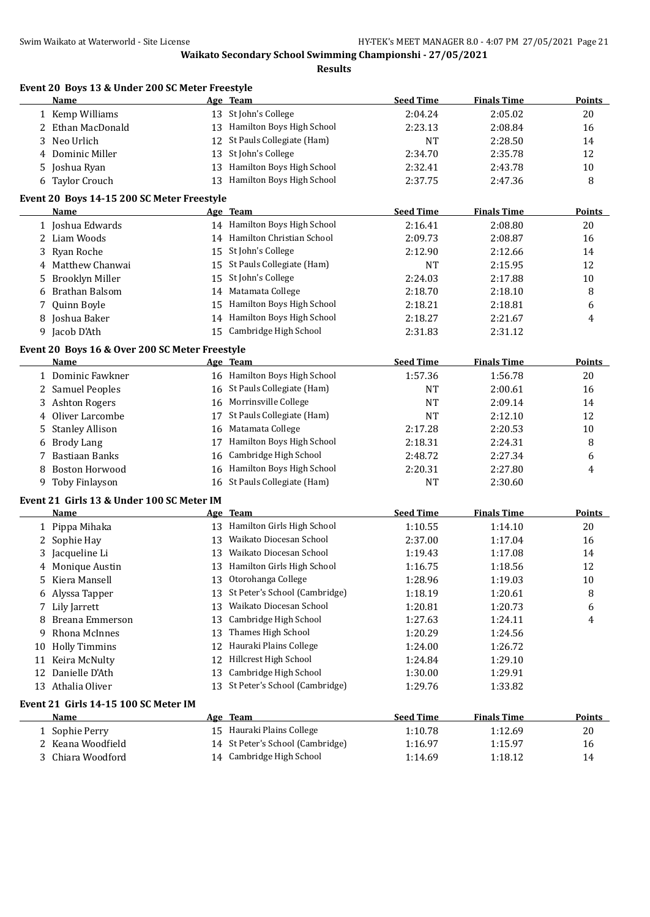**Event 20 Boys 13 & Under 200 SC Meter Freestyle**

|    | <b>Name</b>                                    |    | Age Team                         | <b>Seed Time</b> | <b>Finals Time</b> | <b>Points</b> |
|----|------------------------------------------------|----|----------------------------------|------------------|--------------------|---------------|
|    | 1 Kemp Williams                                |    | 13 St John's College             | 2:04.24          | 2:05.02            | 20            |
|    | 2 Ethan MacDonald                              |    | 13 Hamilton Boys High School     | 2:23.13          | 2:08.84            | 16            |
| 3  | Neo Urlich                                     | 12 | St Pauls Collegiate (Ham)        | <b>NT</b>        | 2:28.50            | 14            |
|    | 4 Dominic Miller                               | 13 | St John's College                | 2:34.70          | 2:35.78            | 12            |
| 5. | Joshua Ryan                                    | 13 | Hamilton Boys High School        | 2:32.41          | 2:43.78            | 10            |
|    | 6 Taylor Crouch                                | 13 | Hamilton Boys High School        | 2:37.75          | 2:47.36            | 8             |
|    | Event 20 Boys 14-15 200 SC Meter Freestyle     |    |                                  |                  |                    |               |
|    | Name                                           |    | Age Team                         | <b>Seed Time</b> | <b>Finals Time</b> | Points        |
|    | 1 Joshua Edwards                               |    | 14 Hamilton Boys High School     | 2:16.41          | 2:08.80            | 20            |
|    | 2 Liam Woods                                   |    | 14 Hamilton Christian School     | 2:09.73          | 2:08.87            | 16            |
| 3  | Ryan Roche                                     |    | 15 St John's College             | 2:12.90          | 2:12.66            | 14            |
| 4  | Matthew Chanwai                                |    | 15 St Pauls Collegiate (Ham)     | <b>NT</b>        | 2:15.95            | 12            |
| 5  | <b>Brooklyn Miller</b>                         | 15 | St John's College                | 2:24.03          | 2:17.88            | 10            |
| 6  | Brathan Balsom                                 |    | 14 Matamata College              | 2:18.70          | 2:18.10            | 8             |
|    | Quinn Boyle                                    | 15 | Hamilton Boys High School        | 2:18.21          | 2:18.81            |               |
| 7  |                                                |    | 14 Hamilton Boys High School     |                  |                    | 6             |
| 8  | Joshua Baker                                   |    |                                  | 2:18.27          | 2:21.67            | 4             |
|    | 9 Jacob D'Ath                                  |    | 15 Cambridge High School         | 2:31.83          | 2:31.12            |               |
|    | Event 20 Boys 16 & Over 200 SC Meter Freestyle |    |                                  |                  |                    |               |
|    | <b>Name</b>                                    |    | Age Team                         | <b>Seed Time</b> | <b>Finals Time</b> | <b>Points</b> |
|    | 1 Dominic Fawkner                              |    | 16 Hamilton Boys High School     | 1:57.36          | 1:56.78            | 20            |
|    | 2 Samuel Peoples                               |    | 16 St Pauls Collegiate (Ham)     | <b>NT</b>        | 2:00.61            | 16            |
|    | 3 Ashton Rogers                                |    | 16 Morrinsville College          | <b>NT</b>        | 2:09.14            | 14            |
|    | 4 Oliver Larcombe                              | 17 | St Pauls Collegiate (Ham)        | <b>NT</b>        | 2:12.10            | 12            |
| 5  | <b>Stanley Allison</b>                         | 16 | Matamata College                 | 2:17.28          | 2:20.53            | 10            |
| 6  | <b>Brody Lang</b>                              | 17 | Hamilton Boys High School        | 2:18.31          | 2:24.31            | 8             |
| 7  | <b>Bastiaan Banks</b>                          | 16 | Cambridge High School            | 2:48.72          | 2:27.34            | 6             |
| 8  | Boston Horwood                                 | 16 | Hamilton Boys High School        | 2:20.31          | 2:27.80            | 4             |
|    | 9 Toby Finlayson                               |    | 16 St Pauls Collegiate (Ham)     | <b>NT</b>        | 2:30.60            |               |
|    | Event 21 Girls 13 & Under 100 SC Meter IM      |    |                                  |                  |                    |               |
|    | Name                                           |    | Age Team                         | <b>Seed Time</b> | <b>Finals Time</b> | <b>Points</b> |
|    | 1 Pippa Mihaka                                 |    | 13 Hamilton Girls High School    | 1:10.55          | 1:14.10            | 20            |
|    | 2 Sophie Hay                                   | 13 | Waikato Diocesan School          | 2:37.00          | 1:17.04            | 16            |
| 3  | Jacqueline Li                                  |    | 13 Waikato Diocesan School       | 1:19.43          | 1:17.08            | 14            |
|    | Monique Austin                                 |    | 13 Hamilton Girls High School    | 1:16.75          | 1:18.56            | 12            |
| 5  | Kiera Mansell                                  |    | 13 Otorohanga College            | 1:28.96          | 1:19.03            | 10            |
|    | 6 Alyssa Tapper                                |    | 13 St Peter's School (Cambridge) | 1:18.19          | 1:20.61            | 8             |
|    | 7 Lily Jarrett                                 | 13 | Waikato Diocesan School          | 1:20.81          | 1:20.73            | 6             |
| 8  | <b>Breana Emmerson</b>                         | 13 | Cambridge High School            | 1:27.63          | 1:24.11            | 4             |
| 9  | Rhona McInnes                                  | 13 | Thames High School               | 1:20.29          | 1:24.56            |               |
|    | 10 Holly Timmins                               | 12 | Hauraki Plains College           | 1:24.00          | 1:26.72            |               |
|    |                                                |    | Hillcrest High School            |                  |                    |               |
| 11 | Keira McNulty                                  | 12 |                                  | 1:24.84          | 1:29.10            |               |
|    | 12 Danielle D'Ath                              | 13 | Cambridge High School            | 1:30.00          | 1:29.91            |               |
|    | 13 Athalia Oliver                              |    | 13 St Peter's School (Cambridge) | 1:29.76          | 1:33.82            |               |
|    | Event 21 Girls 14-15 100 SC Meter IM           |    |                                  |                  |                    |               |
|    | <u>Name</u>                                    |    | Age Team                         | <b>Seed Time</b> | <b>Finals Time</b> | <b>Points</b> |
|    | 1 Sophie Perry                                 |    | 15 Hauraki Plains College        | 1:10.78          | 1:12.69            | 20            |
|    | 2 Keana Woodfield                              |    | 14 St Peter's School (Cambridge) | 1:16.97          | 1:15.97            | 16            |
|    | 3 Chiara Woodford                              |    | 14 Cambridge High School         | 1:14.69          | 1:18.12            | 14            |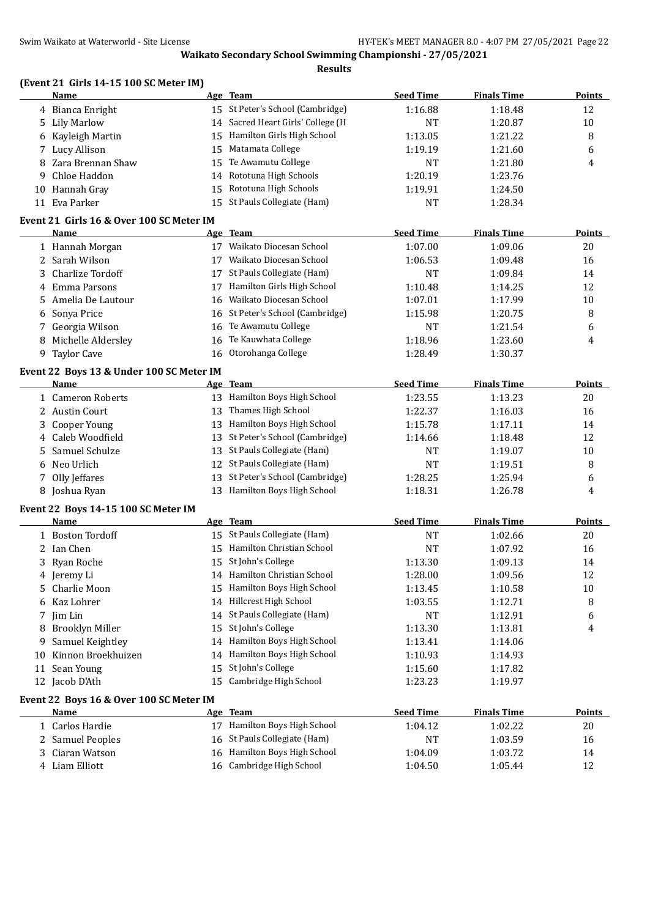**Results**

### **(Event 21 Girls 14-15 100 SC Meter IM)**

|    | Name                | Age Team                           | <b>Seed Time</b> | <b>Finals Time</b> | Points |
|----|---------------------|------------------------------------|------------------|--------------------|--------|
|    | 4 Bianca Enright    | 15 St Peter's School (Cambridge)   | 1:16.88          | 1:18.48            | 12     |
|    | 5 Lily Marlow       | 14 Sacred Heart Girls' College (H) | NT               | 1:20.87            | 10     |
|    | 6 Kayleigh Martin   | 15 Hamilton Girls High School      | 1:13.05          | 1:21.22            | 8      |
|    | 7 Lucy Allison      | 15 Matamata College                | 1:19.19          | 1:21.60            | 6      |
|    | 8 Zara Brennan Shaw | 15 Te Awamutu College              | NT               | 1:21.80            | 4      |
|    | 9 Chloe Haddon      | 14 Rototuna High Schools           | 1:20.19          | 1:23.76            |        |
| 10 | Hannah Gray         | 15 Rototuna High Schools           | 1:19.91          | 1:24.50            |        |
|    | 11 Eva Parker       | 15 St Pauls Collegiate (Ham)       | NT               | 1:28.34            |        |
|    |                     |                                    |                  |                    |        |

### **Event 21 Girls 16 & Over 100 SC Meter IM**

| Name                 |    | Age Team                         | <b>Seed Time</b> | <b>Finals Time</b> | Points |
|----------------------|----|----------------------------------|------------------|--------------------|--------|
| 1 Hannah Morgan      |    | Waikato Diocesan School          | 1:07.00          | 1:09.06            | 20     |
| 2 Sarah Wilson       |    | Waikato Diocesan School          | 1:06.53          | 1:09.48            | 16     |
| 3 Charlize Tordoff   | 17 | St Pauls Collegiate (Ham)        | NT               | 1:09.84            | 14     |
| 4 Emma Parsons       | 17 | Hamilton Girls High School       | 1:10.48          | 1:14.25            | 12     |
| 5 Amelia De Lautour  | 16 | Waikato Diocesan School          | 1:07.01          | 1:17.99            | 10     |
| 6 Sonya Price        |    | 16 St Peter's School (Cambridge) | 1:15.98          | 1:20.75            | 8      |
| 7 Georgia Wilson     |    | 16 Te Awamutu College            | NT               | 1:21.54            | 6      |
| 8 Michelle Aldersley | 16 | Te Kauwhata College              | 1:18.96          | 1:23.60            | 4      |
| 9 Taylor Cave        | 16 | Otorohanga College               | 1:28.49          | 1:30.37            |        |
|                      |    |                                  |                  |                    |        |

## **Event 22 Boys 13 & Under 100 SC Meter IM**

| Name              | Age Team                         | <b>Seed Time</b> | <b>Finals Time</b> | <b>Points</b> |
|-------------------|----------------------------------|------------------|--------------------|---------------|
| 1 Cameron Roberts | Hamilton Boys High School<br>13  | 1:23.55          | 1:13.23            | 20            |
| 2 Austin Court    | Thames High School<br>13.        | 1:22.37          | 1:16.03            | 16            |
| 3 Cooper Young    | 13 Hamilton Boys High School     | 1:15.78          | 1:17.11            | 14            |
| 4 Caleb Woodfield | 13 St Peter's School (Cambridge) | 1:14.66          | 1:18.48            | 12            |
| 5 Samuel Schulze  | 13 St Pauls Collegiate (Ham)     | NT               | 1:19.07            | 10            |
| 6 Neo Urlich      | 12 St Pauls Collegiate (Ham)     | NT               | 1:19.51            | 8             |
| 7 Olly Jeffares   | 13 St Peter's School (Cambridge) | 1:28.25          | 1:25.94            | 6             |
| 8 Joshua Ryan     | Hamilton Boys High School        | 1:18.31          | 1:26.78            | 4             |

#### **Event 22 Boys 14-15 100 SC Meter IM**

|     | Name                                    |    | Age Team                     | <b>Seed Time</b> | <b>Finals Time</b> | <b>Points</b> |
|-----|-----------------------------------------|----|------------------------------|------------------|--------------------|---------------|
|     | 1 Boston Tordoff                        | 15 | St Pauls Collegiate (Ham)    | <b>NT</b>        | 1:02.66            | 20            |
|     | 2 Ian Chen                              | 15 | Hamilton Christian School    | <b>NT</b>        | 1:07.92            | 16            |
|     | 3 Ryan Roche                            | 15 | St John's College            | 1:13.30          | 1:09.13            | 14            |
|     | 4 Jeremy Li                             |    | 14 Hamilton Christian School | 1:28.00          | 1:09.56            | 12            |
|     | 5 Charlie Moon                          | 15 | Hamilton Boys High School    | 1:13.45          | 1:10.58            | 10            |
|     | 6 Kaz Lohrer                            | 14 | Hillcrest High School        | 1:03.55          | 1:12.71            | 8             |
|     | 7 Jim Lin                               |    | 14 St Pauls Collegiate (Ham) | <b>NT</b>        | 1:12.91            | 6             |
|     | 8 Brooklyn Miller                       |    | 15 St John's College         | 1:13.30          | 1:13.81            | 4             |
| 9.  | Samuel Keightley                        |    | 14 Hamilton Boys High School | 1:13.41          | 1:14.06            |               |
| 10. | Kinnon Broekhuizen                      |    | 14 Hamilton Boys High School | 1:10.93          | 1:14.93            |               |
| 11  | Sean Young                              | 15 | St John's College            | 1:15.60          | 1:17.82            |               |
|     | 12 Jacob D'Ath                          | 15 | Cambridge High School        | 1:23.23          | 1:19.97            |               |
|     | Event 22 Boys 16 & Over 100 SC Meter IM |    |                              |                  |                    |               |
|     | Name                                    |    | Age Team                     | <b>Seed Time</b> | <b>Finals Time</b> | Points        |
|     | 1 Carlos Hardie                         | 17 | Hamilton Boys High School    | 1:04.12          | 1:02.22            | 20            |

| 1 - Carlos Hardie - | 17 Hamilton Boys High School | 1:04.12 | 1:02.22 | 20 |
|---------------------|------------------------------|---------|---------|----|
| 2 Samuel Peoples    | 16 St Pauls Collegiate (Ham) | NT      | 1:03.59 | 16 |
| 3 Ciaran Watson     | 16 Hamilton Boys High School | 1:04.09 | 1:03.72 | 14 |
| 4 Liam Elliott      | 16 Cambridge High School     | 1:04.50 | 1:05.44 |    |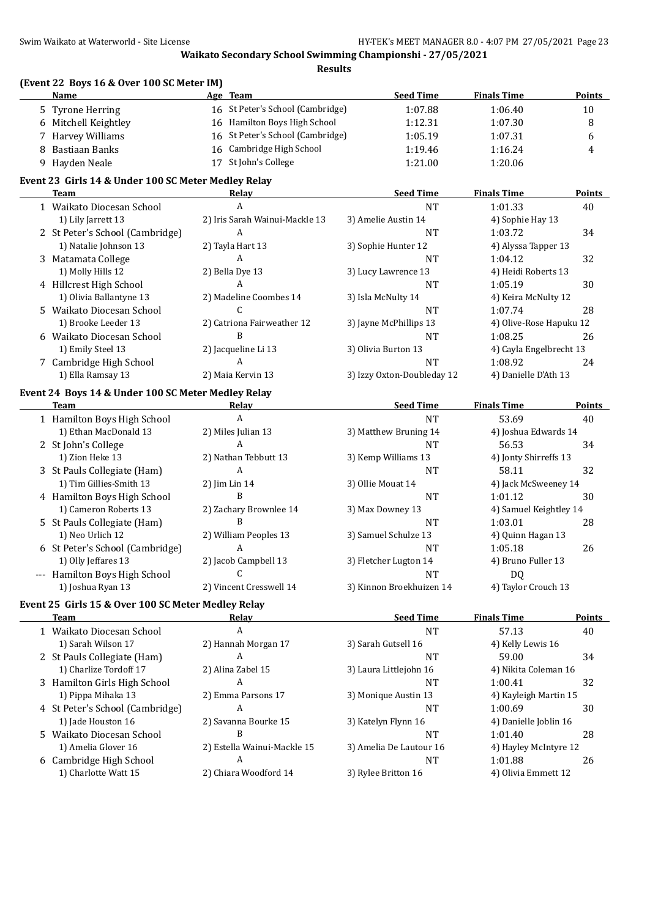|   | (Event 22 Boys 16 & Over 100 SC Meter IM)           |                                     |                            |                         |               |
|---|-----------------------------------------------------|-------------------------------------|----------------------------|-------------------------|---------------|
|   | <b>Name</b>                                         | Age Team                            | <b>Seed Time</b>           | <b>Finals Time</b>      | Points        |
|   | 5 Tyrone Herring                                    | 16 St Peter's School (Cambridge)    | 1:07.88                    | 1:06.40                 | 10            |
|   | 6 Mitchell Keightley                                | 16 Hamilton Boys High School        | 1:12.31                    | 1:07.30                 | 8             |
|   | 7 Harvey Williams                                   | St Peter's School (Cambridge)<br>16 | 1:05.19                    | 1:07.31                 | 6             |
| 8 | <b>Bastiaan Banks</b>                               | Cambridge High School<br>16         | 1:19.46                    | 1:16.24                 | 4             |
|   | 9 Hayden Neale                                      | St John's College<br>17             | 1:21.00                    | 1:20.06                 |               |
|   | Event 23 Girls 14 & Under 100 SC Meter Medley Relay |                                     |                            |                         |               |
|   | <b>Team</b>                                         | Relay                               | <b>Seed Time</b>           | <b>Finals Time</b>      | <b>Points</b> |
|   | 1 Waikato Diocesan School                           | A                                   | <b>NT</b>                  | 1:01.33                 | 40            |
|   | 1) Lily Jarrett 13                                  | 2) Iris Sarah Wainui-Mackle 13      | 3) Amelie Austin 14        | 4) Sophie Hay 13        |               |
|   | 2 St Peter's School (Cambridge)                     | A                                   | <b>NT</b>                  | 1:03.72                 | 34            |
|   | 1) Natalie Johnson 13                               | 2) Tayla Hart 13                    | 3) Sophie Hunter 12        | 4) Alyssa Tapper 13     |               |
|   | 3 Matamata College                                  | A                                   | <b>NT</b>                  | 1:04.12                 | 32            |
|   | 1) Molly Hills 12                                   | 2) Bella Dye 13                     | 3) Lucy Lawrence 13        | 4) Heidi Roberts 13     |               |
|   | 4 Hillcrest High School                             | A                                   | <b>NT</b>                  | 1:05.19                 | 30            |
|   | 1) Olivia Ballantyne 13                             | 2) Madeline Coombes 14              | 3) Isla McNulty 14         | 4) Keira McNulty 12     |               |
|   | 5 Waikato Diocesan School                           | C                                   | <b>NT</b>                  | 1:07.74                 | 28            |
|   | 1) Brooke Leeder 13                                 | 2) Catriona Fairweather 12          | 3) Jayne McPhillips 13     | 4) Olive-Rose Hapuku 12 |               |
|   | 6 Waikato Diocesan School                           | B                                   | <b>NT</b>                  | 1:08.25                 | 26            |
|   | 1) Emily Steel 13                                   | 2) Jacqueline Li 13                 | 3) Olivia Burton 13        | 4) Cayla Engelbrecht 13 |               |
|   |                                                     | A                                   |                            |                         |               |
|   | 7 Cambridge High School                             |                                     | <b>NT</b>                  | 1:08.92                 | 24            |
|   | 1) Ella Ramsay 13                                   | 2) Maia Kervin 13                   | 3) Izzy Oxton-Doubleday 12 | 4) Danielle D'Ath 13    |               |
|   | Event 24 Boys 14 & Under 100 SC Meter Medley Relay  |                                     |                            |                         |               |
|   | <b>Team</b>                                         | Relay                               | <b>Seed Time</b>           | <b>Finals Time</b>      | Points        |
|   | 1 Hamilton Boys High School                         | $\overline{A}$                      | <b>NT</b>                  | 53.69                   | 40            |
|   | 1) Ethan MacDonald 13                               | 2) Miles Julian 13                  | 3) Matthew Bruning 14      | 4) Joshua Edwards 14    |               |
|   | 2 St John's College                                 | A                                   | <b>NT</b>                  | 56.53                   | 34            |
|   | 1) Zion Heke 13                                     | 2) Nathan Tebbutt 13                | 3) Kemp Williams 13        | 4) Jonty Shirreffs 13   |               |
|   | 3 St Pauls Collegiate (Ham)                         | A                                   | <b>NT</b>                  | 58.11                   | 32            |
|   | 1) Tim Gillies-Smith 13                             | 2) Jim Lin 14                       | 3) Ollie Mouat 14          | 4) Jack McSweeney 14    |               |
|   | 4 Hamilton Boys High School                         | B                                   | <b>NT</b>                  | 1:01.12                 | 30            |
|   | 1) Cameron Roberts 13                               | 2) Zachary Brownlee 14              | 3) Max Downey 13           | 4) Samuel Keightley 14  |               |
|   | 5 St Pauls Collegiate (Ham)                         | B                                   | <b>NT</b>                  | 1:03.01                 | 28            |
|   | 1) Neo Urlich 12                                    | 2) William Peoples 13               | 3) Samuel Schulze 13       | 4) Quinn Hagan 13       |               |
|   | 6 St Peter's School (Cambridge)                     | A                                   | <b>NT</b>                  | 1:05.18                 | 26            |
|   | 1) Olly Jeffares 13                                 | 2) Jacob Campbell 13                | 3) Fletcher Lugton 14      | 4) Bruno Fuller 13      |               |
|   | --- Hamilton Boys High School                       | C                                   | NT                         | DQ                      |               |
|   | 1) Joshua Ryan 13                                   | 2) Vincent Cresswell 14             | 3) Kinnon Broekhuizen 14   | 4) Taylor Crouch 13     |               |
|   | Event 25 Girls 15 & Over 100 SC Meter Medley Relay  |                                     |                            |                         |               |
|   | Team                                                | Relay                               | <b>Seed Time</b>           | <b>Finals Time</b>      | <b>Points</b> |
|   | 1 Waikato Diocesan School                           | A                                   | <b>NT</b>                  | 57.13                   | 40            |
|   | 1) Sarah Wilson 17                                  | 2) Hannah Morgan 17                 | 3) Sarah Gutsell 16        | 4) Kelly Lewis 16       |               |
|   | 2 St Pauls Collegiate (Ham)                         | A                                   | NT                         | 59.00                   | 34            |
|   | 1) Charlize Tordoff 17                              | 2) Alina Zabel 15                   | 3) Laura Littlejohn 16     | 4) Nikita Coleman 16    |               |
|   | 3 Hamilton Girls High School                        | A                                   | <b>NT</b>                  | 1:00.41                 | 32            |
|   |                                                     | 2) Emma Parsons 17                  |                            |                         |               |
|   | 1) Pippa Mihaka 13                                  |                                     | 3) Monique Austin 13       | 4) Kayleigh Martin 15   |               |
|   | 4 St Peter's School (Cambridge)                     | A                                   | <b>NT</b>                  | 1:00.69                 | 30            |
|   | 1) Jade Houston 16                                  | 2) Savanna Bourke 15                | 3) Katelyn Flynn 16        | 4) Danielle Joblin 16   |               |
|   | 5 Waikato Diocesan School                           | B                                   | <b>NT</b>                  | 1:01.40                 | 28            |
|   | 1) Amelia Glover 16                                 | 2) Estella Wainui-Mackle 15         | 3) Amelia De Lautour 16    | 4) Hayley McIntyre 12   |               |
|   | 6 Cambridge High School                             | A                                   | <b>NT</b>                  | 1:01.88                 | 26            |
|   | 1) Charlotte Watt 15                                | 2) Chiara Woodford 14               | 3) Rylee Britton 16        | 4) Olivia Emmett 12     |               |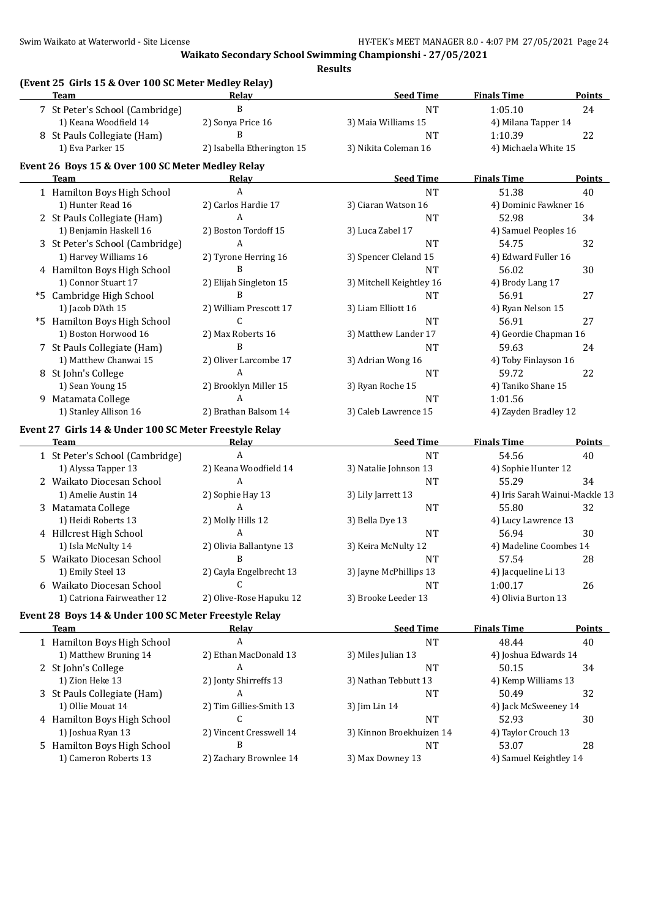**(Event 25 Girls 15 & Over 100 SC Meter Medley Relay) Team Relay Seed Time Finals Time Points** 7 St Peter's School (Cambridge) B B NT 1:05.10 24 1) Keana Woodfield 14 2) Sonya Price 16 3) Maia Williams 15 4) Milana Tapper 14 8 St Pauls Collegiate (Ham) B B 22 1) Eva Parker 15 2) Isabella Etherington 15 3) Nikita Coleman 16 4) Michaela White 15 **Event 26 Boys 15 & Over 100 SC Meter Medley Relay Team Relay Seed Time Finals Time Points** 1 Hamilton Boys High School A and A NT 51.38 40 1) Hunter Read 16 2) Carlos Hardie 17 3) Ciaran Watson 16 4) Dominic Fawkner 16 2 St Pauls Collegiate (Ham)  $A$  A  $34$ 1) Benjamin Haskell 16 2) Boston Tordoff 15 3) Luca Zabel 17 4) Samuel Peoples 16 3 St Peter's School (Cambridge) A 1 22 A NT 54.75 32 1) Harvey Williams 16 2) Tyrone Herring 16 3) Spencer Cleland 15 4) Edward Fuller 16 4 Hamilton Boys High School B NT 56.02 30 1) Connor Stuart 17 2) Elijah Singleton 15 3) Mitchell Keightley 16 4) Brody Lang 17 \*5 Cambridge High School B B NT 56.91 27 1) Jacob D'Ath 15 2) William Prescott 17 3) Liam Elliott 16 4) Ryan Nelson 15 \*5 Hamilton Boys High School C NT 56.91 27 1) Boston Horwood 16 2) Max Roberts 16 3) Matthew Lander 17 4) Geordie Chapman 16 7 St Pauls Collegiate (Ham) B B NT 59.63 24 1) Matthew Chanwai 15 2) Oliver Larcombe 17 3) Adrian Wong 16 4) Toby Finlayson 16 8 St John's College 22 A A NT 59.72 22 1) Sean Young 15 2) Brooklyn Miller 15 3) Ryan Roche 15 4) Taniko Shane 15 9 Matamata College A A NT 1:01.56 1) Stanley Allison 16 2) Brathan Balsom 14 3) Caleb Lawrence 15 4) Zayden Bradley 12 **Event 27 Girls 14 & Under 100 SC Meter Freestyle Relay Team Relay Seed Time Finals Time Points** 1 St Peter's School (Cambridge) A NT 54.56 40 1) Alyssa Tapper 13 2) Keana Woodfield 14 3) Natalie Johnson 13 4) Sophie Hunter 12 2 Waikato Diocesan School A NT 55.29 34 1) Amelie Austin 14 2) Sophie Hay 13 3) Lily Jarrett 13 4) Iris Sarah Wainui-Mackle 13 3 Matamata College 232 A 1 A NT 55.80 32 1) Heidi Roberts 13 2) Molly Hills 12 3) Bella Dye 13 4) Lucy Lawrence 13 4 Hillcrest High School A NT 56.94 30 1) Isla McNulty 14 2) Olivia Ballantyne 13 3) Keira McNulty 12 4) Madeline Coombes 14 5 Waikato Diocesan School B B NT 57.54 28 1) Emily Steel 13 2) Cayla Engelbrecht 13 3) Jayne McPhillips 13 4) Jacqueline Li 13 6 Waikato Diocesan School C NT 1:00.17 26 1) Catriona Fairweather 12 2) Olive-Rose Hapuku 12 3) Brooke Leeder 13 4) Olivia Burton 13 **Event 28 Boys 14 & Under 100 SC Meter Freestyle Relay Team Relay Seed Time Finals Time Points** 1 Hamilton Boys High School A and A NT 48.44 40 1) Matthew Bruning 14 2) Ethan MacDonald 13 3) Miles Julian 13 4) Joshua Edwards 14 2 St John's College 2 A A NT 50.15 34 1) Zion Heke 13 2) Jonty Shirreffs 13 3) Nathan Tebbutt 13 4) Kemp Williams 13 3 St Pauls Collegiate (Ham)  $A$  A  $=$  50.49  $=$  50.49 32 1) Ollie Mouat 14 2) Tim Gillies-Smith 13 3) Jim Lin 14 4 4) Jack McSweeney 14 4 Hamilton Boys High School C C C C NT 52.93 30 1) Joshua Ryan 13 2) Vincent Cresswell 14 3) Kinnon Broekhuizen 14 4) Taylor Crouch 13 5 Hamilton Boys High School B B 1 B 1 B 1 B 1 B 1 B 1 B 1 B 1 B 28 1) Cameron Roberts 13 2) Zachary Brownlee 14 3) Max Downey 13 4) Samuel Keightley 14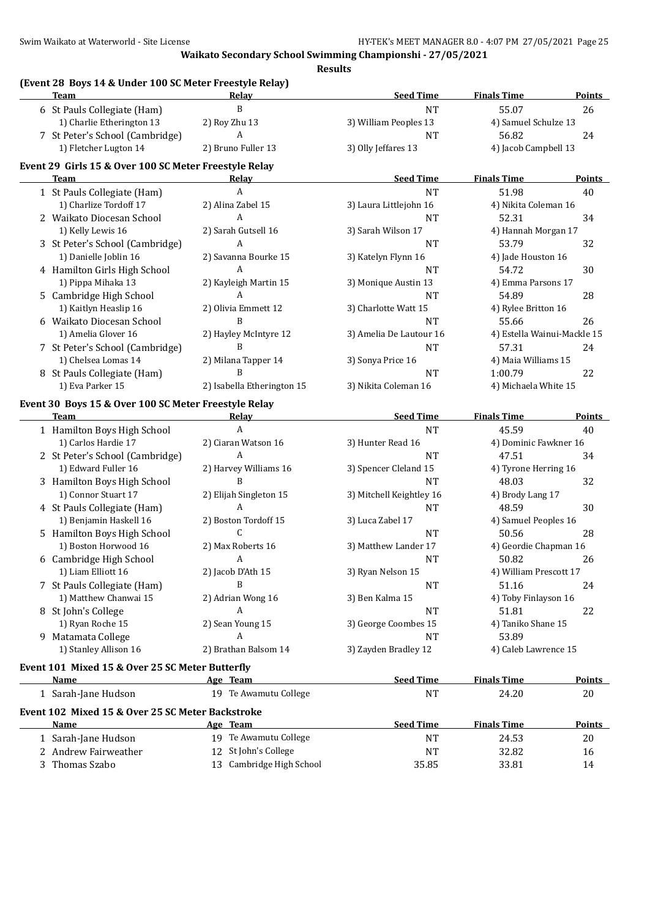**(Event 28 Boys 14 & Under 100 SC Meter Freestyle Relay)**

| Team                                                     | <b>Relay</b>               | <b>Seed Time</b>         | <b>Finals Time</b>          | <b>Points</b> |
|----------------------------------------------------------|----------------------------|--------------------------|-----------------------------|---------------|
| 6 St Pauls Collegiate (Ham)                              | B                          | <b>NT</b>                | 55.07                       | 26            |
| 1) Charlie Etherington 13                                | 2) Roy Zhu 13              | 3) William Peoples 13    | 4) Samuel Schulze 13        |               |
| 7 St Peter's School (Cambridge)                          | А                          | <b>NT</b>                | 56.82                       | 24            |
| 1) Fletcher Lugton 14                                    | 2) Bruno Fuller 13         | 3) Olly Jeffares 13      | 4) Jacob Campbell 13        |               |
| Event 29 Girls 15 & Over 100 SC Meter Freestyle Relay    |                            |                          |                             |               |
| Team                                                     | Relay                      | <b>Seed Time</b>         | <b>Finals Time</b>          | <b>Points</b> |
| 1 St Pauls Collegiate (Ham)                              | A                          | <b>NT</b>                | 51.98                       | 40            |
| 1) Charlize Tordoff 17                                   | 2) Alina Zabel 15          | 3) Laura Littlejohn 16   | 4) Nikita Coleman 16        |               |
| 2 Waikato Diocesan School                                | A                          | <b>NT</b>                | 52.31                       | 34            |
| 1) Kelly Lewis 16                                        | 2) Sarah Gutsell 16        | 3) Sarah Wilson 17       | 4) Hannah Morgan 17         |               |
| 3 St Peter's School (Cambridge)                          | A                          | <b>NT</b>                | 53.79                       | 32            |
| 1) Danielle Joblin 16                                    | 2) Savanna Bourke 15       | 3) Katelyn Flynn 16      | 4) Jade Houston 16          |               |
| 4 Hamilton Girls High School                             | A                          | <b>NT</b>                | 54.72                       | 30            |
| 1) Pippa Mihaka 13                                       | 2) Kayleigh Martin 15      | 3) Monique Austin 13     | 4) Emma Parsons 17          |               |
| 5 Cambridge High School                                  | A                          | <b>NT</b>                | 54.89                       | 28            |
| 1) Kaitlyn Heaslip 16                                    | 2) Olivia Emmett 12        | 3) Charlotte Watt 15     | 4) Rylee Britton 16         |               |
| 6 Waikato Diocesan School                                | B                          | <b>NT</b>                | 55.66                       | 26            |
| 1) Amelia Glover 16                                      | 2) Hayley McIntyre 12      | 3) Amelia De Lautour 16  | 4) Estella Wainui-Mackle 15 |               |
| 7 St Peter's School (Cambridge)                          | B                          | <b>NT</b>                | 57.31                       | 24            |
| 1) Chelsea Lomas 14                                      | 2) Milana Tapper 14        | 3) Sonya Price 16        | 4) Maia Williams 15         |               |
| 8 St Pauls Collegiate (Ham)                              | B                          | <b>NT</b>                | 1:00.79                     | 22            |
| 1) Eva Parker 15                                         | 2) Isabella Etherington 15 | 3) Nikita Coleman 16     | 4) Michaela White 15        |               |
|                                                          |                            |                          |                             |               |
| Event 30 Boys 15 & Over 100 SC Meter Freestyle Relay     |                            |                          |                             |               |
| Team                                                     | Relay                      | <b>Seed Time</b>         | <b>Finals Time</b>          | Points        |
| 1 Hamilton Boys High School                              | A                          | <b>NT</b>                | 45.59                       | 40            |
| 1) Carlos Hardie 17                                      | 2) Ciaran Watson 16        | 3) Hunter Read 16        | 4) Dominic Fawkner 16       |               |
| 2 St Peter's School (Cambridge)                          | A                          | <b>NT</b>                | 47.51                       | 34            |
| 1) Edward Fuller 16                                      | 2) Harvey Williams 16      | 3) Spencer Cleland 15    | 4) Tyrone Herring 16        |               |
| 3 Hamilton Boys High School                              | B                          | <b>NT</b>                | 48.03                       | 32            |
| 1) Connor Stuart 17                                      | 2) Elijah Singleton 15     | 3) Mitchell Keightley 16 | 4) Brody Lang 17            |               |
| 4 St Pauls Collegiate (Ham)                              | A                          | <b>NT</b>                | 48.59                       | 30            |
| 1) Benjamin Haskell 16                                   | 2) Boston Tordoff 15       | 3) Luca Zabel 17         | 4) Samuel Peoples 16        |               |
| 5 Hamilton Boys High School                              | C                          | <b>NT</b>                | 50.56                       | 28            |
| 1) Boston Horwood 16                                     | 2) Max Roberts 16          | 3) Matthew Lander 17     | 4) Geordie Chapman 16       |               |
| 6 Cambridge High School                                  | A                          | <b>NT</b>                | 50.82                       | 26            |
| 1) Liam Elliott 16                                       | 2) Jacob D'Ath 15          | 3) Ryan Nelson 15        | 4) William Prescott 17      |               |
| 7 St Pauls Collegiate (Ham)                              | B                          | <b>NT</b>                | 51.16                       | 24            |
| 1) Matthew Chanwai 15                                    | 2) Adrian Wong 16          | 3) Ben Kalma 15          | 4) Toby Finlayson 16        |               |
| 8 St John's College                                      | A                          | <b>NT</b>                | 51.81                       | 22            |
| 1) Ryan Roche 15                                         | 2) Sean Young 15           | 3) George Coombes 15     | 4) Taniko Shane 15          |               |
| 9 Matamata College                                       | A                          | <b>NT</b>                | 53.89                       |               |
| 1) Stanley Allison 16                                    | 2) Brathan Balsom 14       | 3) Zayden Bradley 12     | 4) Caleb Lawrence 15        |               |
| Event 101 Mixed 15 & Over 25 SC Meter Butterfly          |                            |                          |                             |               |
| Name                                                     | Age Team                   | <b>Seed Time</b>         | <b>Finals Time</b>          | <b>Points</b> |
| 1 Sarah-Jane Hudson                                      | 19 Te Awamutu College      | <b>NT</b>                | 24.20                       | 20            |
|                                                          |                            |                          |                             |               |
| Event 102 Mixed 15 & Over 25 SC Meter Backstroke<br>Name | Age Team                   | <b>Seed Time</b>         | <b>Finals Time</b>          | <b>Points</b> |
|                                                          |                            |                          |                             |               |
| 1 Sarah-Jane Hudson                                      | 19 Te Awamutu College      | <b>NT</b>                | 24.53                       | 20            |
| 2 Andrew Fairweather                                     | 12 St John's College       | NT                       | 32.82                       | 16            |
| 3 Thomas Szabo                                           | 13 Cambridge High School   | 35.85                    | 33.81                       | 14            |